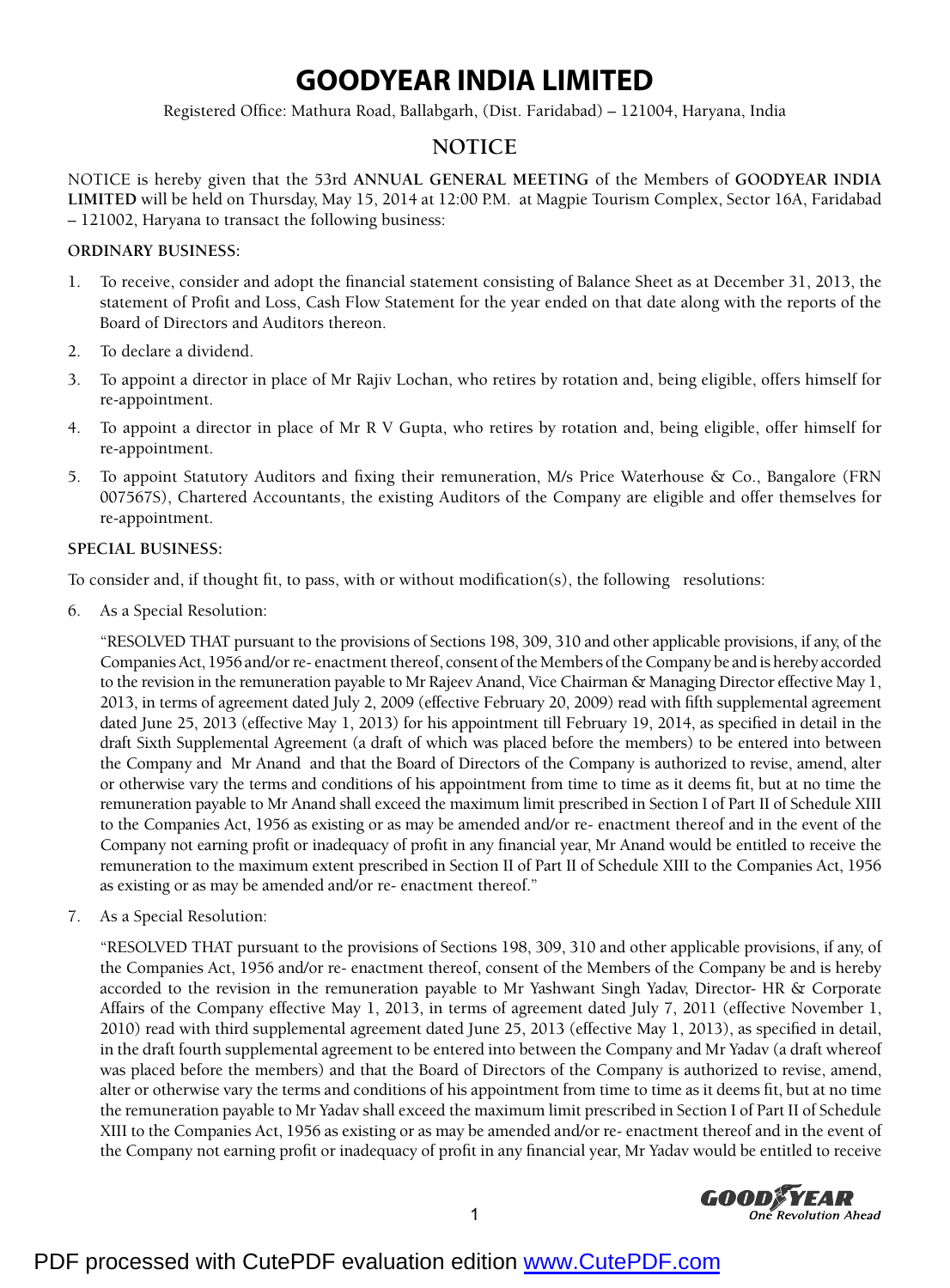Registered Office: Mathura Road, Ballabgarh, (Dist. Faridabad) – 121004, Haryana, India

#### **NOTICE**

NOTICE is hereby given that the 53rd **ANNUAL GENERAL MEETING** of the Members of **GOODYEAR INDIA LIMITED** will be held on Thursday, May 15, 2014 at 12:00 P.M. at Magpie Tourism Complex, Sector 16A, Faridabad – 121002, Haryana to transact the following business:

#### **ORDINARY BUSINESS:**

- 1. To receive, consider and adopt the financial statement consisting of Balance Sheet as at December 31, 2013, the statement of Profit and Loss, Cash Flow Statement for the year ended on that date along with the reports of the Board of Directors and Auditors thereon.
- 2. To declare a dividend.
- 3. To appoint a director in place of Mr Rajiv Lochan, who retires by rotation and, being eligible, offers himself for re-appointment.
- 4. To appoint a director in place of Mr R V Gupta, who retires by rotation and, being eligible, offer himself for re-appointment.
- 5. To appoint Statutory Auditors and fixing their remuneration, M/s Price Waterhouse & Co., Bangalore (FRN 007567S), Chartered Accountants, the existing Auditors of the Company are eligible and offer themselves for re-appointment.

#### **SPECIAL BUSINESS:**

To consider and, if thought fit, to pass, with or without modification(s), the following resolutions:

6. As a Special Resolution:

 "RESOLVED THAT pursuant to the provisions of Sections 198, 309, 310 and other applicable provisions, if any, of the Companies Act, 1956 and/or re- enactment thereof, consent of the Members of the Company be and is hereby accorded to the revision in the remuneration payable to Mr Rajeev Anand, Vice Chairman & Managing Director effective May 1, 2013, in terms of agreement dated July 2, 2009 (effective February 20, 2009) read with fifth supplemental agreement dated June 25, 2013 (effective May 1, 2013) for his appointment till February 19, 2014, as specified in detail in the draft Sixth Supplemental Agreement (a draft of which was placed before the members) to be entered into between the Company and Mr Anand and that the Board of Directors of the Company is authorized to revise, amend, alter or otherwise vary the terms and conditions of his appointment from time to time as it deems fit, but at no time the remuneration payable to Mr Anand shall exceed the maximum limit prescribed in Section I of Part II of Schedule XIII to the Companies Act, 1956 as existing or as may be amended and/or re- enactment thereof and in the event of the Company not earning profit or inadequacy of profit in any financial year, Mr Anand would be entitled to receive the remuneration to the maximum extent prescribed in Section II of Part II of Schedule XIII to the Companies Act, 1956 as existing or as may be amended and/or re- enactment thereof."

7. As a Special Resolution:

 "RESOLVED THAT pursuant to the provisions of Sections 198, 309, 310 and other applicable provisions, if any, of the Companies Act, 1956 and/or re- enactment thereof, consent of the Members of the Company be and is hereby accorded to the revision in the remuneration payable to Mr Yashwant Singh Yadav, Director- HR & Corporate Affairs of the Company effective May 1, 2013, in terms of agreement dated July 7, 2011 (effective November 1, 2010) read with third supplemental agreement dated June 25, 2013 (effective May 1, 2013), as specified in detail, in the draft fourth supplemental agreement to be entered into between the Company and Mr Yadav (a draft whereof was placed before the members) and that the Board of Directors of the Company is authorized to revise, amend, alter or otherwise vary the terms and conditions of his appointment from time to time as it deems fit, but at no time the remuneration payable to Mr Yadav shall exceed the maximum limit prescribed in Section I of Part II of Schedule XIII to the Companies Act, 1956 as existing or as may be amended and/or re- enactment thereof and in the event of the Company not earning profit or inadequacy of profit in any financial year, Mr Yadav would be entitled to receive

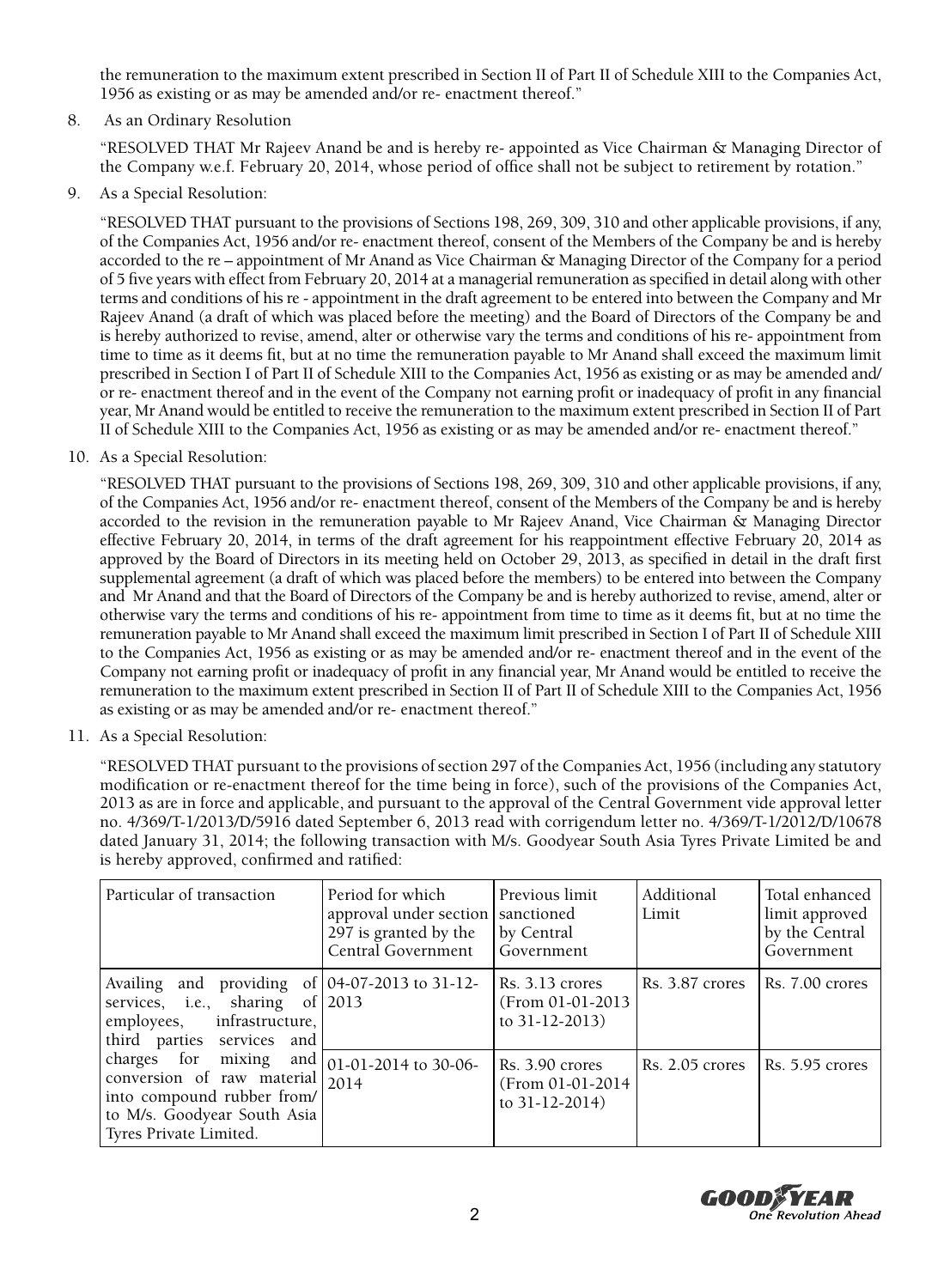the remuneration to the maximum extent prescribed in Section II of Part II of Schedule XIII to the Companies Act, 1956 as existing or as may be amended and/or re- enactment thereof."

8. As an Ordinary Resolution

 "RESOLVED THAT Mr Rajeev Anand be and is hereby re- appointed as Vice Chairman & Managing Director of the Company w.e.f. February 20, 2014, whose period of office shall not be subject to retirement by rotation."

9. As a Special Resolution:

 "RESOLVED THAT pursuant to the provisions of Sections 198, 269, 309, 310 and other applicable provisions, if any, of the Companies Act, 1956 and/or re- enactment thereof, consent of the Members of the Company be and is hereby accorded to the re – appointment of Mr Anand as Vice Chairman & Managing Director of the Company for a period of 5 five years with effect from February 20, 2014 at a managerial remuneration as specified in detail along with other terms and conditions of his re - appointment in the draft agreement to be entered into between the Company and Mr Rajeev Anand (a draft of which was placed before the meeting) and the Board of Directors of the Company be and is hereby authorized to revise, amend, alter or otherwise vary the terms and conditions of his re- appointment from time to time as it deems fit, but at no time the remuneration payable to Mr Anand shall exceed the maximum limit prescribed in Section I of Part II of Schedule XIII to the Companies Act, 1956 as existing or as may be amended and/ or re- enactment thereof and in the event of the Company not earning profit or inadequacy of profit in any financial year, Mr Anand would be entitled to receive the remuneration to the maximum extent prescribed in Section II of Part II of Schedule XIII to the Companies Act, 1956 as existing or as may be amended and/or re- enactment thereof."

10. As a Special Resolution:

 "RESOLVED THAT pursuant to the provisions of Sections 198, 269, 309, 310 and other applicable provisions, if any, of the Companies Act, 1956 and/or re- enactment thereof, consent of the Members of the Company be and is hereby accorded to the revision in the remuneration payable to Mr Rajeev Anand, Vice Chairman & Managing Director effective February 20, 2014, in terms of the draft agreement for his reappointment effective February 20, 2014 as approved by the Board of Directors in its meeting held on October 29, 2013, as specified in detail in the draft first supplemental agreement (a draft of which was placed before the members) to be entered into between the Company and Mr Anand and that the Board of Directors of the Company be and is hereby authorized to revise, amend, alter or otherwise vary the terms and conditions of his re- appointment from time to time as it deems fit, but at no time the remuneration payable to Mr Anand shall exceed the maximum limit prescribed in Section I of Part II of Schedule XIII to the Companies Act, 1956 as existing or as may be amended and/or re- enactment thereof and in the event of the Company not earning profit or inadequacy of profit in any financial year, Mr Anand would be entitled to receive the remuneration to the maximum extent prescribed in Section II of Part II of Schedule XIII to the Companies Act, 1956 as existing or as may be amended and/or re- enactment thereof."

11. As a Special Resolution:

 "RESOLVED THAT pursuant to the provisions of section 297 of the Companies Act, 1956 (including any statutory modification or re-enactment thereof for the time being in force), such of the provisions of the Companies Act, 2013 as are in force and applicable, and pursuant to the approval of the Central Government vide approval letter no. 4/369/T-1/2013/D/5916 dated September 6, 2013 read with corrigendum letter no. 4/369/T-1/2012/D/10678 dated January 31, 2014; the following transaction with M/s. Goodyear South Asia Tyres Private Limited be and is hereby approved, confirmed and ratified:

| Particular of transaction                                                                                                                         | Period for which<br>approval under section   sanctioned<br>297 is granted by the<br>Central Government | Previous limit<br>by Central<br>Government                    | Additional<br>Limit | Total enhanced<br>limit approved<br>by the Central<br>Government |
|---------------------------------------------------------------------------------------------------------------------------------------------------|--------------------------------------------------------------------------------------------------------|---------------------------------------------------------------|---------------------|------------------------------------------------------------------|
| Availing and providing of $(04-07-2013)$ to 31-12-<br>services, i.e., sharing of 2013<br>employees, infrastructure,<br>third parties services and |                                                                                                        | $Rs. 3.13$ crores<br>(From 01-01-2013)<br>to $31 - 12 - 2013$ | Rs. 3.87 crores     | Rs. 7.00 crores                                                  |
| charges for mixing<br>conversion of raw material $ 2014$<br>into compound rubber from/<br>to M/s. Goodyear South Asia<br>Tyres Private Limited.   | and $ 01-01-2014$ to 30-06-                                                                            | Rs. 3.90 crores<br>(From 01-01-2014)<br>to $31 - 12 - 2014$ ) | $Rs. 2.05$ crores   | Rs. 5.95 crores                                                  |

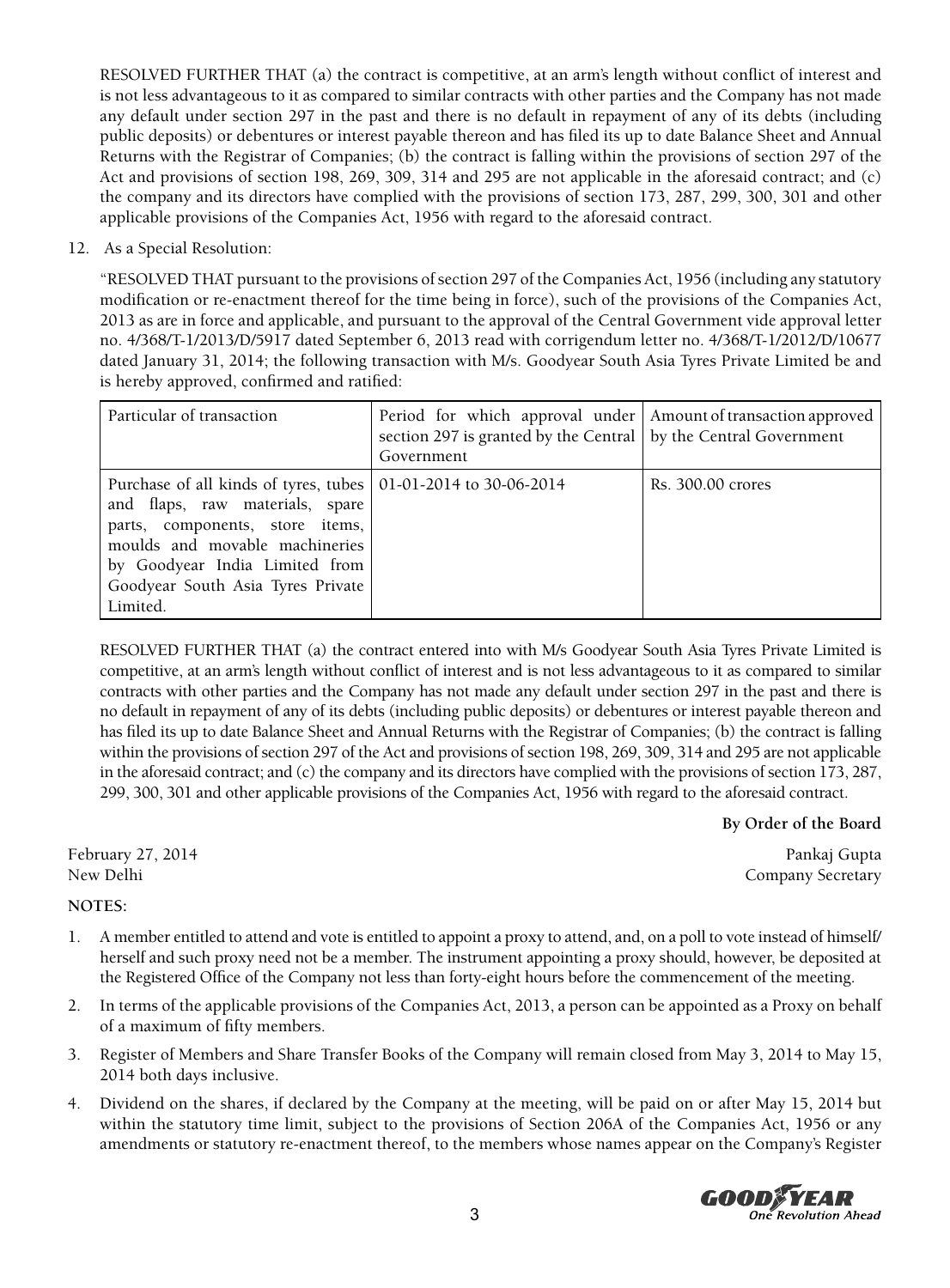RESOLVED FURTHER THAT (a) the contract is competitive, at an arm's length without conflict of interest and is not less advantageous to it as compared to similar contracts with other parties and the Company has not made any default under section 297 in the past and there is no default in repayment of any of its debts (including public deposits) or debentures or interest payable thereon and has filed its up to date Balance Sheet and Annual Returns with the Registrar of Companies; (b) the contract is falling within the provisions of section 297 of the Act and provisions of section 198, 269, 309, 314 and 295 are not applicable in the aforesaid contract; and (c) the company and its directors have complied with the provisions of section 173, 287, 299, 300, 301 and other applicable provisions of the Companies Act, 1956 with regard to the aforesaid contract.

12. As a Special Resolution:

 "RESOLVED THAT pursuant to the provisions of section 297 of the Companies Act, 1956 (including any statutory modification or re-enactment thereof for the time being in force), such of the provisions of the Companies Act, 2013 as are in force and applicable, and pursuant to the approval of the Central Government vide approval letter no. 4/368/T-1/2013/D/5917 dated September 6, 2013 read with corrigendum letter no. 4/368/T-1/2012/D/10677 dated January 31, 2014; the following transaction with M/s. Goodyear South Asia Tyres Private Limited be and is hereby approved, confirmed and ratified:

| Particular of transaction                                                                                                                                                                                                                                         | Period for which approval under   Amount of transaction approved<br>section 297 is granted by the Central   by the Central Government<br>Government |                   |
|-------------------------------------------------------------------------------------------------------------------------------------------------------------------------------------------------------------------------------------------------------------------|-----------------------------------------------------------------------------------------------------------------------------------------------------|-------------------|
| Purchase of all kinds of tyres, tubes $\vert$ 01-01-2014 to 30-06-2014<br>and flaps, raw materials, spare<br>parts, components, store items,<br>moulds and movable machineries<br>by Goodyear India Limited from<br>Goodyear South Asia Tyres Private<br>Limited. |                                                                                                                                                     | Rs. 300.00 crores |

 RESOLVED FURTHER THAT (a) the contract entered into with M/s Goodyear South Asia Tyres Private Limited is competitive, at an arm's length without conflict of interest and is not less advantageous to it as compared to similar contracts with other parties and the Company has not made any default under section 297 in the past and there is no default in repayment of any of its debts (including public deposits) or debentures or interest payable thereon and has filed its up to date Balance Sheet and Annual Returns with the Registrar of Companies; (b) the contract is falling within the provisions of section 297 of the Act and provisions of section 198, 269, 309, 314 and 295 are not applicable in the aforesaid contract; and (c) the company and its directors have complied with the provisions of section 173, 287, 299, 300, 301 and other applicable provisions of the Companies Act, 1956 with regard to the aforesaid contract.

#### **By Order of the Board**

February 27, 2014 **Pankaj Gupta** Pankaj Gupta New Delhi Company Secretary

#### **NOTES:**

- 1. A member entitled to attend and vote is entitled to appoint a proxy to attend, and, on a poll to vote instead of himself/ herself and such proxy need not be a member. The instrument appointing a proxy should, however, be deposited at the Registered Office of the Company not less than forty-eight hours before the commencement of the meeting.
- 2. In terms of the applicable provisions of the Companies Act, 2013, a person can be appointed as a Proxy on behalf of a maximum of fifty members.
- 3. Register of Members and Share Transfer Books of the Company will remain closed from May 3, 2014 to May 15, 2014 both days inclusive.
- 4. Dividend on the shares, if declared by the Company at the meeting, will be paid on or after May 15, 2014 but within the statutory time limit, subject to the provisions of Section 206A of the Companies Act, 1956 or any amendments or statutory re-enactment thereof, to the members whose names appear on the Company's Register

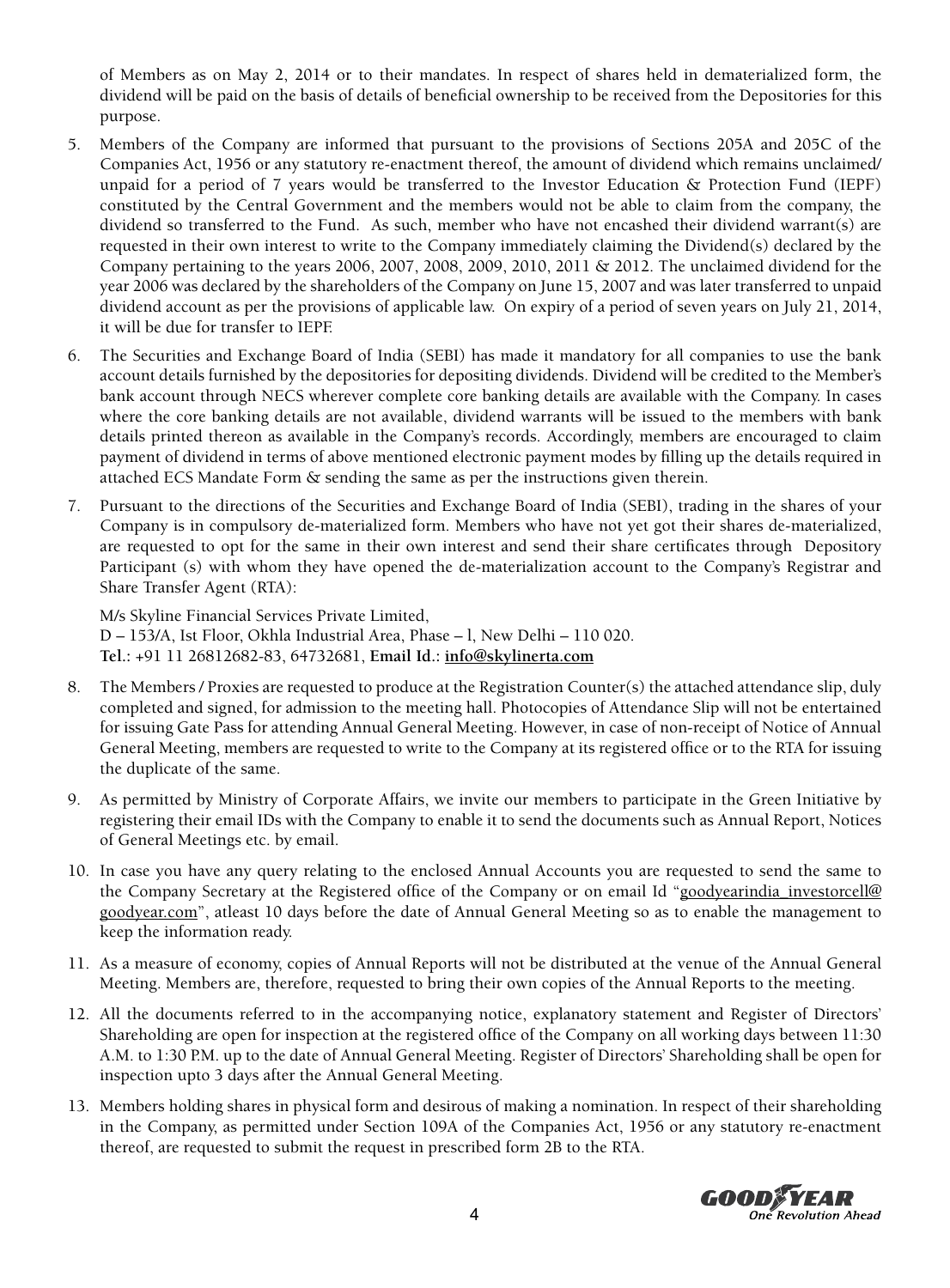of Members as on May 2, 2014 or to their mandates. In respect of shares held in dematerialized form, the dividend will be paid on the basis of details of beneficial ownership to be received from the Depositories for this purpose.

- 5. Members of the Company are informed that pursuant to the provisions of Sections 205A and 205C of the Companies Act, 1956 or any statutory re-enactment thereof, the amount of dividend which remains unclaimed/ unpaid for a period of 7 years would be transferred to the Investor Education & Protection Fund (IEPF) constituted by the Central Government and the members would not be able to claim from the company, the dividend so transferred to the Fund. As such, member who have not encashed their dividend warrant(s) are requested in their own interest to write to the Company immediately claiming the Dividend(s) declared by the Company pertaining to the years 2006, 2007, 2008, 2009, 2010, 2011 & 2012. The unclaimed dividend for the year 2006 was declared by the shareholders of the Company on June 15, 2007 and was later transferred to unpaid dividend account as per the provisions of applicable law. On expiry of a period of seven years on July 21, 2014, it will be due for transfer to IEPF.
- 6. The Securities and Exchange Board of India (SEBI) has made it mandatory for all companies to use the bank account details furnished by the depositories for depositing dividends. Dividend will be credited to the Member's bank account through NECS wherever complete core banking details are available with the Company. In cases where the core banking details are not available, dividend warrants will be issued to the members with bank details printed thereon as available in the Company's records. Accordingly, members are encouraged to claim payment of dividend in terms of above mentioned electronic payment modes by filling up the details required in attached ECS Mandate Form & sending the same as per the instructions given therein.
- 7. Pursuant to the directions of the Securities and Exchange Board of India (SEBI), trading in the shares of your Company is in compulsory de-materialized form. Members who have not yet got their shares de-materialized, are requested to opt for the same in their own interest and send their share certificates through Depository Participant (s) with whom they have opened the de-materialization account to the Company's Registrar and Share Transfer Agent (RTA):

M/s Skyline Financial Services Private Limited, D – 153/A, Ist Floor, Okhla Industrial Area, Phase – l, New Delhi – 110 020. **Tel.:** +91 11 26812682-83, 64732681, **Email Id.: info@skylinerta.com**

- 8. The Members / Proxies are requested to produce at the Registration Counter(s) the attached attendance slip, duly completed and signed, for admission to the meeting hall. Photocopies of Attendance Slip will not be entertained for issuing Gate Pass for attending Annual General Meeting. However, in case of non-receipt of Notice of Annual General Meeting, members are requested to write to the Company at its registered office or to the RTA for issuing the duplicate of the same.
- 9. As permitted by Ministry of Corporate Affairs, we invite our members to participate in the Green Initiative by registering their email IDs with the Company to enable it to send the documents such as Annual Report, Notices of General Meetings etc. by email.
- 10. In case you have any query relating to the enclosed Annual Accounts you are requested to send the same to the Company Secretary at the Registered office of the Company or on email Id "goodyearindia\_investorcell@ goodyear.com", atleast 10 days before the date of Annual General Meeting so as to enable the management to keep the information ready.
- 11. As a measure of economy, copies of Annual Reports will not be distributed at the venue of the Annual General Meeting. Members are, therefore, requested to bring their own copies of the Annual Reports to the meeting.
- 12. All the documents referred to in the accompanying notice, explanatory statement and Register of Directors' Shareholding are open for inspection at the registered office of the Company on all working days between 11:30 A.M. to 1:30 P.M. up to the date of Annual General Meeting. Register of Directors' Shareholding shall be open for inspection upto 3 days after the Annual General Meeting.
- 13. Members holding shares in physical form and desirous of making a nomination. In respect of their shareholding in the Company, as permitted under Section 109A of the Companies Act, 1956 or any statutory re-enactment thereof, are requested to submit the request in prescribed form 2B to the RTA.

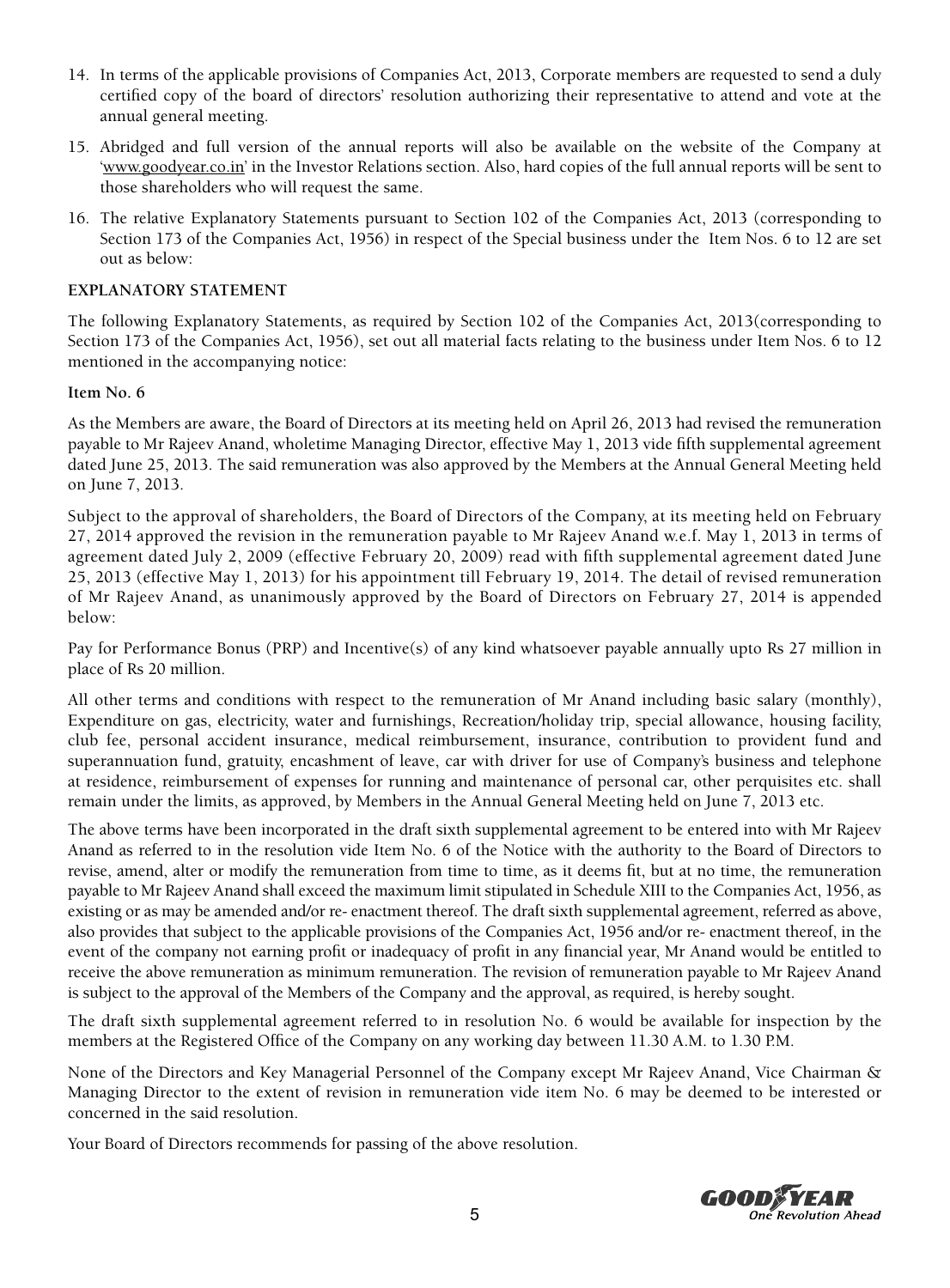- 14. In terms of the applicable provisions of Companies Act, 2013, Corporate members are requested to send a duly certified copy of the board of directors' resolution authorizing their representative to attend and vote at the annual general meeting.
- 15. Abridged and full version of the annual reports will also be available on the website of the Company at 'www.goodyear.co.in' in the Investor Relations section. Also, hard copies of the full annual reports will be sent to those shareholders who will request the same.
- 16. The relative Explanatory Statements pursuant to Section 102 of the Companies Act, 2013 (corresponding to Section 173 of the Companies Act, 1956) in respect of the Special business under the Item Nos. 6 to 12 are set out as below:

#### **EXPLANATORY STATEMENT**

The following Explanatory Statements, as required by Section 102 of the Companies Act, 2013(corresponding to Section 173 of the Companies Act, 1956), set out all material facts relating to the business under Item Nos. 6 to 12 mentioned in the accompanying notice:

#### **Item No. 6**

As the Members are aware, the Board of Directors at its meeting held on April 26, 2013 had revised the remuneration payable to Mr Rajeev Anand, wholetime Managing Director, effective May 1, 2013 vide fifth supplemental agreement dated June 25, 2013. The said remuneration was also approved by the Members at the Annual General Meeting held on June 7, 2013.

Subject to the approval of shareholders, the Board of Directors of the Company, at its meeting held on February 27, 2014 approved the revision in the remuneration payable to Mr Rajeev Anand w.e.f. May 1, 2013 in terms of agreement dated July 2, 2009 (effective February 20, 2009) read with fifth supplemental agreement dated June 25, 2013 (effective May 1, 2013) for his appointment till February 19, 2014. The detail of revised remuneration of Mr Rajeev Anand, as unanimously approved by the Board of Directors on February 27, 2014 is appended below:

Pay for Performance Bonus (PRP) and Incentive(s) of any kind whatsoever payable annually upto Rs 27 million in place of Rs 20 million.

All other terms and conditions with respect to the remuneration of Mr Anand including basic salary (monthly), Expenditure on gas, electricity, water and furnishings, Recreation/holiday trip, special allowance, housing facility, club fee, personal accident insurance, medical reimbursement, insurance, contribution to provident fund and superannuation fund, gratuity, encashment of leave, car with driver for use of Company's business and telephone at residence, reimbursement of expenses for running and maintenance of personal car, other perquisites etc. shall remain under the limits, as approved, by Members in the Annual General Meeting held on June 7, 2013 etc.

The above terms have been incorporated in the draft sixth supplemental agreement to be entered into with Mr Rajeev Anand as referred to in the resolution vide Item No. 6 of the Notice with the authority to the Board of Directors to revise, amend, alter or modify the remuneration from time to time, as it deems fit, but at no time, the remuneration payable to Mr Rajeev Anand shall exceed the maximum limit stipulated in Schedule XIII to the Companies Act, 1956, as existing or as may be amended and/or re- enactment thereof. The draft sixth supplemental agreement, referred as above, also provides that subject to the applicable provisions of the Companies Act, 1956 and/or re- enactment thereof, in the event of the company not earning profit or inadequacy of profit in any financial year, Mr Anand would be entitled to receive the above remuneration as minimum remuneration. The revision of remuneration payable to Mr Rajeev Anand is subject to the approval of the Members of the Company and the approval, as required, is hereby sought.

The draft sixth supplemental agreement referred to in resolution No. 6 would be available for inspection by the members at the Registered Office of the Company on any working day between 11.30 A.M. to 1.30 P.M.

None of the Directors and Key Managerial Personnel of the Company except Mr Rajeev Anand, Vice Chairman & Managing Director to the extent of revision in remuneration vide item No. 6 may be deemed to be interested or concerned in the said resolution.

Your Board of Directors recommends for passing of the above resolution.

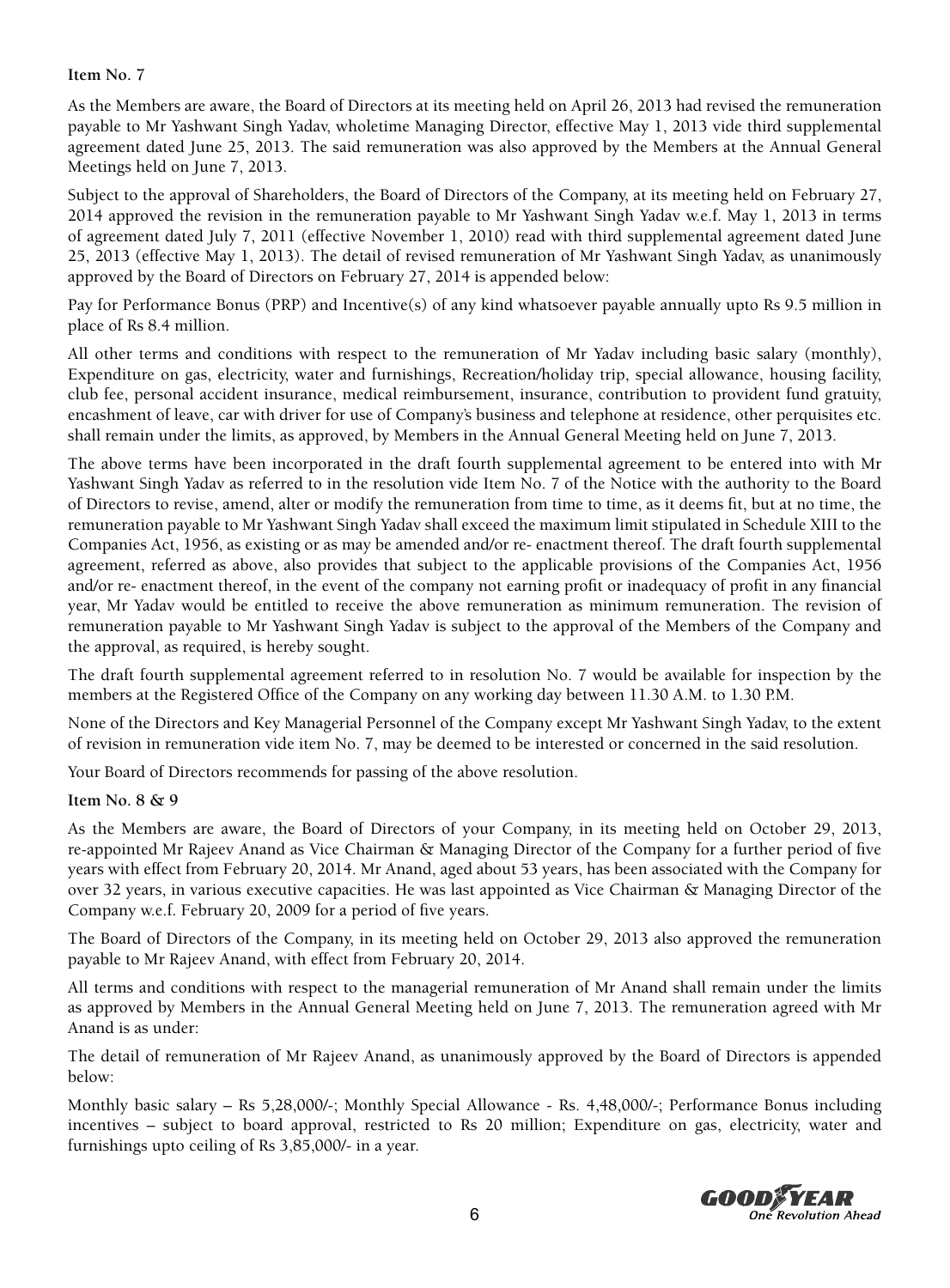#### **Item No. 7**

As the Members are aware, the Board of Directors at its meeting held on April 26, 2013 had revised the remuneration payable to Mr Yashwant Singh Yadav, wholetime Managing Director, effective May 1, 2013 vide third supplemental agreement dated June 25, 2013. The said remuneration was also approved by the Members at the Annual General Meetings held on June 7, 2013.

Subject to the approval of Shareholders, the Board of Directors of the Company, at its meeting held on February 27, 2014 approved the revision in the remuneration payable to Mr Yashwant Singh Yadav w.e.f. May 1, 2013 in terms of agreement dated July 7, 2011 (effective November 1, 2010) read with third supplemental agreement dated June 25, 2013 (effective May 1, 2013). The detail of revised remuneration of Mr Yashwant Singh Yadav, as unanimously approved by the Board of Directors on February 27, 2014 is appended below:

Pay for Performance Bonus (PRP) and Incentive(s) of any kind whatsoever payable annually upto Rs 9.5 million in place of Rs 8.4 million.

All other terms and conditions with respect to the remuneration of Mr Yadav including basic salary (monthly), Expenditure on gas, electricity, water and furnishings, Recreation/holiday trip, special allowance, housing facility, club fee, personal accident insurance, medical reimbursement, insurance, contribution to provident fund gratuity, encashment of leave, car with driver for use of Company's business and telephone at residence, other perquisites etc. shall remain under the limits, as approved, by Members in the Annual General Meeting held on June 7, 2013.

The above terms have been incorporated in the draft fourth supplemental agreement to be entered into with Mr Yashwant Singh Yadav as referred to in the resolution vide Item No. 7 of the Notice with the authority to the Board of Directors to revise, amend, alter or modify the remuneration from time to time, as it deems fit, but at no time, the remuneration payable to Mr Yashwant Singh Yadav shall exceed the maximum limit stipulated in Schedule XIII to the Companies Act, 1956, as existing or as may be amended and/or re- enactment thereof. The draft fourth supplemental agreement, referred as above, also provides that subject to the applicable provisions of the Companies Act, 1956 and/or re- enactment thereof, in the event of the company not earning profit or inadequacy of profit in any financial year, Mr Yadav would be entitled to receive the above remuneration as minimum remuneration. The revision of remuneration payable to Mr Yashwant Singh Yadav is subject to the approval of the Members of the Company and the approval, as required, is hereby sought.

The draft fourth supplemental agreement referred to in resolution No. 7 would be available for inspection by the members at the Registered Office of the Company on any working day between 11.30 A.M. to 1.30 P.M.

None of the Directors and Key Managerial Personnel of the Company except Mr Yashwant Singh Yadav, to the extent of revision in remuneration vide item No. 7, may be deemed to be interested or concerned in the said resolution.

Your Board of Directors recommends for passing of the above resolution.

#### **Item No. 8 & 9**

As the Members are aware, the Board of Directors of your Company, in its meeting held on October 29, 2013, re-appointed Mr Rajeev Anand as Vice Chairman & Managing Director of the Company for a further period of five years with effect from February 20, 2014. Mr Anand, aged about 53 years, has been associated with the Company for over 32 years, in various executive capacities. He was last appointed as Vice Chairman & Managing Director of the Company w.e.f. February 20, 2009 for a period of five years.

The Board of Directors of the Company, in its meeting held on October 29, 2013 also approved the remuneration payable to Mr Rajeev Anand, with effect from February 20, 2014.

All terms and conditions with respect to the managerial remuneration of Mr Anand shall remain under the limits as approved by Members in the Annual General Meeting held on June 7, 2013. The remuneration agreed with Mr Anand is as under:

The detail of remuneration of Mr Rajeev Anand, as unanimously approved by the Board of Directors is appended below:

Monthly basic salary – Rs 5,28,000/-; Monthly Special Allowance - Rs. 4,48,000/-; Performance Bonus including incentives – subject to board approval, restricted to Rs 20 million; Expenditure on gas, electricity, water and furnishings upto ceiling of Rs 3,85,000/- in a year.

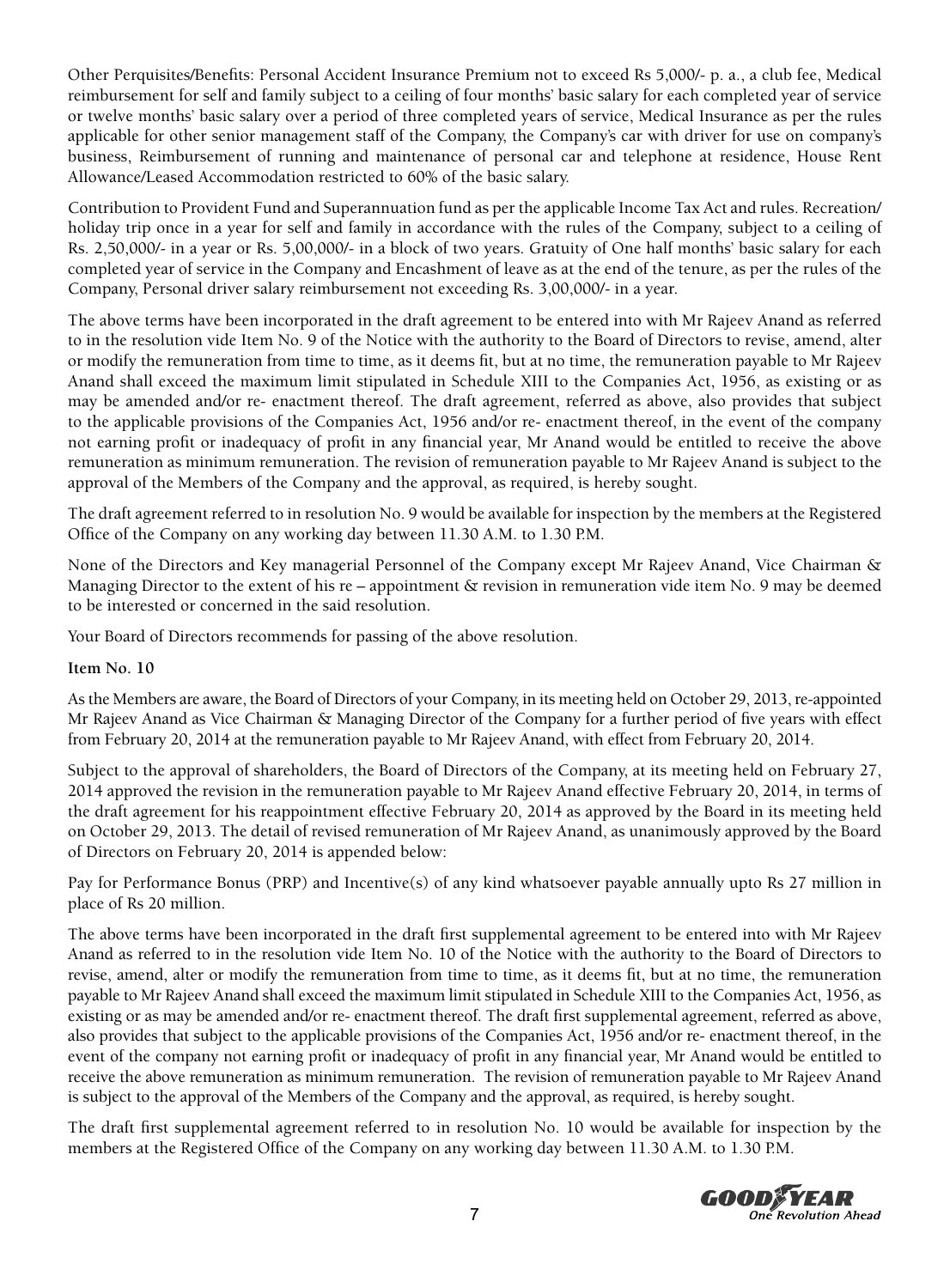Other Perquisites/Benefits: Personal Accident Insurance Premium not to exceed Rs 5,000/- p. a., a club fee, Medical reimbursement for self and family subject to a ceiling of four months' basic salary for each completed year of service or twelve months' basic salary over a period of three completed years of service, Medical Insurance as per the rules applicable for other senior management staff of the Company, the Company's car with driver for use on company's business, Reimbursement of running and maintenance of personal car and telephone at residence, House Rent Allowance/Leased Accommodation restricted to 60% of the basic salary.

Contribution to Provident Fund and Superannuation fund as per the applicable Income Tax Act and rules. Recreation/ holiday trip once in a year for self and family in accordance with the rules of the Company, subject to a ceiling of Rs. 2,50,000/- in a year or Rs. 5,00,000/- in a block of two years. Gratuity of One half months' basic salary for each completed year of service in the Company and Encashment of leave as at the end of the tenure, as per the rules of the Company, Personal driver salary reimbursement not exceeding Rs. 3,00,000/- in a year.

The above terms have been incorporated in the draft agreement to be entered into with Mr Rajeev Anand as referred to in the resolution vide Item No. 9 of the Notice with the authority to the Board of Directors to revise, amend, alter or modify the remuneration from time to time, as it deems fit, but at no time, the remuneration payable to Mr Rajeev Anand shall exceed the maximum limit stipulated in Schedule XIII to the Companies Act, 1956, as existing or as may be amended and/or re- enactment thereof. The draft agreement, referred as above, also provides that subject to the applicable provisions of the Companies Act, 1956 and/or re- enactment thereof, in the event of the company not earning profit or inadequacy of profit in any financial year, Mr Anand would be entitled to receive the above remuneration as minimum remuneration. The revision of remuneration payable to Mr Rajeev Anand is subject to the approval of the Members of the Company and the approval, as required, is hereby sought.

The draft agreement referred to in resolution No. 9 would be available for inspection by the members at the Registered Office of the Company on any working day between 11.30 A.M. to 1.30 P.M.

None of the Directors and Key managerial Personnel of the Company except Mr Rajeev Anand, Vice Chairman & Managing Director to the extent of his re – appointment & revision in remuneration vide item No. 9 may be deemed to be interested or concerned in the said resolution.

Your Board of Directors recommends for passing of the above resolution.

#### **Item No. 10**

As the Members are aware, the Board of Directors of your Company, in its meeting held on October 29, 2013, re-appointed Mr Rajeev Anand as Vice Chairman & Managing Director of the Company for a further period of five years with effect from February 20, 2014 at the remuneration payable to Mr Rajeev Anand, with effect from February 20, 2014.

Subject to the approval of shareholders, the Board of Directors of the Company, at its meeting held on February 27, 2014 approved the revision in the remuneration payable to Mr Rajeev Anand effective February 20, 2014, in terms of the draft agreement for his reappointment effective February 20, 2014 as approved by the Board in its meeting held on October 29, 2013. The detail of revised remuneration of Mr Rajeev Anand, as unanimously approved by the Board of Directors on February 20, 2014 is appended below:

Pay for Performance Bonus (PRP) and Incentive(s) of any kind whatsoever payable annually upto Rs 27 million in place of Rs 20 million.

The above terms have been incorporated in the draft first supplemental agreement to be entered into with Mr Rajeev Anand as referred to in the resolution vide Item No. 10 of the Notice with the authority to the Board of Directors to revise, amend, alter or modify the remuneration from time to time, as it deems fit, but at no time, the remuneration payable to Mr Rajeev Anand shall exceed the maximum limit stipulated in Schedule XIII to the Companies Act, 1956, as existing or as may be amended and/or re- enactment thereof. The draft first supplemental agreement, referred as above, also provides that subject to the applicable provisions of the Companies Act, 1956 and/or re- enactment thereof, in the event of the company not earning profit or inadequacy of profit in any financial year, Mr Anand would be entitled to receive the above remuneration as minimum remuneration. The revision of remuneration payable to Mr Rajeev Anand is subject to the approval of the Members of the Company and the approval, as required, is hereby sought.

The draft first supplemental agreement referred to in resolution No. 10 would be available for inspection by the members at the Registered Office of the Company on any working day between 11.30 A.M. to 1.30 P.M.

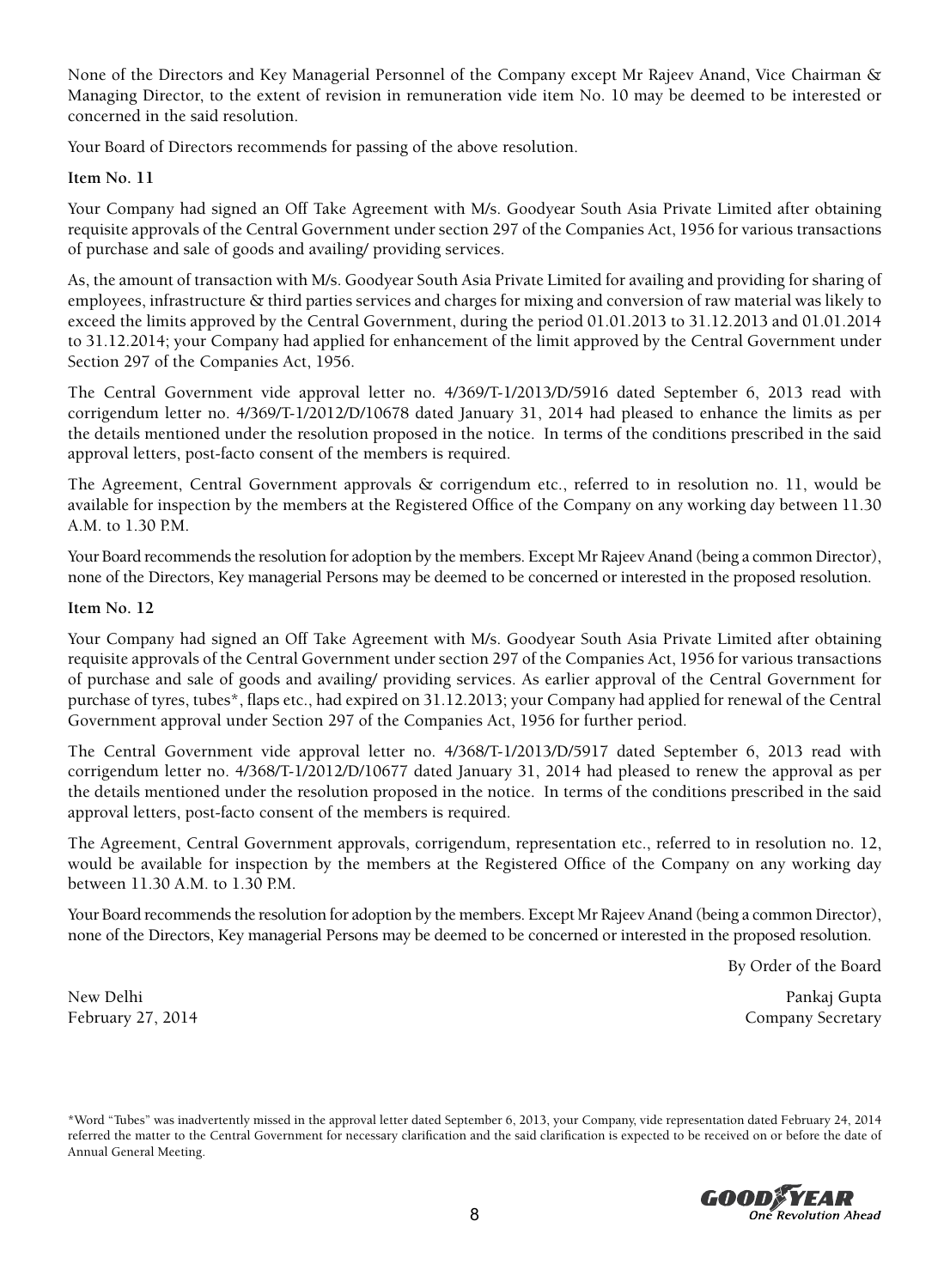None of the Directors and Key Managerial Personnel of the Company except Mr Rajeev Anand, Vice Chairman & Managing Director, to the extent of revision in remuneration vide item No. 10 may be deemed to be interested or concerned in the said resolution.

Your Board of Directors recommends for passing of the above resolution.

#### **Item No. 11**

Your Company had signed an Off Take Agreement with M/s. Goodyear South Asia Private Limited after obtaining requisite approvals of the Central Government under section 297 of the Companies Act, 1956 for various transactions of purchase and sale of goods and availing/ providing services.

As, the amount of transaction with M/s. Goodyear South Asia Private Limited for availing and providing for sharing of employees, infrastructure & third parties services and charges for mixing and conversion of raw material was likely to exceed the limits approved by the Central Government, during the period 01.01.2013 to 31.12.2013 and 01.01.2014 to 31.12.2014; your Company had applied for enhancement of the limit approved by the Central Government under Section 297 of the Companies Act, 1956.

The Central Government vide approval letter no. 4/369/T-1/2013/D/5916 dated September 6, 2013 read with corrigendum letter no. 4/369/T-1/2012/D/10678 dated January 31, 2014 had pleased to enhance the limits as per the details mentioned under the resolution proposed in the notice. In terms of the conditions prescribed in the said approval letters, post-facto consent of the members is required.

The Agreement, Central Government approvals & corrigendum etc., referred to in resolution no. 11, would be available for inspection by the members at the Registered Office of the Company on any working day between 11.30 A.M. to 1.30 P.M.

Your Board recommends the resolution for adoption by the members. Except Mr Rajeev Anand (being a common Director), none of the Directors, Key managerial Persons may be deemed to be concerned or interested in the proposed resolution.

#### **Item No. 12**

Your Company had signed an Off Take Agreement with M/s. Goodyear South Asia Private Limited after obtaining requisite approvals of the Central Government under section 297 of the Companies Act, 1956 for various transactions of purchase and sale of goods and availing/ providing services. As earlier approval of the Central Government for purchase of tyres, tubes\*, flaps etc., had expired on 31.12.2013; your Company had applied for renewal of the Central Government approval under Section 297 of the Companies Act, 1956 for further period.

The Central Government vide approval letter no. 4/368/T-1/2013/D/5917 dated September 6, 2013 read with corrigendum letter no. 4/368/T-1/2012/D/10677 dated January 31, 2014 had pleased to renew the approval as per the details mentioned under the resolution proposed in the notice. In terms of the conditions prescribed in the said approval letters, post-facto consent of the members is required.

The Agreement, Central Government approvals, corrigendum, representation etc., referred to in resolution no. 12, would be available for inspection by the members at the Registered Office of the Company on any working day between 11.30 A.M. to 1.30 P.M.

Your Board recommends the resolution for adoption by the members. Except Mr Rajeev Anand (being a common Director), none of the Directors, Key managerial Persons may be deemed to be concerned or interested in the proposed resolution.

By Order of the Board

New Delhi Pankaj Gupta (1999) - Pankaj Gupta (1999) - Pankaj Gupta (1999) - Pankaj Gupta (1999) - Pankaj Gupta February 27, 2014 Company Secretary

\*Word "Tubes" was inadvertently missed in the approval letter dated September 6, 2013, your Company, vide representation dated February 24, 2014 referred the matter to the Central Government for necessary clarification and the said clarification is expected to be received on or before the date of Annual General Meeting.

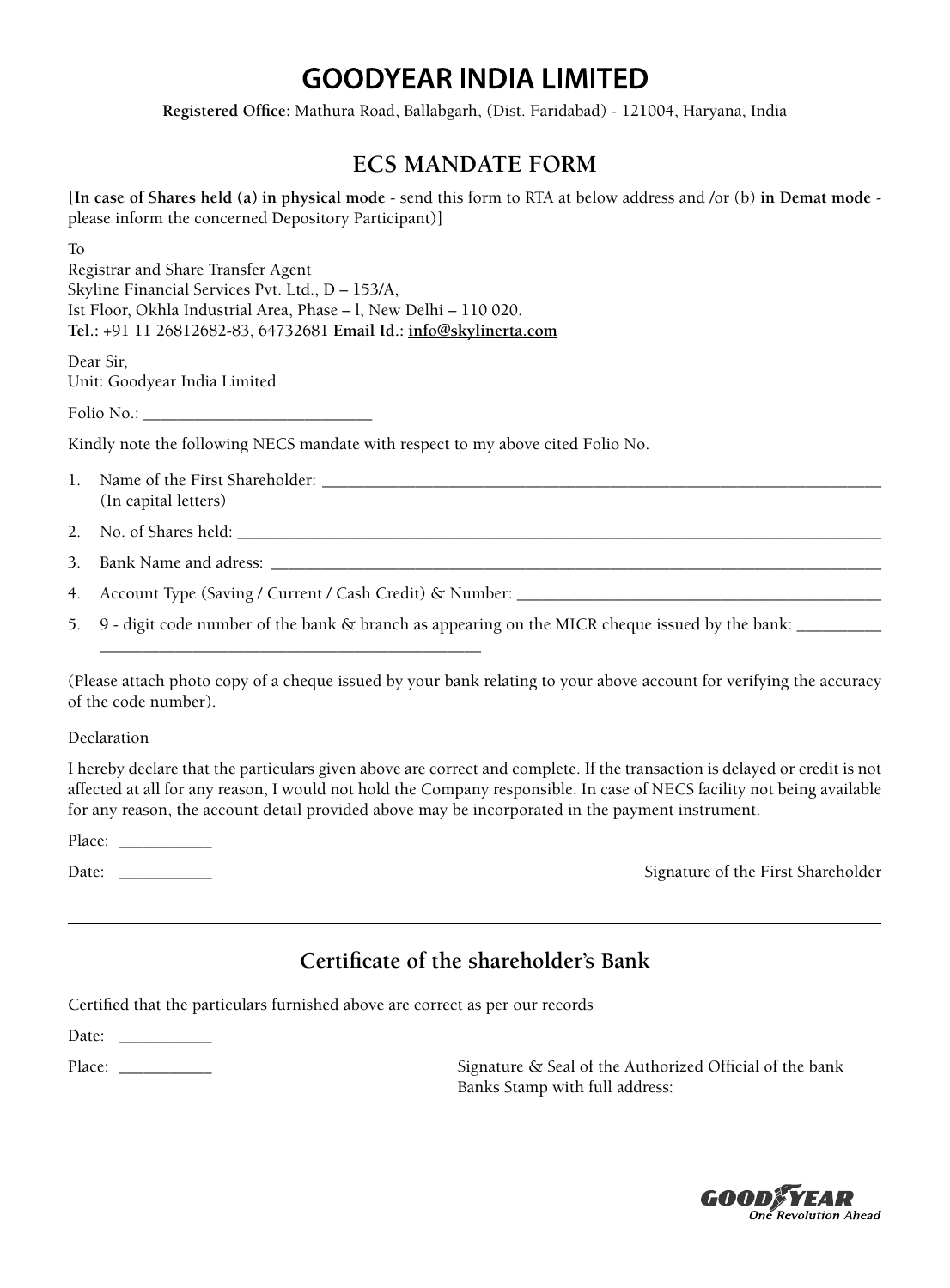**Registered Office:** Mathura Road, Ballabgarh, (Dist. Faridabad) - 121004, Haryana, India

### **ECS MANDATE FORM**

[**In case of Shares held (a) in physical mode** - send this form to RTA at below address and /or (b) **in Demat mode** please inform the concerned Depository Participant)]

| $\mathbf{1}$ |                                                                                                                                                                                                                                 |
|--------------|---------------------------------------------------------------------------------------------------------------------------------------------------------------------------------------------------------------------------------|
|              | Registrar and Share Transfer Agent                                                                                                                                                                                              |
|              | Skyline Financial Services Pvt. Ltd., D - 153/A,                                                                                                                                                                                |
|              | Ist Floor, Okhla Industrial Area, Phase - l, New Delhi - 110 020.                                                                                                                                                               |
|              | Tel.: +91 11 26812682-83, 64732681 Email Id.: info@skylinerta.com                                                                                                                                                               |
|              | Dear Sir,                                                                                                                                                                                                                       |
|              | Unit: Goodyear India Limited                                                                                                                                                                                                    |
|              |                                                                                                                                                                                                                                 |
|              |                                                                                                                                                                                                                                 |
|              | Kindly note the following NECS mandate with respect to my above cited Folio No.                                                                                                                                                 |
|              |                                                                                                                                                                                                                                 |
|              | (In capital letters)                                                                                                                                                                                                            |
|              |                                                                                                                                                                                                                                 |
| 3.           |                                                                                                                                                                                                                                 |
| 4.           | Account Type (Saving / Current / Cash Credit) & Number:                                                                                                                                                                         |
| 5.           | 9 - digit code number of the bank & branch as appearing on the MICR cheque issued by the bank: __________                                                                                                                       |
|              | the control of the control of the control of the control of the control of the control of the control of the control of the control of the control of the control of the control of the control of the control of the control   |
|              | $\sim$ , and the state of the state of the state of the state of the state of the state of the state of the state of the state of the state of the state of the state of the state of the state of the state of the state of th |

(Please attach photo copy of a cheque issued by your bank relating to your above account for verifying the accuracy of the code number).

Declaration

 $\mathbf{L}$ 

I hereby declare that the particulars given above are correct and complete. If the transaction is delayed or credit is not affected at all for any reason, I would not hold the Company responsible. In case of NECS facility not being available for any reason, the account detail provided above may be incorporated in the payment instrument.

Place:

Date: \_\_\_\_\_\_\_\_\_\_\_ Signature of the First Shareholder

## **Certificate of the shareholder's Bank**

Certified that the particulars furnished above are correct as per our records

Date: \_\_\_\_\_\_\_\_\_\_\_

Place: \_\_\_\_\_\_\_\_\_\_\_\_\_\_ Signature & Seal of the Authorized Official of the bank Banks Stamp with full address:

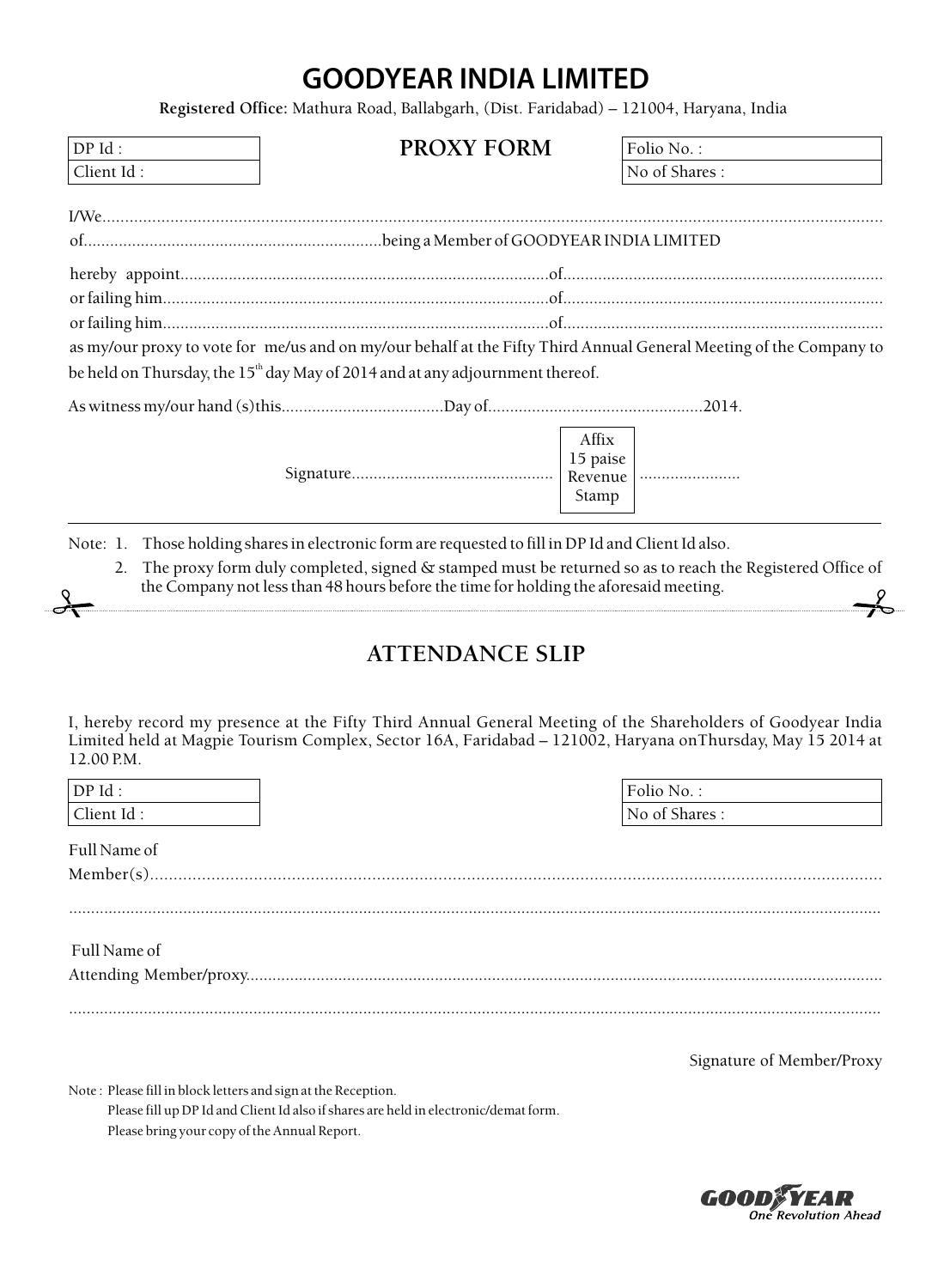**Registered Office:** Mathura Road, Ballabgarh, (Dist. Faridabad) – 121004, Haryana, India

| DP Id:               | <b>PROXY FORM</b>                                                                                                                                                                                                          | Folio No.:                  |
|----------------------|----------------------------------------------------------------------------------------------------------------------------------------------------------------------------------------------------------------------------|-----------------------------|
| Client Id:           |                                                                                                                                                                                                                            | No of Shares:               |
|                      |                                                                                                                                                                                                                            |                             |
|                      |                                                                                                                                                                                                                            |                             |
|                      |                                                                                                                                                                                                                            |                             |
|                      |                                                                                                                                                                                                                            |                             |
|                      |                                                                                                                                                                                                                            |                             |
|                      | as my/our proxy to vote for me/us and on my/our behalf at the Fifty Third Annual General Meeting of the Company to                                                                                                         |                             |
|                      | be held on Thursday, the $15th$ day May of 2014 and at any adjournment thereof.                                                                                                                                            |                             |
|                      |                                                                                                                                                                                                                            |                             |
|                      |                                                                                                                                                                                                                            | Affix                       |
|                      |                                                                                                                                                                                                                            |                             |
|                      |                                                                                                                                                                                                                            | Stamp                       |
| 2.                   | The proxy form duly completed, signed & stamped must be returned so as to reach the Registered Office of<br>the Company not less than 48 hours before the time for holding the aforesaid meeting.                          |                             |
|                      | <b>ATTENDANCE SLIP</b>                                                                                                                                                                                                     |                             |
|                      |                                                                                                                                                                                                                            |                             |
| 12.00 P.M.           | I, hereby record my presence at the Fifty Third Annual General Meeting of the Shareholders of Goodyear India<br>Limited held at Magpie Tourism Complex, Sector 16A, Faridabad - 121002, Haryana onThursday, May 15 2014 at |                             |
|                      |                                                                                                                                                                                                                            |                             |
| DP Id:<br>Client Id: |                                                                                                                                                                                                                            | Folio No.:<br>No of Shares: |
|                      |                                                                                                                                                                                                                            |                             |
| Full Name of         |                                                                                                                                                                                                                            |                             |
|                      |                                                                                                                                                                                                                            |                             |
|                      |                                                                                                                                                                                                                            |                             |
| Full Name of         |                                                                                                                                                                                                                            |                             |
|                      |                                                                                                                                                                                                                            |                             |
|                      |                                                                                                                                                                                                                            |                             |
|                      |                                                                                                                                                                                                                            | Signature of Member/Proxy   |

Please fill up DP Id and Client Id also if shares are held in electronic/demat form. Please bring your copy of the Annual Report.

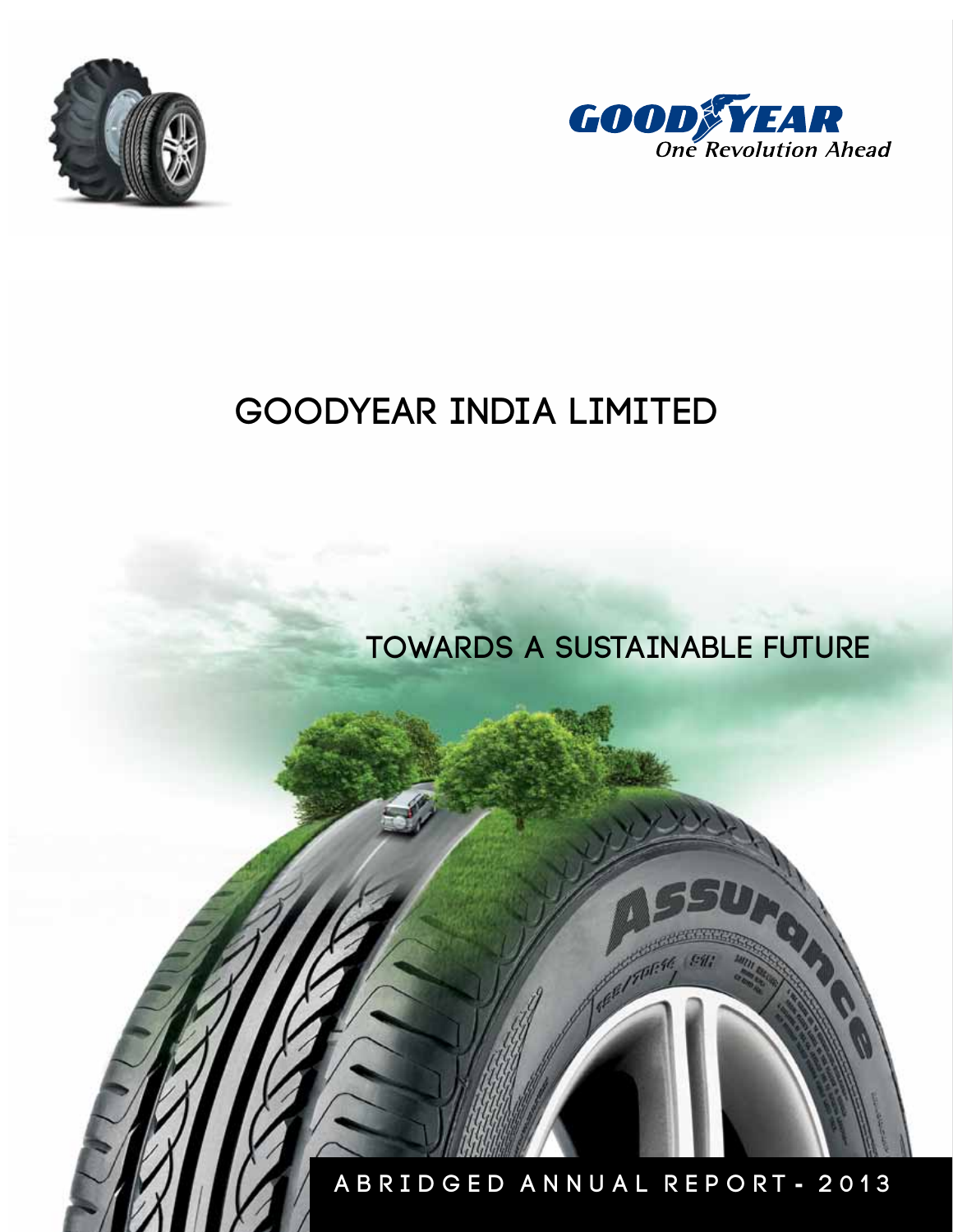



## **Towards a sustainable future**

**A B R I D G E D a n n u a l r e p o r t - 2 0 1 3**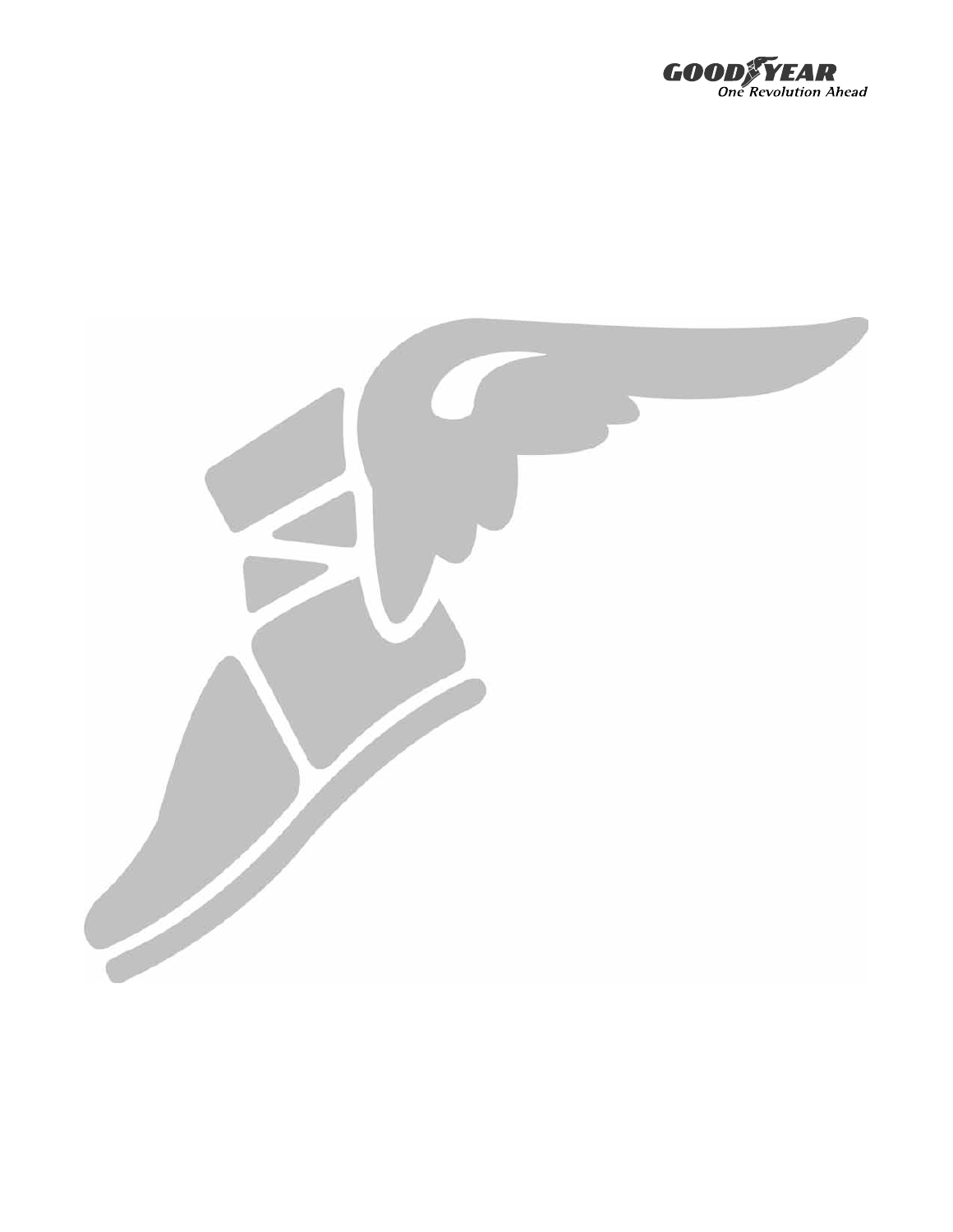

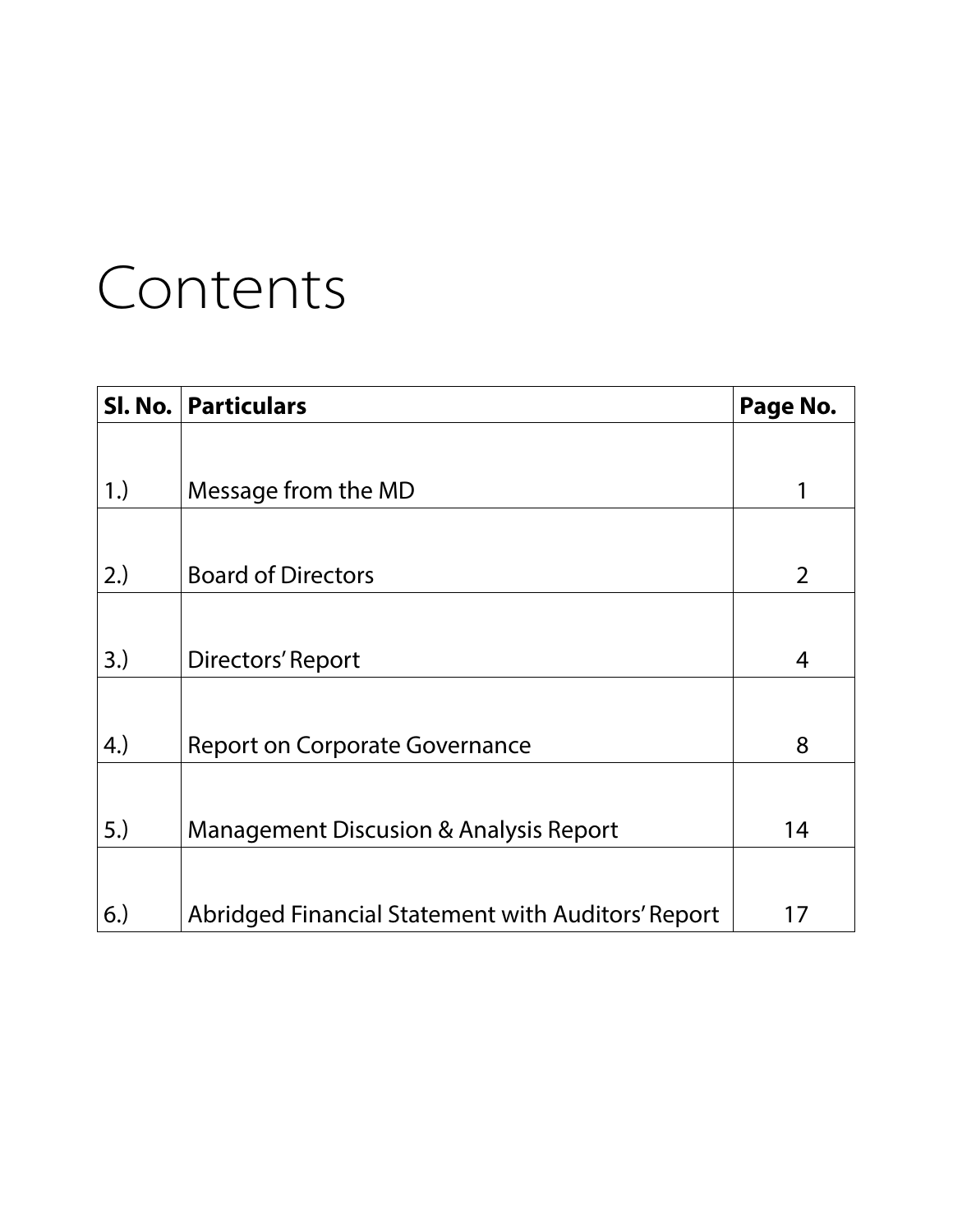# Contents

|     | <b>SI. No. Particulars</b>                         | Page No.       |
|-----|----------------------------------------------------|----------------|
|     |                                                    |                |
| 1.) | Message from the MD                                | 1              |
|     |                                                    |                |
| 2.) | <b>Board of Directors</b>                          | $\overline{2}$ |
|     |                                                    |                |
| 3.) | Directors' Report                                  | 4              |
|     |                                                    |                |
| 4.) | <b>Report on Corporate Governance</b>              | 8              |
|     |                                                    |                |
| 5.) | Management Discusion & Analysis Report             | 14             |
|     |                                                    |                |
| 6.) | Abridged Financial Statement with Auditors' Report | 17             |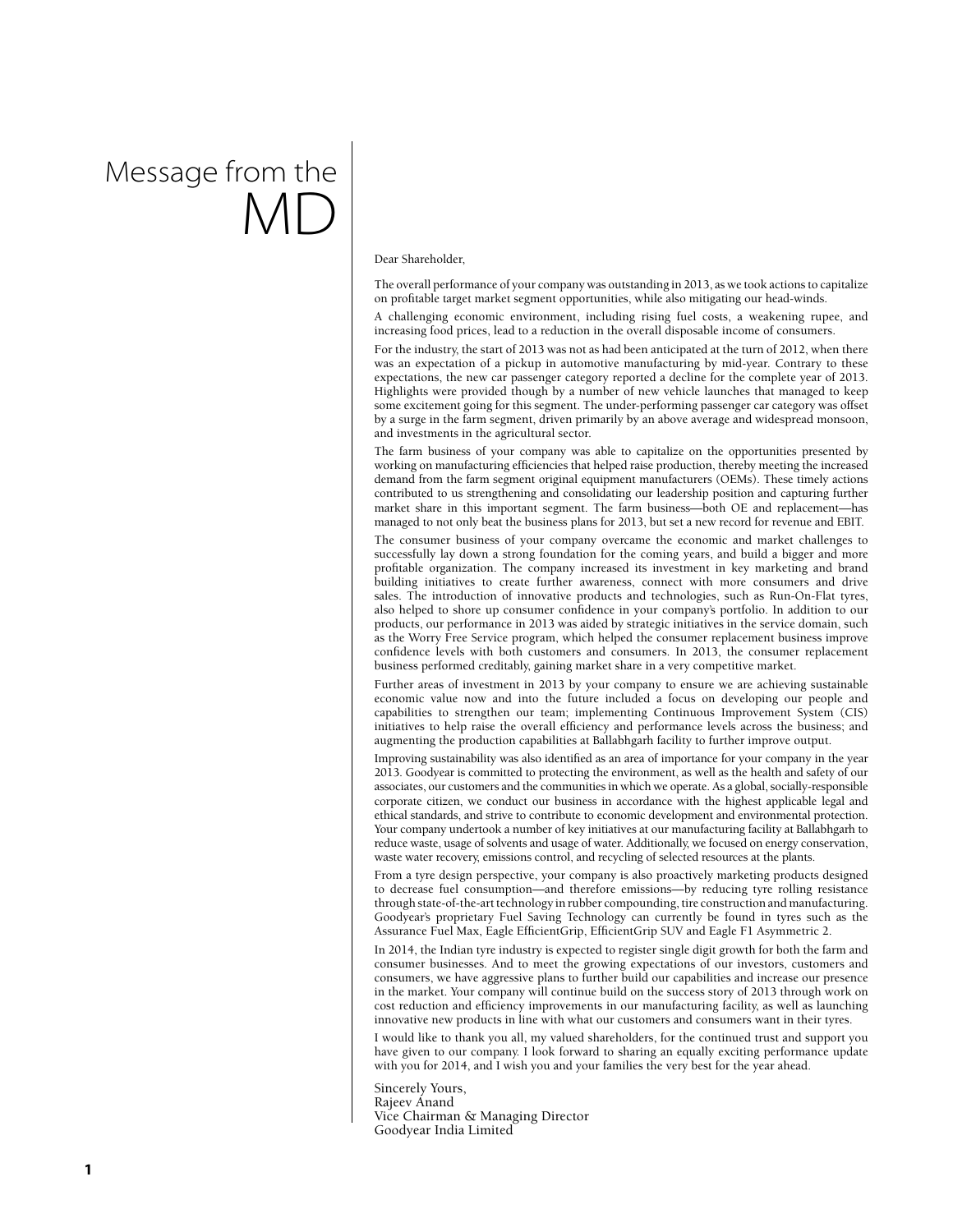# Message from the MD

#### Dear Shareholder,

The overall performance of your company was outstanding in 2013, as we took actions to capitalize on profitable target market segment opportunities, while also mitigating our head-winds.

A challenging economic environment, including rising fuel costs, a weakening rupee, and increasing food prices, lead to a reduction in the overall disposable income of consumers.

For the industry, the start of 2013 was not as had been anticipated at the turn of 2012, when there was an expectation of a pickup in automotive manufacturing by mid-year. Contrary to these expectations, the new car passenger category reported a decline for the complete year of 2013. Highlights were provided though by a number of new vehicle launches that managed to keep some excitement going for this segment. The under-performing passenger car category was offset by a surge in the farm segment, driven primarily by an above average and widespread monsoon, and investments in the agricultural sector.

The farm business of your company was able to capitalize on the opportunities presented by working on manufacturing efficiencies that helped raise production, thereby meeting the increased demand from the farm segment original equipment manufacturers (OEMs). These timely actions contributed to us strengthening and consolidating our leadership position and capturing further market share in this important segment. The farm business—both OE and replacement—has managed to not only beat the business plans for 2013, but set a new record for revenue and EBIT.

The consumer business of your company overcame the economic and market challenges to successfully lay down a strong foundation for the coming years, and build a bigger and more profitable organization. The company increased its investment in key marketing and brand building initiatives to create further awareness, connect with more consumers and drive sales. The introduction of innovative products and technologies, such as Run-On-Flat tyres, also helped to shore up consumer confidence in your company's portfolio. In addition to our products, our performance in 2013 was aided by strategic initiatives in the service domain, such as the Worry Free Service program, which helped the consumer replacement business improve confidence levels with both customers and consumers. In 2013, the consumer replacement business performed creditably, gaining market share in a very competitive market.

Further areas of investment in 2013 by your company to ensure we are achieving sustainable economic value now and into the future included a focus on developing our people and capabilities to strengthen our team; implementing Continuous Improvement System (CIS) initiatives to help raise the overall efficiency and performance levels across the business; and augmenting the production capabilities at Ballabhgarh facility to further improve output.

Improving sustainability was also identified as an area of importance for your company in the year 2013. Goodyear is committed to protecting the environment, as well as the health and safety of our associates, our customers and the communities in which we operate. As a global, socially-responsible corporate citizen, we conduct our business in accordance with the highest applicable legal and ethical standards, and strive to contribute to economic development and environmental protection. Your company undertook a number of key initiatives at our manufacturing facility at Ballabhgarh to reduce waste, usage of solvents and usage of water. Additionally, we focused on energy conservation, waste water recovery, emissions control, and recycling of selected resources at the plants.

From a tyre design perspective, your company is also proactively marketing products designed to decrease fuel consumption—and therefore emissions—by reducing tyre rolling resistance through state-of-the-art technology in rubber compounding, tire construction and manufacturing. Goodyear's proprietary Fuel Saving Technology can currently be found in tyres such as the Assurance Fuel Max, Eagle EfficientGrip, EfficientGrip SUV and Eagle F1 Asymmetric 2.

In 2014, the Indian tyre industry is expected to register single digit growth for both the farm and consumer businesses. And to meet the growing expectations of our investors, customers and consumers, we have aggressive plans to further build our capabilities and increase our presence in the market. Your company will continue build on the success story of 2013 through work on cost reduction and efficiency improvements in our manufacturing facility, as well as launching innovative new products in line with what our customers and consumers want in their tyres.

I would like to thank you all, my valued shareholders, for the continued trust and support you have given to our company. I look forward to sharing an equally exciting performance update with you for 2014, and I wish you and your families the very best for the year ahead.

Sincerely Yours, Rajeev Anand Vice Chairman & Managing Director Goodyear India Limited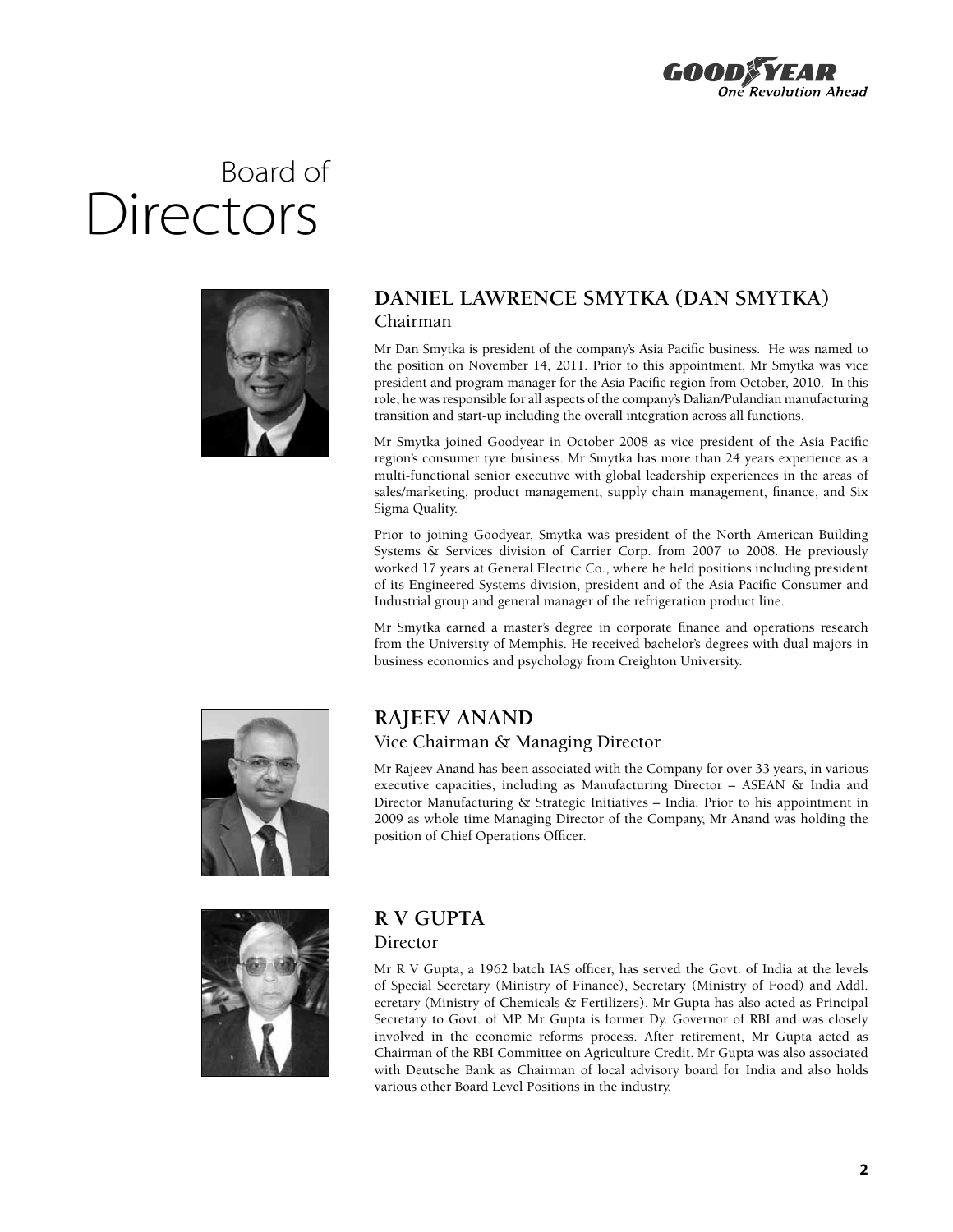

# Board of Directors



## **DANIEL LAWRENCE SMYTKA (Dan Smytka)** Chairman

Mr Dan Smytka is president of the company's Asia Pacific business. He was named to the position on November 14, 2011. Prior to this appointment, Mr Smytka was vice president and program manager for the Asia Pacific region from October, 2010. In this role, he was responsible for all aspects of the company's Dalian/Pulandian manufacturing transition and start-up including the overall integration across all functions.

Mr Smytka joined Goodyear in October 2008 as vice president of the Asia Pacific region's consumer tyre business. Mr Smytka has more than 24 years experience as a multi-functional senior executive with global leadership experiences in the areas of sales/marketing, product management, supply chain management, finance, and Six Sigma Quality.

Prior to joining Goodyear, Smytka was president of the North American Building Systems & Services division of Carrier Corp. from 2007 to 2008. He previously worked 17 years at General Electric Co., where he held positions including president of its Engineered Systems division, president and of the Asia Pacific Consumer and Industrial group and general manager of the refrigeration product line.

Mr Smytka earned a master's degree in corporate finance and operations research from the University of Memphis. He received bachelor's degrees with dual majors in business economics and psychology from Creighton University.





## **RAJEEV ANAND**

#### Vice Chairman & Managing Director

Mr Rajeev Anand has been associated with the Company for over 33 years, in various executive capacities, including as Manufacturing Director – ASEAN & India and Director Manufacturing & Strategic Initiatives – India. Prior to his appointment in 2009 as whole time Managing Director of the Company, Mr Anand was holding the position of Chief Operations Officer.

## **R V GUPTA** Director

Mr R V Gupta, a 1962 batch IAS officer, has served the Govt. of India at the levels of Special Secretary (Ministry of Finance), Secretary (Ministry of Food) and Addl. ecretary (Ministry of Chemicals & Fertilizers). Mr Gupta has also acted as Principal Secretary to Govt. of MP. Mr Gupta is former Dy. Governor of RBI and was closely involved in the economic reforms process. After retirement, Mr Gupta acted as Chairman of the RBI Committee on Agriculture Credit. Mr Gupta was also associated with Deutsche Bank as Chairman of local advisory board for India and also holds various other Board Level Positions in the industry.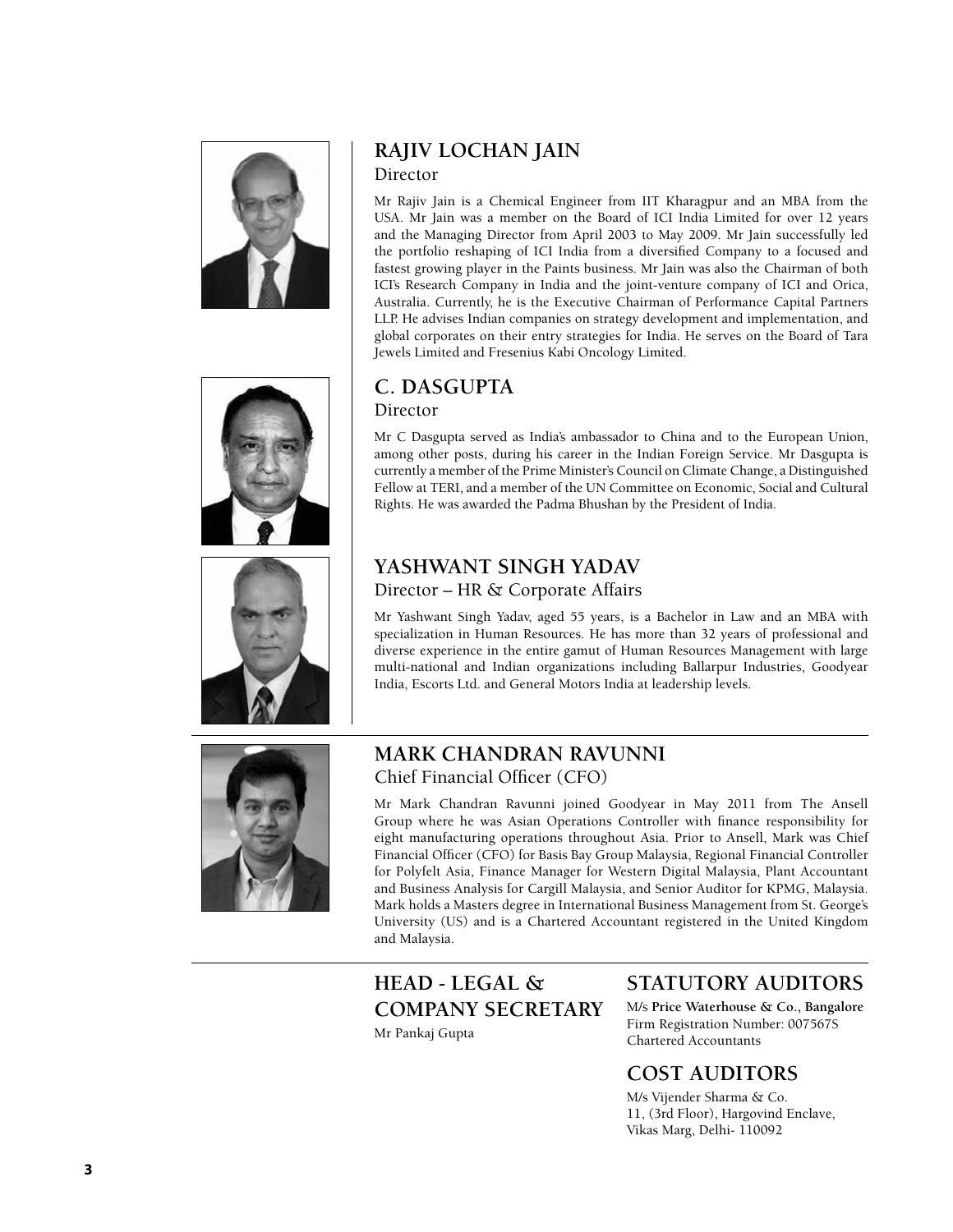





## **RAJIV LOCHAN JAIN**  Director

Mr Rajiv Jain is a Chemical Engineer from IIT Kharagpur and an MBA from the USA. Mr Jain was a member on the Board of ICI India Limited for over 12 years and the Managing Director from April 2003 to May 2009. Mr Jain successfully led the portfolio reshaping of ICI India from a diversified Company to a focused and fastest growing player in the Paints business. Mr Jain was also the Chairman of both ICI's Research Company in India and the joint-venture company of ICI and Orica, Australia. Currently, he is the Executive Chairman of Performance Capital Partners LLP. He advises Indian companies on strategy development and implementation, and global corporates on their entry strategies for India. He serves on the Board of Tara Jewels Limited and Fresenius Kabi Oncology Limited.

## **C. DASGUPTA**

#### Director

Mr C Dasgupta served as India's ambassador to China and to the European Union, among other posts, during his career in the Indian Foreign Service. Mr Dasgupta is currently a member of the Prime Minister's Council on Climate Change, a Distinguished Fellow at TERI, and a member of the UN Committee on Economic, Social and Cultural Rights. He was awarded the Padma Bhushan by the President of India.

## **YASHWANT SINGH YADAV**

#### Director – HR & Corporate Affairs

Mr Yashwant Singh Yadav, aged 55 years, is a Bachelor in Law and an MBA with specialization in Human Resources. He has more than 32 years of professional and diverse experience in the entire gamut of Human Resources Management with large multi-national and Indian organizations including Ballarpur Industries, Goodyear India, Escorts Ltd. and General Motors India at leadership levels.



## **MARK CHANDRAN RAVUNNI** Chief Financial Officer (CFO)

Mr Mark Chandran Ravunni joined Goodyear in May 2011 from The Ansell Group where he was Asian Operations Controller with finance responsibility for eight manufacturing operations throughout Asia. Prior to Ansell, Mark was Chief Financial Officer (CFO) for Basis Bay Group Malaysia, Regional Financial Controller for Polyfelt Asia, Finance Manager for Western Digital Malaysia, Plant Accountant and Business Analysis for Cargill Malaysia, and Senior Auditor for KPMG, Malaysia. Mark holds a Masters degree in International Business Management from St. George's University (US) and is a Chartered Accountant registered in the United Kingdom and Malaysia.

## **Head - legal & Company secretary**

Mr Pankaj Gupta

## **STATUTORY AUDITORS**

M/s **Price Waterhouse & Co., Bangalore** Firm Registration Number: 007567S Chartered Accountants

## **COST AUDITORS**

M/s Vijender Sharma & Co. 11, (3rd Floor), Hargovind Enclave, Vikas Marg, Delhi- 110092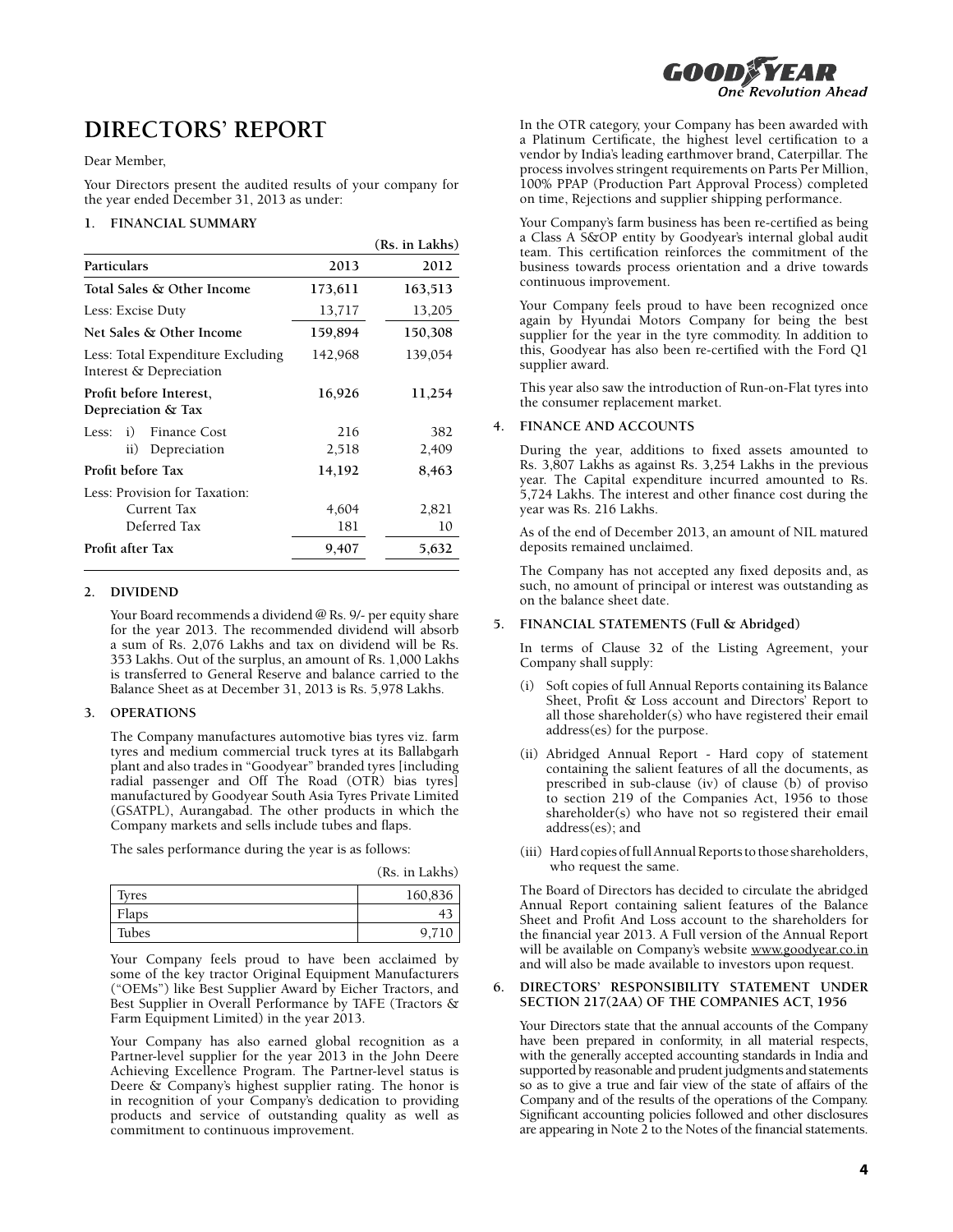

## **DIRECTORS' REPORT**

Dear Member,

Your Directors present the audited results of your company for the year ended December 31, 2013 as under:

#### **1. FINANCIAL SUMMARY**

|                                                                 |              | (Rs. in Lakhs) |
|-----------------------------------------------------------------|--------------|----------------|
| Particulars                                                     | 2013         | 2012           |
| Total Sales & Other Income                                      | 173,611      | 163,513        |
| Less: Excise Duty                                               | 13,717       | 13,205         |
| Net Sales & Other Income                                        | 159,894      | 150,308        |
| Less: Total Expenditure Excluding<br>Interest & Depreciation    | 142,968      | 139,054        |
| Profit before Interest.<br>Depreciation & Tax                   | 16,926       | 11,254         |
| i)<br><b>Finance Cost</b><br>Less:<br>Depreciation<br>$\rm ii)$ | 216<br>2,518 | 382<br>2,409   |
| Profit before Tax                                               | 14,192       | 8,463          |
| Less: Provision for Taxation:<br>Current Tax<br>Deferred Tax    | 4,604<br>181 | 2,821<br>10    |
| Profit after Tax                                                | 9,407        | 5,632          |
|                                                                 |              |                |

#### **2. DIVIDEND**

Your Board recommends a dividend @ Rs. 9/- per equity share for the year 2013. The recommended dividend will absorb a sum of Rs. 2,076 Lakhs and tax on dividend will be Rs. 353 Lakhs. Out of the surplus, an amount of Rs. 1,000 Lakhs is transferred to General Reserve and balance carried to the Balance Sheet as at December 31, 2013 is Rs. 5,978 Lakhs.

#### **3. OPERATIONS**

The Company manufactures automotive bias tyres viz. farm tyres and medium commercial truck tyres at its Ballabgarh plant and also trades in "Goodyear" branded tyres [including radial passenger and Off The Road (OTR) bias tyres] manufactured by Goodyear South Asia Tyres Private Limited (GSATPL), Aurangabad. The other products in which the Company markets and sells include tubes and flaps.

The sales performance during the year is as follows:

|  |  | (Rs. in Lakhs) |
|--|--|----------------|
|--|--|----------------|

**(Rs. in Lakhs)**

| Tyres | 160,836 |
|-------|---------|
| Flaps |         |
| Tubes |         |

Your Company feels proud to have been acclaimed by some of the key tractor Original Equipment Manufacturers ("OEMs") like Best Supplier Award by Eicher Tractors, and Best Supplier in Overall Performance by TAFE (Tractors & Farm Equipment Limited) in the year 2013.

Your Company has also earned global recognition as a Partner-level supplier for the year 2013 in the John Deere Achieving Excellence Program. The Partner-level status is Deere & Company's highest supplier rating. The honor is in recognition of your Company's dedication to providing products and service of outstanding quality as well as commitment to continuous improvement.

In the OTR category, your Company has been awarded with a Platinum Certificate, the highest level certification to a vendor by India's leading earthmover brand, Caterpillar. The process involves stringent requirements on Parts Per Million, 100% PPAP (Production Part Approval Process) completed on time, Rejections and supplier shipping performance.

Your Company's farm business has been re-certified as being a Class A S&OP entity by Goodyear's internal global audit team. This certification reinforces the commitment of the business towards process orientation and a drive towards continuous improvement.

Your Company feels proud to have been recognized once again by Hyundai Motors Company for being the best supplier for the year in the tyre commodity. In addition to this, Goodyear has also been re-certified with the Ford Q1 supplier award.

This year also saw the introduction of Run-on-Flat tyres into the consumer replacement market.

#### **4. FINANCE AND ACCOUNTS**

During the year, additions to fixed assets amounted to Rs. 3,807 Lakhs as against Rs. 3,254 Lakhs in the previous year. The Capital expenditure incurred amounted to Rs. 5,724 Lakhs. The interest and other finance cost during the year was Rs. 216 Lakhs.

As of the end of December 2013, an amount of NIL matured deposits remained unclaimed.

The Company has not accepted any fixed deposits and, as such, no amount of principal or interest was outstanding as on the balance sheet date.

#### **5. FINANCIAL STATEMENTS (Full & Abridged)**

In terms of Clause 32 of the Listing Agreement, your Company shall supply:

- (i) Soft copies of full Annual Reports containing its Balance Sheet, Profit & Loss account and Directors' Report to all those shareholder(s) who have registered their email address(es) for the purpose.
- (ii) Abridged Annual Report Hard copy of statement containing the salient features of all the documents, as prescribed in sub-clause (iv) of clause (b) of proviso to section 219 of the Companies Act, 1956 to those shareholder(s) who have not so registered their email address(es); and
- (iii) Hard copies of full Annual Reports to those shareholders, who request the same.

The Board of Directors has decided to circulate the abridged Annual Report containing salient features of the Balance Sheet and Profit And Loss account to the shareholders for the financial year 2013. A Full version of the Annual Report will be available on Company's website www.goodyear.co.in and will also be made available to investors upon request.

#### **6. DIRECTORS' RESPONSIBILITY STATEMENT UNDER SECTION 217(2AA) OF THE COMPANIES ACT, 1956**

Your Directors state that the annual accounts of the Company have been prepared in conformity, in all material respects, with the generally accepted accounting standards in India and supported by reasonable and prudent judgments and statements so as to give a true and fair view of the state of affairs of the Company and of the results of the operations of the Company. Significant accounting policies followed and other disclosures are appearing in Note 2 to the Notes of the financial statements.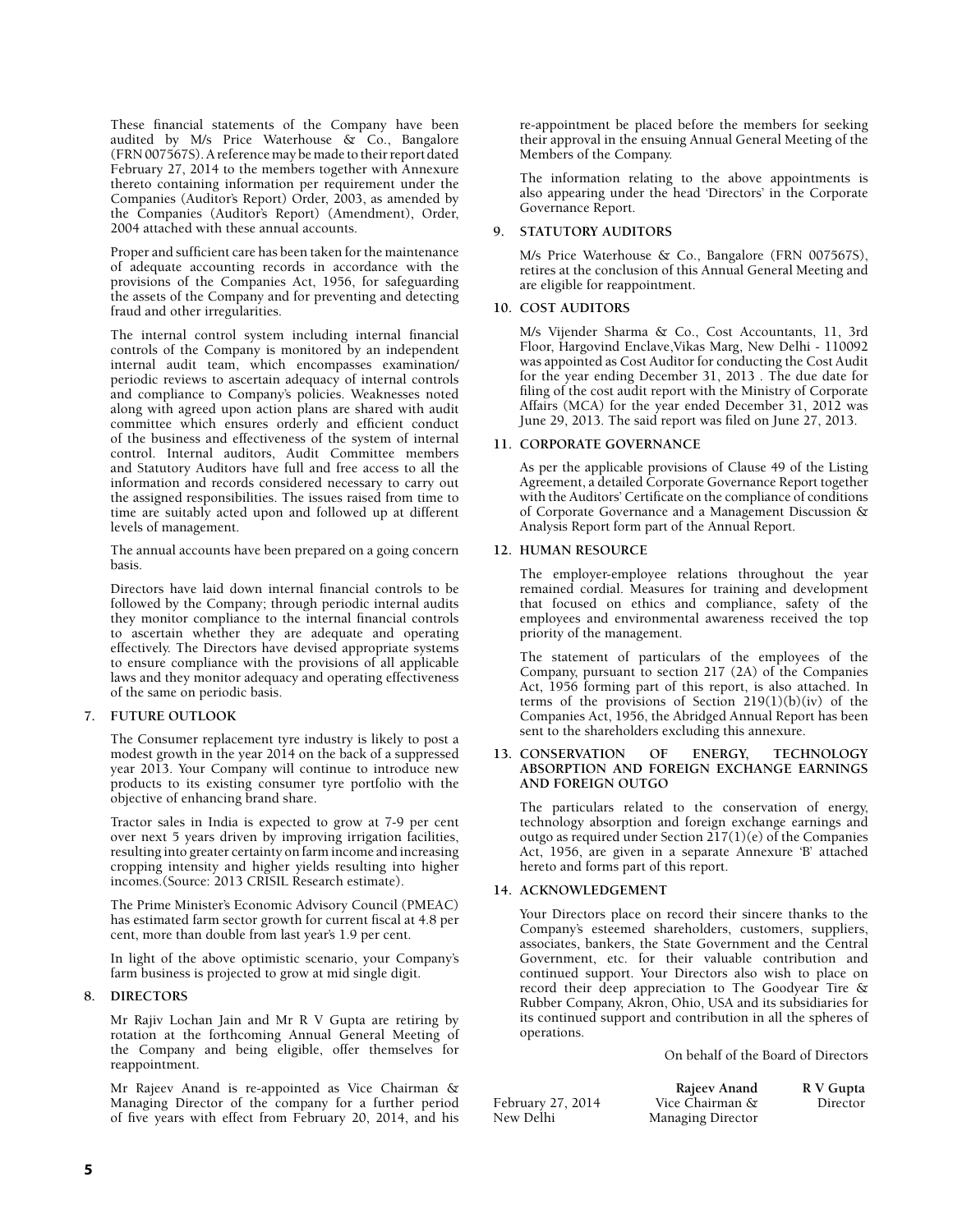These financial statements of the Company have been audited by M/s Price Waterhouse & Co., Bangalore (FRN 007567S). A reference may be made to their report dated February 27, 2014 to the members together with Annexure thereto containing information per requirement under the Companies (Auditor's Report) Order, 2003, as amended by the Companies (Auditor's Report) (Amendment), Order, 2004 attached with these annual accounts.

Proper and sufficient care has been taken for the maintenance of adequate accounting records in accordance with the provisions of the Companies Act, 1956, for safeguarding the assets of the Company and for preventing and detecting fraud and other irregularities.

The internal control system including internal financial controls of the Company is monitored by an independent internal audit team, which encompasses examination/ periodic reviews to ascertain adequacy of internal controls and compliance to Company's policies. Weaknesses noted along with agreed upon action plans are shared with audit committee which ensures orderly and efficient conduct of the business and effectiveness of the system of internal control. Internal auditors, Audit Committee members and Statutory Auditors have full and free access to all the information and records considered necessary to carry out the assigned responsibilities. The issues raised from time to time are suitably acted upon and followed up at different levels of management.

The annual accounts have been prepared on a going concern basis.

Directors have laid down internal financial controls to be followed by the Company; through periodic internal audits they monitor compliance to the internal financial controls to ascertain whether they are adequate and operating effectively. The Directors have devised appropriate systems to ensure compliance with the provisions of all applicable laws and they monitor adequacy and operating effectiveness of the same on periodic basis.

#### **7. FUTURE OUTLOOK**

The Consumer replacement tyre industry is likely to post a modest growth in the year 2014 on the back of a suppressed year 2013. Your Company will continue to introduce new products to its existing consumer tyre portfolio with the objective of enhancing brand share.

Tractor sales in India is expected to grow at 7-9 per cent over next 5 years driven by improving irrigation facilities, resulting into greater certainty on farm income and increasing cropping intensity and higher yields resulting into higher incomes.(Source: 2013 CRISIL Research estimate).

The Prime Minister's Economic Advisory Council (PMEAC) has estimated farm sector growth for current fiscal at 4.8 per cent, more than double from last year's 1.9 per cent.

In light of the above optimistic scenario, your Company's farm business is projected to grow at mid single digit.

#### **8. DIRECTORS**

Mr Rajiv Lochan Jain and Mr R V Gupta are retiring by rotation at the forthcoming Annual General Meeting of the Company and being eligible, offer themselves for reappointment.

Mr Rajeev Anand is re-appointed as Vice Chairman & Managing Director of the company for a further period of five years with effect from February 20, 2014, and his re-appointment be placed before the members for seeking their approval in the ensuing Annual General Meeting of the Members of the Company.

The information relating to the above appointments is also appearing under the head 'Directors' in the Corporate Governance Report.

#### **9. STATUTORY AUDITORS**

M/s Price Waterhouse & Co., Bangalore (FRN 007567S), retires at the conclusion of this Annual General Meeting and are eligible for reappointment.

#### **10. COST AUDITORS**

M/s Vijender Sharma & Co., Cost Accountants, 11, 3rd Floor, Hargovind Enclave,Vikas Marg, New Delhi - 110092 was appointed as Cost Auditor for conducting the Cost Audit for the year ending December 31, 2013 . The due date for filing of the cost audit report with the Ministry of Corporate Affairs (MCA) for the year ended December 31, 2012 was June 29, 2013. The said report was filed on June 27, 2013.

#### **11. CORPORATE GOVERNANCE**

As per the applicable provisions of Clause 49 of the Listing Agreement, a detailed Corporate Governance Report together with the Auditors' Certificate on the compliance of conditions of Corporate Governance and a Management Discussion & Analysis Report form part of the Annual Report.

#### **12. HUMAN RESOURCE**

The employer-employee relations throughout the year remained cordial. Measures for training and development that focused on ethics and compliance, safety of the employees and environmental awareness received the top priority of the management.

The statement of particulars of the employees of the Company, pursuant to section 217 (2A) of the Companies Act, 1956 forming part of this report, is also attached. In terms of the provisions of Section  $219(1)(b)(iv)$  of the Companies Act, 1956, the Abridged Annual Report has been sent to the shareholders excluding this annexure.

#### **13. CONSERVATION OF ENERGY, TECHNOLOGY ABSORPTION AND FOREIGN EXCHANGE EARNINGS AND FOREIGN OUTGO**

The particulars related to the conservation of energy, technology absorption and foreign exchange earnings and outgo as required under Section 217(1)(e) of the Companies Act, 1956, are given in a separate Annexure 'B' attached hereto and forms part of this report.

#### **14. ACKNOWLEDGEMENT**

Your Directors place on record their sincere thanks to the Company's esteemed shareholders, customers, suppliers, associates, bankers, the State Government and the Central Government, etc. for their valuable contribution and continued support. Your Directors also wish to place on record their deep appreciation to The Goodyear Tire & Rubber Company, Akron, Ohio, USA and its subsidiaries for its continued support and contribution in all the spheres of operations.

On behalf of the Board of Directors

|                   | Rajeev Anand      | R V Gupta |
|-------------------|-------------------|-----------|
| February 27, 2014 | Vice Chairman &   | Director  |
| New Delhi         | Managing Director |           |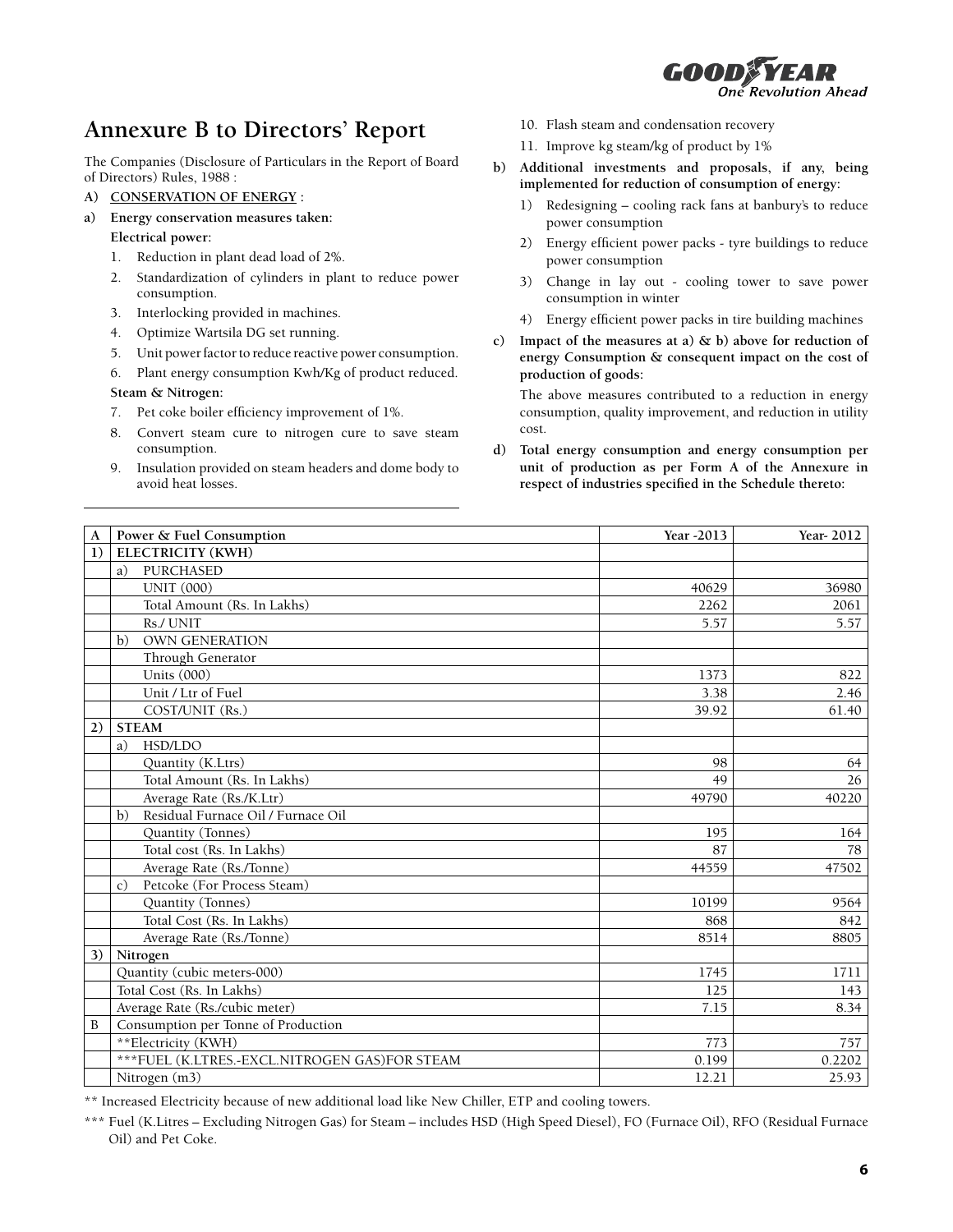GOOD One Revolution Ahead

## **Annexure B to Directors' Report**

The Companies (Disclosure of Particulars in the Report of Board of Directors) Rules, 1988 :

- **A) CONSERVATION OF ENERGY :**
- **a) Energy conservation measures taken: Electrical power:**
	- 1. Reduction in plant dead load of 2%.
	- 2. Standardization of cylinders in plant to reduce power consumption.
	- 3. Interlocking provided in machines.
	- 4. Optimize Wartsila DG set running.
	- 5. Unit power factor to reduce reactive power consumption.
	- 6. Plant energy consumption Kwh/Kg of product reduced.

#### **Steam & Nitrogen:**

- 7. Pet coke boiler efficiency improvement of 1%.
- 8. Convert steam cure to nitrogen cure to save steam consumption.
- 9. Insulation provided on steam headers and dome body to avoid heat losses.
- 10. Flash steam and condensation recovery
- 11. Improve kg steam/kg of product by 1%
- **b) Additional investments and proposals, if any, being implemented for reduction of consumption of energy:**
	- 1) Redesigning cooling rack fans at banbury's to reduce power consumption
	- 2) Energy efficient power packs tyre buildings to reduce power consumption
	- 3) Change in lay out cooling tower to save power consumption in winter
	- 4) Energy efficient power packs in tire building machines
- **c) Impact of the measures at a) & b) above for reduction of energy Consumption & consequent impact on the cost of production of goods:**

 The above measures contributed to a reduction in energy consumption, quality improvement, and reduction in utility cost.

**d) Total energy consumption and energy consumption per unit of production as per Form A of the Annexure in respect of industries specified in the Schedule thereto:**

| A            | Power & Fuel Consumption                       | Year -2013 | Year-2012 |
|--------------|------------------------------------------------|------------|-----------|
| 1)           | ELECTRICITY (KWH)                              |            |           |
|              | <b>PURCHASED</b><br>a)                         |            |           |
|              | <b>UNIT (000)</b>                              | 40629      | 36980     |
|              | Total Amount (Rs. In Lakhs)                    | 2262       | 2061      |
|              | Rs./UNIT                                       | 5.57       | 5.57      |
|              | <b>OWN GENERATION</b><br>h)                    |            |           |
|              | Through Generator                              |            |           |
|              | Units (000)                                    | 1373       | 822       |
|              | Unit / Ltr of Fuel                             | 3.38       | 2.46      |
|              | COST/UNIT (Rs.)                                | 39.92      | 61.40     |
| 2)           | <b>STEAM</b>                                   |            |           |
|              | HSD/LDO<br>a)                                  |            |           |
|              | Quantity (K.Ltrs)                              | 98         | 64        |
|              | Total Amount (Rs. In Lakhs)                    | 49         | 26        |
|              | Average Rate (Rs./K.Ltr)                       | 49790      | 40220     |
|              | Residual Furnace Oil / Furnace Oil<br>b)       |            |           |
|              | Quantity (Tonnes)                              | 195        | 164       |
|              | Total cost (Rs. In Lakhs)                      | 87         | 78        |
|              | Average Rate (Rs./Tonne)                       | 44559      | 47502     |
|              | Petcoke (For Process Steam)<br>$\epsilon$ )    |            |           |
|              | Quantity (Tonnes)                              | 10199      | 9564      |
|              | Total Cost (Rs. In Lakhs)                      | 868        | 842       |
|              | Average Rate (Rs./Tonne)                       | 8514       | 8805      |
| 3)           | Nitrogen                                       |            |           |
|              | Quantity (cubic meters-000)                    | 1745       | 1711      |
|              | Total Cost (Rs. In Lakhs)                      | 125        | 143       |
|              | Average Rate (Rs./cubic meter)                 | 7.15       | 8.34      |
| $\, {\bf B}$ | Consumption per Tonne of Production            |            |           |
|              | **Electricity (KWH)                            | 773        | 757       |
|              | *** FUEL (K.LTRES.-EXCL.NITROGEN GAS)FOR STEAM | 0.199      | 0.2202    |
|              | Nitrogen (m3)                                  | 12.21      | 25.93     |

\*\* Increased Electricity because of new additional load like New Chiller, ETP and cooling towers.

<sup>\*\*\*</sup> Fuel (K.Litres – Excluding Nitrogen Gas) for Steam – includes HSD (High Speed Diesel), FO (Furnace Oil), RFO (Residual Furnace Oil) and Pet Coke.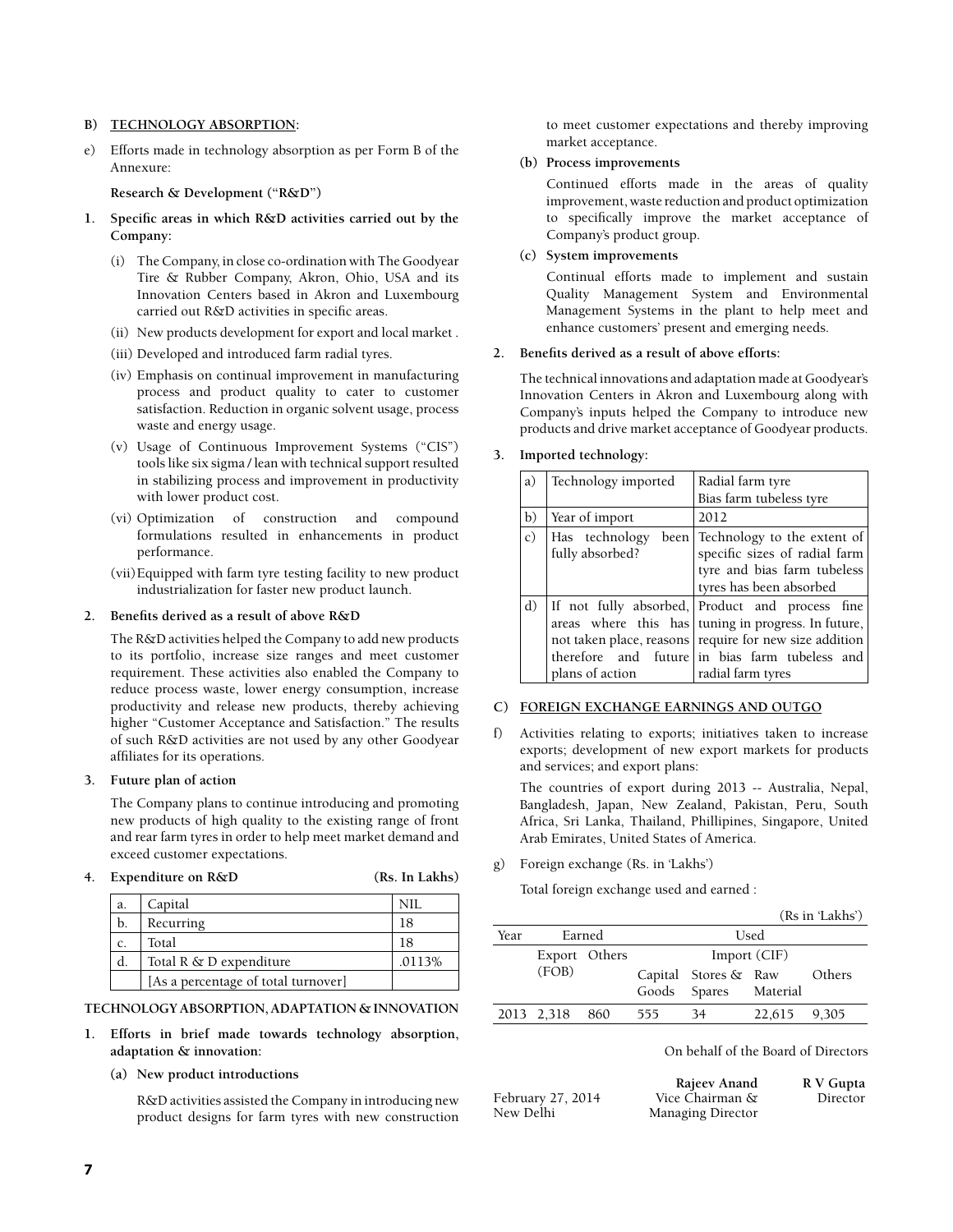#### **B) TECHNOLOGY ABSORPTION:**

e) Efforts made in technology absorption as per Form B of the Annexure:

**Research & Development ("R&D")**

- **1. Specific areas in which R&D activities carried out by the Company:**
	- (i) The Company, in close co-ordination with The Goodyear Tire & Rubber Company, Akron, Ohio, USA and its Innovation Centers based in Akron and Luxembourg carried out R&D activities in specific areas.
	- (ii) New products development for export and local market .
	- (iii) Developed and introduced farm radial tyres.
	- (iv) Emphasis on continual improvement in manufacturing process and product quality to cater to customer satisfaction. Reduction in organic solvent usage, process waste and energy usage.
	- (v) Usage of Continuous Improvement Systems ("CIS") tools like six sigma / lean with technical support resulted in stabilizing process and improvement in productivity with lower product cost.
	- (vi) Optimization of construction and compound formulations resulted in enhancements in product performance.
	- (vii) Equipped with farm tyre testing facility to new product industrialization for faster new product launch.

#### **2. Benefits derived as a result of above R&D**

The R&D activities helped the Company to add new products to its portfolio, increase size ranges and meet customer requirement. These activities also enabled the Company to reduce process waste, lower energy consumption, increase productivity and release new products, thereby achieving higher "Customer Acceptance and Satisfaction." The results of such R&D activities are not used by any other Goodyear affiliates for its operations.

#### **3. Future plan of action**

The Company plans to continue introducing and promoting new products of high quality to the existing range of front and rear farm tyres in order to help meet market demand and exceed customer expectations.

#### **4. Expenditure on R&D (Rs. In Lakhs)**

| a. | Capital                             | NH     |
|----|-------------------------------------|--------|
| b. | Recurring                           | 18     |
| c. | Total                               | 18     |
| d. | Total R & D expenditure             | .0113% |
|    | [As a percentage of total turnover] |        |

#### **TECHNOLOGY ABSORPTION, ADAPTATION & INNOVATION**

**1. Efforts in brief made towards technology absorption, adaptation & innovation:**

#### **(a) New product introductions**

 R&D activities assisted the Company in introducing new product designs for farm tyres with new construction to meet customer expectations and thereby improving market acceptance.

#### **(b) Process improvements**

 Continued efforts made in the areas of quality improvement, waste reduction and product optimization to specifically improve the market acceptance of Company's product group.

#### **(c) System improvements**

 Continual efforts made to implement and sustain Quality Management System and Environmental Management Systems in the plant to help meet and enhance customers' present and emerging needs.

#### **2. Benefits derived as a result of above efforts:**

The technical innovations and adaptation made at Goodyear's Innovation Centers in Akron and Luxembourg along with Company's inputs helped the Company to introduce new products and drive market acceptance of Goodyear products.

#### **3. Imported technology:**

| a)           | Technology imported | Radial farm tyre                                       |
|--------------|---------------------|--------------------------------------------------------|
|              |                     | Bias farm tubeless tyre                                |
| b)           | Year of import      | 2012                                                   |
| $\mathbf{c}$ | Has technology      | been Technology to the extent of                       |
|              | fully absorbed?     | specific sizes of radial farm                          |
|              |                     | tyre and bias farm tubeless                            |
|              |                     | tyres has been absorbed                                |
| d)           |                     | If not fully absorbed, Product and process fine        |
|              |                     | areas where this has   tuning in progress. In future,  |
|              |                     | not taken place, reasons require for new size addition |
|              |                     | therefore and future in bias farm tubeless and         |
|              | plans of action     | radial farm tyres                                      |

#### **C) FOREIGN EXCHANGE EARNINGS AND OUTGO**

f) Activities relating to exports; initiatives taken to increase exports; development of new export markets for products and services; and export plans:

 The countries of export during 2013 -- Australia, Nepal, Bangladesh, Japan, New Zealand, Pakistan, Peru, South Africa, Sri Lanka, Thailand, Phillipines, Singapore, United Arab Emirates, United States of America.

g) Foreign exchange (Rs. in 'Lakhs')

Total foreign exchange used and earned :

|      |               |        |       |                      |              | (Rs in 'Lakhs') |
|------|---------------|--------|-------|----------------------|--------------|-----------------|
| Year |               | Earned | Used  |                      |              |                 |
|      | Export Others |        |       |                      | Import (CIF) |                 |
|      | (FOB)         |        |       | Capital Stores & Raw |              | Others          |
|      |               |        | Goods | Spares Material      |              |                 |
|      | 2013 2.318    | 860    | 555   | 34                   | 22,615       | 9,305           |

On behalf of the Board of Directors

|                   | Rajeev Anand      | R V Gupta |
|-------------------|-------------------|-----------|
| February 27, 2014 | Vice Chairman &   | Director  |
| New Delhi         | Managing Director |           |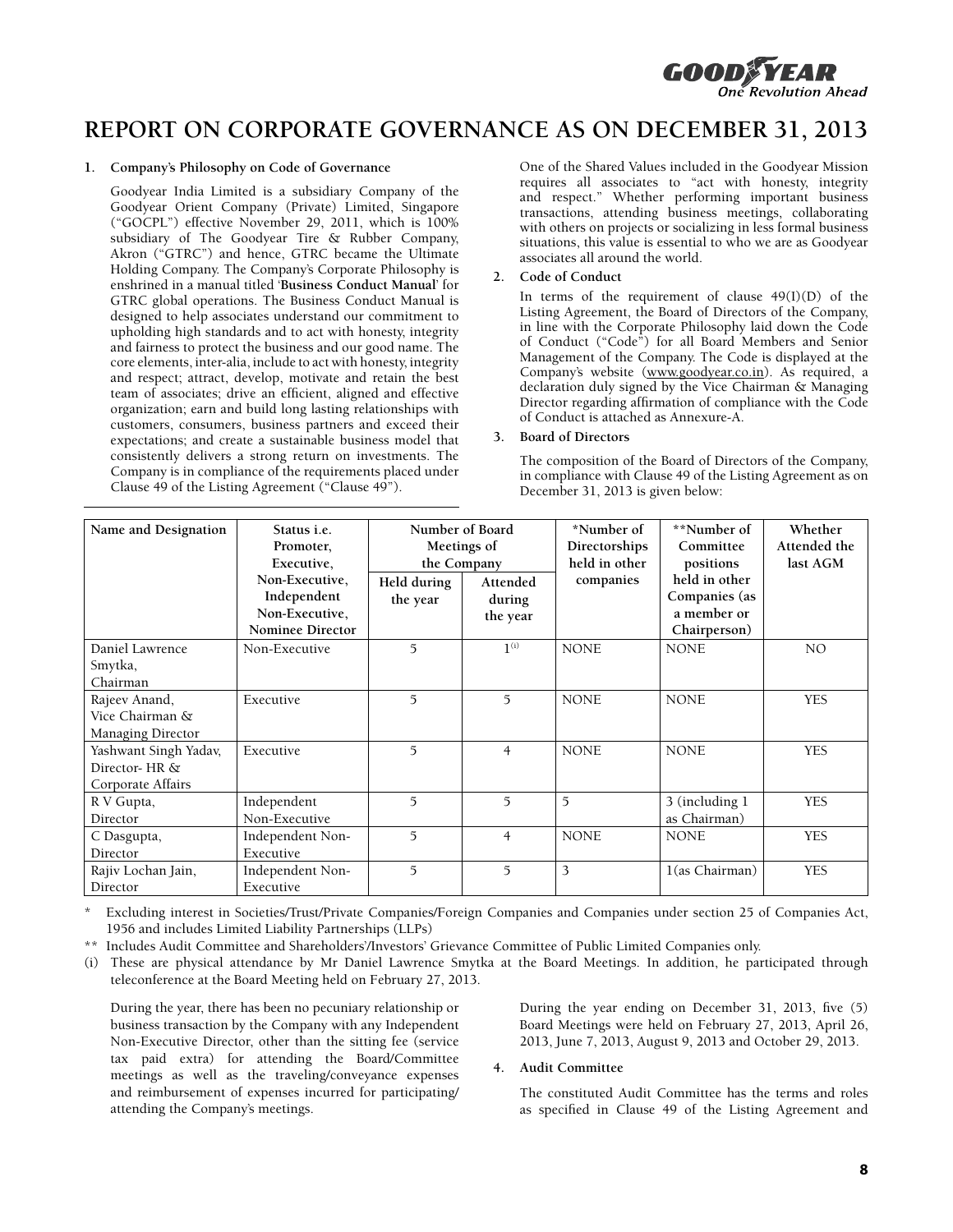

## **REPORT ON CORPORATE GOVERNANCE AS ON DECEMBER 31, 2013**

#### **1. Company's Philosophy on Code of Governance**

Goodyear India Limited is a subsidiary Company of the Goodyear Orient Company (Private) Limited, Singapore ("GOCPL") effective November 29, 2011, which is 100% subsidiary of The Goodyear Tire & Rubber Company, Akron ("GTRC") and hence, GTRC became the Ultimate Holding Company. The Company's Corporate Philosophy is enshrined in a manual titled '**Business Conduct Manual**' for GTRC global operations. The Business Conduct Manual is designed to help associates understand our commitment to upholding high standards and to act with honesty, integrity and fairness to protect the business and our good name. The core elements, inter-alia, include to act with honesty, integrity and respect; attract, develop, motivate and retain the best team of associates; drive an efficient, aligned and effective organization; earn and build long lasting relationships with customers, consumers, business partners and exceed their expectations; and create a sustainable business model that consistently delivers a strong return on investments. The Company is in compliance of the requirements placed under Clause 49 of the Listing Agreement ("Clause 49").

One of the Shared Values included in the Goodyear Mission requires all associates to "act with honesty, integrity and respect." Whether performing important business transactions, attending business meetings, collaborating with others on projects or socializing in less formal business situations, this value is essential to who we are as Goodyear associates all around the world.

#### **2. Code of Conduct**

In terms of the requirement of clause  $49(I)(D)$  of the Listing Agreement, the Board of Directors of the Company, in line with the Corporate Philosophy laid down the Code of Conduct ("Code") for all Board Members and Senior Management of the Company. The Code is displayed at the Company's website (www.goodyear.co.in). As required, a declaration duly signed by the Vice Chairman & Managing Director regarding affirmation of compliance with the Code of Conduct is attached as Annexure-A.

#### **3. Board of Directors**

The composition of the Board of Directors of the Company, in compliance with Clause 49 of the Listing Agreement as on December 31, 2013 is given below:

| Name and Designation                                        | Status <i>i.e.</i><br>Promoter,<br>Executive, | Number of Board<br>Meetings of<br>the Company |                  | *Number of<br>Directorships<br>held in other | **Number of<br>Committee<br>positions | Whether<br>Attended the<br>last AGM |
|-------------------------------------------------------------|-----------------------------------------------|-----------------------------------------------|------------------|----------------------------------------------|---------------------------------------|-------------------------------------|
|                                                             | Non-Executive,<br>Independent                 | Held during<br>Attended<br>during<br>the year |                  | companies                                    | held in other<br>Companies (as        |                                     |
|                                                             | Non-Executive,<br><b>Nominee Director</b>     |                                               | the year         |                                              | a member or<br>Chairperson)           |                                     |
| Daniel Lawrence<br>Smytka,<br>Chairman                      | Non-Executive                                 | 5                                             | 1 <sup>(i)</sup> | <b>NONE</b>                                  | <b>NONE</b>                           | NO.                                 |
| Rajeev Anand,<br>Vice Chairman &<br>Managing Director       | Executive                                     | 5                                             | 5                | <b>NONE</b>                                  | <b>NONE</b>                           | <b>YES</b>                          |
| Yashwant Singh Yadav,<br>Director-HR &<br>Corporate Affairs | Executive                                     | 5                                             | $\overline{4}$   | <b>NONE</b>                                  | <b>NONE</b>                           | <b>YES</b>                          |
| R V Gupta,<br>Director                                      | Independent<br>Non-Executive                  | 5                                             | 5                | 5                                            | 3 (including 1)<br>as Chairman)       | <b>YES</b>                          |
| C Dasgupta,<br>Director                                     | Independent Non-<br>Executive                 | 5                                             | $\overline{4}$   | <b>NONE</b>                                  | <b>NONE</b>                           | <b>YES</b>                          |
| Rajiv Lochan Jain,<br>Director                              | Independent Non-<br>Executive                 | 5                                             | 5                | 3                                            | 1(as Chairman)                        | <b>YES</b>                          |

\* Excluding interest in Societies/Trust/Private Companies/Foreign Companies and Companies under section 25 of Companies Act, 1956 and includes Limited Liability Partnerships (LLPs)

\*\* Includes Audit Committee and Shareholders'/Investors' Grievance Committee of Public Limited Companies only.

(i) These are physical attendance by Mr Daniel Lawrence Smytka at the Board Meetings. In addition, he participated through teleconference at the Board Meeting held on February 27, 2013.

During the year, there has been no pecuniary relationship or business transaction by the Company with any Independent Non-Executive Director, other than the sitting fee (service tax paid extra) for attending the Board/Committee meetings as well as the traveling/conveyance expenses and reimbursement of expenses incurred for participating/ attending the Company's meetings.

During the year ending on December 31, 2013, five (5) Board Meetings were held on February 27, 2013, April 26, 2013, June 7, 2013, August 9, 2013 and October 29, 2013.

#### **4. Audit Committee**

The constituted Audit Committee has the terms and roles as specified in Clause 49 of the Listing Agreement and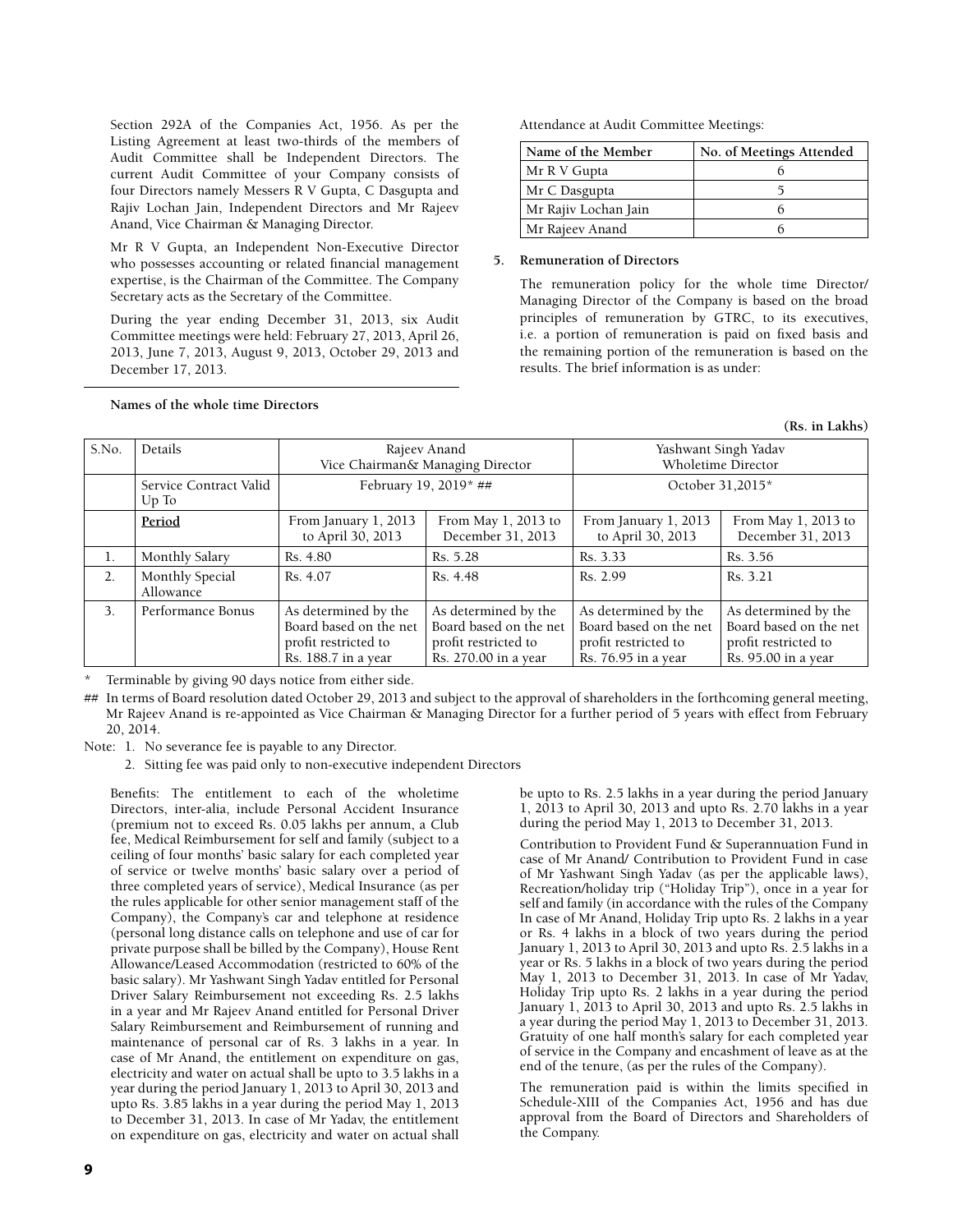Section 292A of the Companies Act, 1956. As per the Listing Agreement at least two-thirds of the members of Audit Committee shall be Independent Directors. The current Audit Committee of your Company consists of four Directors namely Messers R V Gupta, C Dasgupta and Rajiv Lochan Jain, Independent Directors and Mr Rajeev Anand, Vice Chairman & Managing Director.

Mr R V Gupta, an Independent Non-Executive Director who possesses accounting or related financial management expertise, is the Chairman of the Committee. The Company Secretary acts as the Secretary of the Committee.

During the year ending December 31, 2013, six Audit Committee meetings were held: February 27, 2013, April 26, 2013, June 7, 2013, August 9, 2013, October 29, 2013 and December 17, 2013.

Attendance at Audit Committee Meetings:

| Name of the Member   | No. of Meetings Attended |
|----------------------|--------------------------|
| Mr R V Gupta         |                          |
| Mr C Dasgupta        |                          |
| Mr Rajiv Lochan Jain |                          |
| Mr Rajeev Anand      |                          |

#### **5. Remuneration of Directors**

The remuneration policy for the whole time Director/ Managing Director of the Company is based on the broad principles of remuneration by GTRC, to its executives, i.e. a portion of remuneration is paid on fixed basis and the remaining portion of the remuneration is based on the results. The brief information is as under:

**(Rs. in Lakhs)**

| S.No. | Details                         | Rajeev Anand<br>Vice Chairman& Managing Director                                              |                                                                                                | Yashwant Singh Yadav<br><b>Wholetime Director</b>                                             |                                                                                                 |
|-------|---------------------------------|-----------------------------------------------------------------------------------------------|------------------------------------------------------------------------------------------------|-----------------------------------------------------------------------------------------------|-------------------------------------------------------------------------------------------------|
|       | Service Contract Valid<br>Up To | February 19, 2019* ##                                                                         |                                                                                                | October 31,2015*                                                                              |                                                                                                 |
|       | Period                          | From January 1, 2013<br>to April 30, 2013                                                     | From May 1, 2013 to<br>December 31, 2013                                                       | From January 1, 2013<br>to April 30, 2013                                                     | From May 1, 2013 to<br>December 31, 2013                                                        |
| 1.    | Monthly Salary                  | Rs. 4.80                                                                                      | Rs. 5.28                                                                                       | Rs. 3.33                                                                                      | Rs. 3.56                                                                                        |
| 2.    | Monthly Special<br>Allowance    | Rs. 4.07                                                                                      | Rs. 4.48                                                                                       | Rs. 2.99                                                                                      | Rs. 3.21                                                                                        |
| 3.    | Performance Bonus               | As determined by the<br>Board based on the net<br>profit restricted to<br>Rs. 188.7 in a year | As determined by the<br>Board based on the net<br>profit restricted to<br>Rs. 270.00 in a year | As determined by the<br>Board based on the net<br>profit restricted to<br>Rs. 76.95 in a year | As determined by the<br>Board based on the net  <br>profit restricted to<br>Rs. 95.00 in a year |

Terminable by giving 90 days notice from either side.

## In terms of Board resolution dated October 29, 2013 and subject to the approval of shareholders in the forthcoming general meeting, Mr Rajeev Anand is re-appointed as Vice Chairman & Managing Director for a further period of 5 years with effect from February 20, 2014.

Note: 1. No severance fee is payable to any Director.

2. Sitting fee was paid only to non-executive independent Directors

Benefits: The entitlement to each of the wholetime Directors, inter-alia, include Personal Accident Insurance (premium not to exceed Rs. 0.05 lakhs per annum, a Club fee, Medical Reimbursement for self and family (subject to a ceiling of four months' basic salary for each completed year of service or twelve months' basic salary over a period of three completed years of service), Medical Insurance (as per the rules applicable for other senior management staff of the Company), the Company's car and telephone at residence (personal long distance calls on telephone and use of car for private purpose shall be billed by the Company), House Rent Allowance/Leased Accommodation (restricted to 60% of the basic salary). Mr Yashwant Singh Yadav entitled for Personal Driver Salary Reimbursement not exceeding Rs. 2.5 lakhs in a year and Mr Rajeev Anand entitled for Personal Driver Salary Reimbursement and Reimbursement of running and maintenance of personal car of Rs. 3 lakhs in a year. In case of Mr Anand, the entitlement on expenditure on gas, electricity and water on actual shall be upto to 3.5 lakhs in a year during the period January 1, 2013 to April 30, 2013 and upto Rs. 3.85 lakhs in a year during the period May 1, 2013 to December 31, 2013. In case of Mr Yadav, the entitlement on expenditure on gas, electricity and water on actual shall be upto to Rs. 2.5 lakhs in a year during the period January 1, 2013 to April 30, 2013 and upto Rs. 2.70 lakhs in a year during the period May 1, 2013 to December 31, 2013.

Contribution to Provident Fund & Superannuation Fund in case of Mr Anand/ Contribution to Provident Fund in case of Mr Yashwant Singh Yadav (as per the applicable laws), Recreation/holiday trip ("Holiday Trip"), once in a year for self and family (in accordance with the rules of the Company In case of Mr Anand, Holiday Trip upto Rs. 2 lakhs in a year or Rs. 4 lakhs in a block of two years during the period January 1, 2013 to April 30, 2013 and upto Rs. 2.5 lakhs in a year or Rs. 5 lakhs in a block of two years during the period May 1, 2013 to December 31, 2013. In case of Mr Yadav, Holiday Trip upto Rs. 2 lakhs in a year during the period January 1, 2013 to April 30, 2013 and upto Rs. 2.5 lakhs in a year during the period May 1, 2013 to December 31, 2013. Gratuity of one half month's salary for each completed year of service in the Company and encashment of leave as at the end of the tenure, (as per the rules of the Company).

The remuneration paid is within the limits specified in Schedule-XIII of the Companies Act, 1956 and has due approval from the Board of Directors and Shareholders of the Company.

#### **Names of the whole time Directors**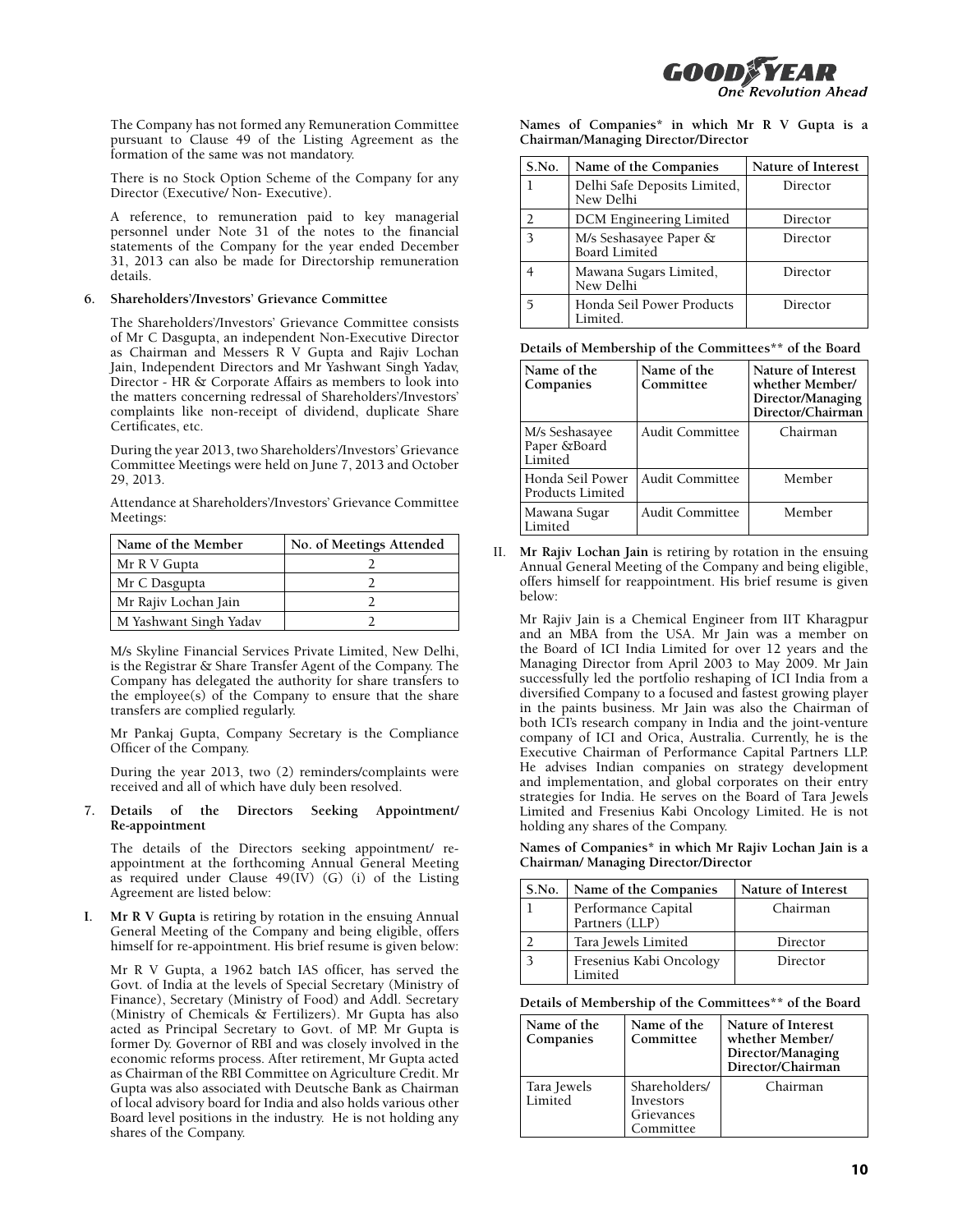GOO olution Ahead

The Company has not formed any Remuneration Committee pursuant to Clause 49 of the Listing Agreement as the formation of the same was not mandatory.

There is no Stock Option Scheme of the Company for any Director (Executive/ Non- Executive).

A reference, to remuneration paid to key managerial personnel under Note 31 of the notes to the financial statements of the Company for the year ended December 31, 2013 can also be made for Directorship remuneration details.

#### **6. Shareholders'/Investors' Grievance Committee**

The Shareholders'/Investors' Grievance Committee consists of Mr C Dasgupta, an independent Non-Executive Director as Chairman and Messers R V Gupta and Rajiv Lochan Jain, Independent Directors and Mr Yashwant Singh Yadav, Director - HR & Corporate Affairs as members to look into the matters concerning redressal of Shareholders'/Investors' complaints like non-receipt of dividend, duplicate Share Certificates, etc.

During the year 2013, two Shareholders'/Investors' Grievance Committee Meetings were held on June 7, 2013 and October 29, 2013.

Attendance at Shareholders'/Investors' Grievance Committee Meetings:

| Name of the Member     | No. of Meetings Attended |
|------------------------|--------------------------|
| Mr R V Gupta           |                          |
| Mr C Dasgupta          |                          |
| Mr Rajiv Lochan Jain   |                          |
| M Yashwant Singh Yadav |                          |

M/s Skyline Financial Services Private Limited, New Delhi, is the Registrar & Share Transfer Agent of the Company. The Company has delegated the authority for share transfers to the employee(s) of the Company to ensure that the share transfers are complied regularly.

Mr Pankaj Gupta, Company Secretary is the Compliance Officer of the Company.

During the year 2013, two (2) reminders/complaints were received and all of which have duly been resolved.

#### **7. Details of the Directors Seeking Appointment/ Re-appointment**

The details of the Directors seeking appointment/ reappointment at the forthcoming Annual General Meeting as required under Clause 49(IV) (G) (i) of the Listing Agreement are listed below:

**I. Mr R V Gupta** is retiring by rotation in the ensuing Annual General Meeting of the Company and being eligible, offers himself for re-appointment. His brief resume is given below:

Mr R V Gupta, a 1962 batch IAS officer, has served the Govt. of India at the levels of Special Secretary (Ministry of Finance), Secretary (Ministry of Food) and Addl. Secretary (Ministry of Chemicals & Fertilizers). Mr Gupta has also acted as Principal Secretary to Govt. of MP. Mr Gupta is former Dy. Governor of RBI and was closely involved in the economic reforms process. After retirement, Mr Gupta acted as Chairman of the RBI Committee on Agriculture Credit. Mr Gupta was also associated with Deutsche Bank as Chairman of local advisory board for India and also holds various other Board level positions in the industry. He is not holding any shares of the Company.

**Names of Companies\* in which Mr R V Gupta is a Chairman/Managing Director/Director**

| S.No. | Name of the Companies                          | <b>Nature of Interest</b> |
|-------|------------------------------------------------|---------------------------|
|       | Delhi Safe Deposits Limited,<br>New Delhi      | Director                  |
|       | <b>DCM</b> Engineering Limited                 | Director                  |
|       | M/s Seshasayee Paper &<br><b>Board Limited</b> | Director                  |
|       | Mawana Sugars Limited,<br>New Delhi            | Director                  |
|       | Honda Seil Power Products<br>Limited.          | Director                  |

| Name of the<br>Companies                  | Name of the<br>Committee | Nature of Interest<br>whether Member/<br>Director/Managing<br>Director/Chairman |  |
|-------------------------------------------|--------------------------|---------------------------------------------------------------------------------|--|
| M/s Seshasayee<br>Paper &Board<br>Limited | Audit Committee          | Chairman                                                                        |  |
| Honda Seil Power<br>Products Limited      | <b>Audit Committee</b>   | Member                                                                          |  |
| Mawana Sugar<br>Limited                   | <b>Audit Committee</b>   | Member                                                                          |  |

II. **Mr Rajiv Lochan Jain** is retiring by rotation in the ensuing Annual General Meeting of the Company and being eligible, offers himself for reappointment. His brief resume is given below:

Mr Rajiv Jain is a Chemical Engineer from IIT Kharagpur and an MBA from the USA. Mr Jain was a member on the Board of ICI India Limited for over 12 years and the Managing Director from April 2003 to May 2009. Mr Jain successfully led the portfolio reshaping of ICI India from a diversified Company to a focused and fastest growing player in the paints business. Mr Jain was also the Chairman of both ICI's research company in India and the joint-venture company of ICI and Orica, Australia. Currently, he is the Executive Chairman of Performance Capital Partners LLP. He advises Indian companies on strategy development and implementation, and global corporates on their entry strategies for India. He serves on the Board of Tara Jewels Limited and Fresenius Kabi Oncology Limited. He is not holding any shares of the Company.

**Names of Companies\* in which Mr Rajiv Lochan Jain is a Chairman/ Managing Director/Director**

| S.No. | Name of the Companies                 | Nature of Interest |
|-------|---------------------------------------|--------------------|
|       | Performance Capital<br>Partners (LLP) | Chairman           |
|       | Tara Jewels Limited                   | Director           |
|       | Fresenius Kabi Oncology<br>Limited    | Director           |

**Details of Membership of the Committees\*\* of the Board**

| Name of the<br>Companies | Name of the<br>Committee                              | Nature of Interest<br>whether Member/<br>Director/Managing<br>Director/Chairman |
|--------------------------|-------------------------------------------------------|---------------------------------------------------------------------------------|
| Tara Jewels<br>Limited   | Shareholders/<br>Investors<br>Grievances<br>Committee | Chairman                                                                        |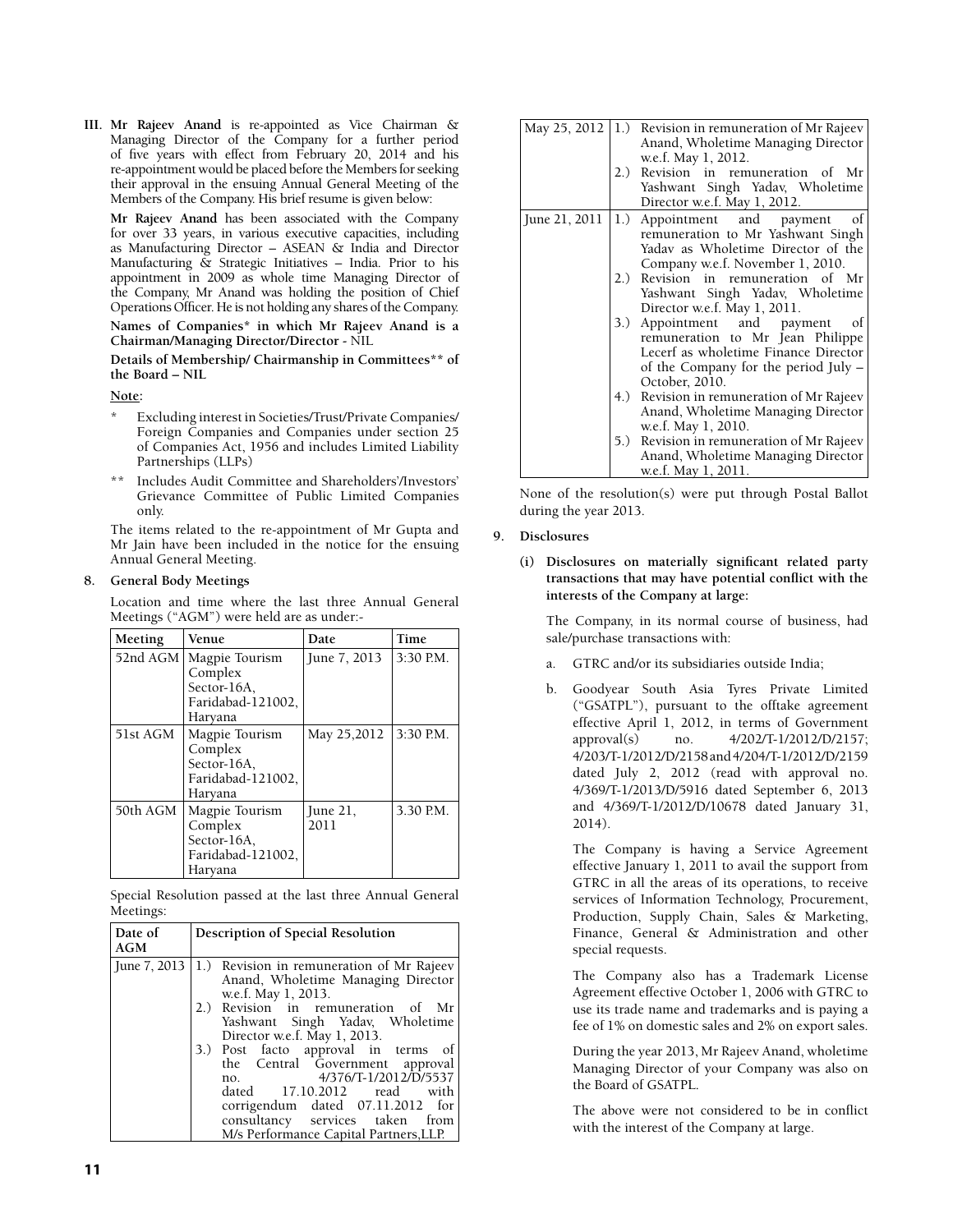**III. Mr Rajeev Anand** is re-appointed as Vice Chairman & Managing Director of the Company for a further period of five years with effect from February 20, 2014 and his re-appointment would be placed before the Members for seeking their approval in the ensuing Annual General Meeting of the Members of the Company. His brief resume is given below:

**Mr Rajeev Anand** has been associated with the Company for over 33 years, in various executive capacities, including as Manufacturing Director – ASEAN & India and Director Manufacturing & Strategic Initiatives – India. Prior to his appointment in 2009 as whole time Managing Director of the Company, Mr Anand was holding the position of Chief Operations Officer. He is not holding any shares of the Company.

**Names of Companies\* in which Mr Rajeev Anand is a Chairman/Managing Director/Director -** NIL

**Details of Membership/ Chairmanship in Committees\*\* of the Board – Nil**

**Note:**

- Excluding interest in Societies/Trust/Private Companies/ Foreign Companies and Companies under section 25 of Companies Act, 1956 and includes Limited Liability Partnerships (LLPs)
- \*\* Includes Audit Committee and Shareholders'/Investors' Grievance Committee of Public Limited Companies only.

The items related to the re-appointment of Mr Gupta and Mr Jain have been included in the notice for the ensuing Annual General Meeting.

#### **8. General Body Meetings**

Location and time where the last three Annual General Meetings ("AGM") were held are as under:-

| Meeting  | Venue                                                                    | Date                | Time        |
|----------|--------------------------------------------------------------------------|---------------------|-------------|
| 52nd AGM | Magpie Tourism<br>Complex<br>Sector-16A,<br>Faridabad-121002,<br>Haryana | June 7, 2013        | 3:30 P.M.   |
| 51st AGM | Magpie Tourism<br>Complex<br>Sector-16A,<br>Faridabad-121002,<br>Haryana | May 25,2012         | $3:30$ P.M. |
| 50th AGM | Magpie Tourism<br>Complex<br>Sector-16A,<br>Faridabad-121002,<br>Harvana | June $21$ ,<br>2011 | 3.30 P.M.   |

Special Resolution passed at the last three Annual General Meetings:

| Date of<br><b>AGM</b> | Description of Special Resolution                                                                                                                                                                                                                     |  |
|-----------------------|-------------------------------------------------------------------------------------------------------------------------------------------------------------------------------------------------------------------------------------------------------|--|
| June 7, 2013          | 1.) Revision in remuneration of Mr Rajeev<br>Anand, Wholetime Managing Director<br>w.e.f. May 1, 2013.                                                                                                                                                |  |
|                       | 2.) Revision in remuneration of Mr<br>Yashwant Singh Yadav, Wholetime<br>Director w.e.f. May 1, 2013.                                                                                                                                                 |  |
|                       | 3.) Post facto approval in terms of<br>the Central Government approval<br>4/376/T-1/2012/D/5537<br>no.<br>dated 17.10.2012 read with<br>corrigendum dated 07.11.2012 for<br>consultancy services taken from<br>M/s Performance Capital Partners, LLP. |  |

| May 25, 2012  |     | 1.) Revision in remuneration of Mr Rajeev<br>Anand, Wholetime Managing Director<br>w.e.f. May 1, 2012.        |
|---------------|-----|---------------------------------------------------------------------------------------------------------------|
|               | 2.  | Revision in remuneration of Mr<br>Yashwant Singh Yadav, Wholetime                                             |
|               |     | Director w.e.f. May 1, 2012.                                                                                  |
| June 21, 2011 | 1.) | οf<br>Appointment and payment<br>remuneration to Mr Yashwant Singh<br>Yadav as Wholetime Director of the      |
|               |     | Company w.e.f. November 1, 2010.                                                                              |
|               | 2.  | Revision in remuneration of Mr                                                                                |
|               |     | Yashwant Singh Yadav, Wholetime                                                                               |
|               |     | Director w.e.f. May 1, 2011.                                                                                  |
|               |     | 3.) Appointment and payment<br>of<br>remuneration to Mr Jean Philippe<br>Lecerf as wholetime Finance Director |
|               |     | of the Company for the period July –                                                                          |
|               |     | October, 2010.                                                                                                |
|               |     | 4.) Revision in remuneration of Mr Rajeev                                                                     |
|               |     | Anand, Wholetime Managing Director<br>w.e.f. May 1, 2010.                                                     |
|               | 5.) |                                                                                                               |
|               |     | Revision in remuneration of Mr Rajeev<br>Anand, Wholetime Managing Director<br>w.e.f. May 1, 2011.            |

None of the resolution(s) were put through Postal Ballot during the year 2013.

#### **9. Disclosures**

**(i) Disclosures on materially significant related party transactions that may have potential conflict with the interests of the Company at large:**

 The Company, in its normal course of business, had sale/purchase transactions with:

- a. GTRC and/or its subsidiaries outside India;
- b. Goodyear South Asia Tyres Private Limited ("GSATPL"), pursuant to the offtake agreement effective April 1, 2012, in terms of Government approval(s) no. 4/202/T-1/2012/D/2157; 4/203/T-1/2012/D/2158 and 4/204/T-1/2012/D/2159 dated July 2, 2012 (read with approval no. 4/369/T-1/2013/D/5916 dated September 6, 2013 and 4/369/T-1/2012/D/10678 dated January 31, 2014).

 The Company is having a Service Agreement effective January 1, 2011 to avail the support from GTRC in all the areas of its operations, to receive services of Information Technology, Procurement, Production, Supply Chain, Sales & Marketing, Finance, General & Administration and other special requests.

 The Company also has a Trademark License Agreement effective October 1, 2006 with GTRC to use its trade name and trademarks and is paying a fee of 1% on domestic sales and 2% on export sales.

 During the year 2013, Mr Rajeev Anand, wholetime Managing Director of your Company was also on the Board of GSATPL.

 The above were not considered to be in conflict with the interest of the Company at large.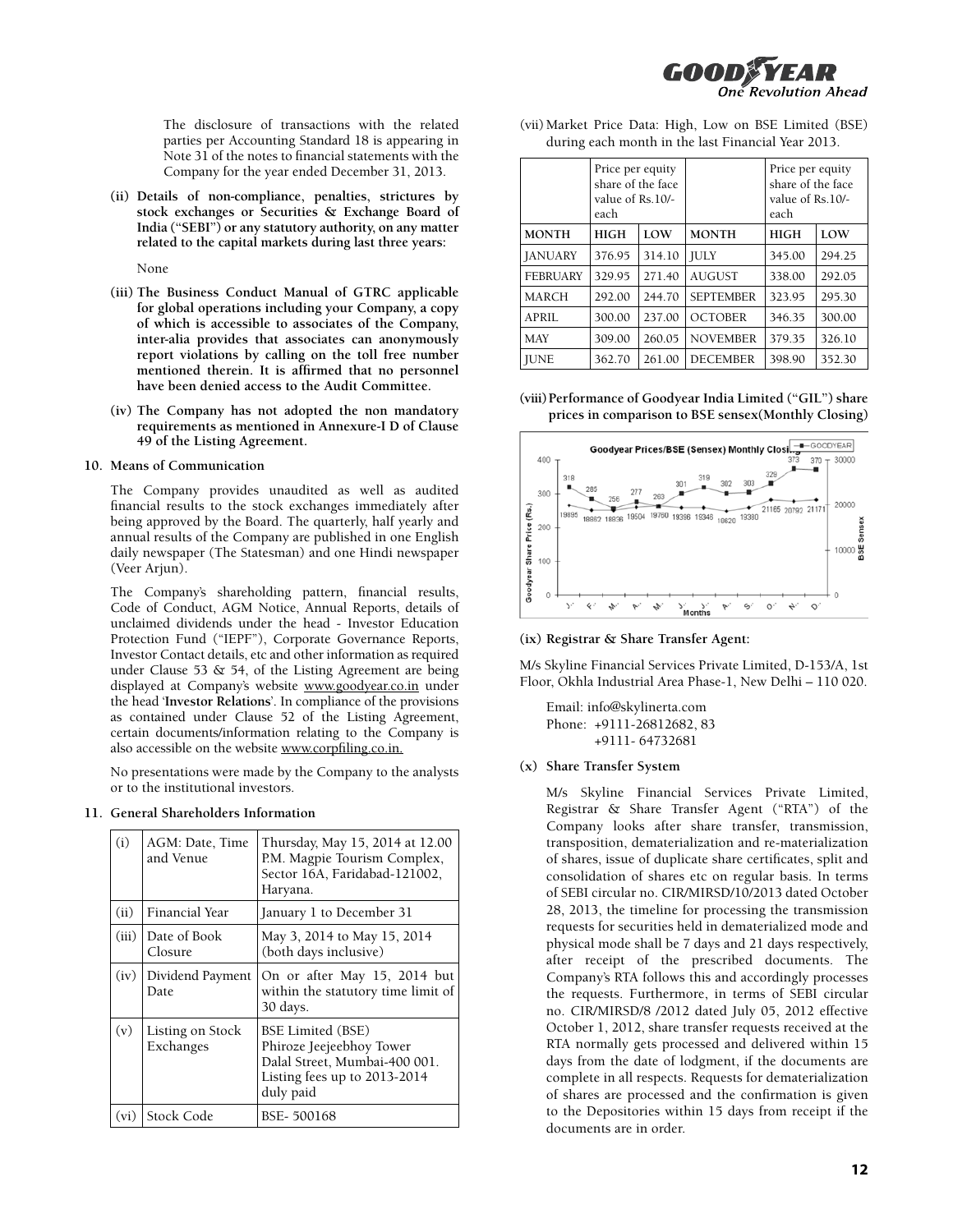

 The disclosure of transactions with the related parties per Accounting Standard 18 is appearing in Note 31 of the notes to financial statements with the Company for the year ended December 31, 2013.

**(ii) Details of non-compliance, penalties, strictures by stock exchanges or Securities & Exchange Board of India ("SEBI") or any statutory authority, on any matter related to the capital markets during last three years:**

None

- **(iii) The Business Conduct Manual of GTRC applicable for global operations including your Company, a copy of which is accessible to associates of the Company, inter-alia provides that associates can anonymously report violations by calling on the toll free number mentioned therein. It is affirmed that no personnel have been denied access to the Audit Committee.**
- **(iv) The Company has not adopted the non mandatory requirements as mentioned in Annexure-I D of Clause 49 of the Listing Agreement.**

#### **10. Means of Communication**

The Company provides unaudited as well as audited financial results to the stock exchanges immediately after being approved by the Board. The quarterly, half yearly and annual results of the Company are published in one English daily newspaper (The Statesman) and one Hindi newspaper (Veer Arjun).

The Company's shareholding pattern, financial results, Code of Conduct, AGM Notice, Annual Reports, details of unclaimed dividends under the head - Investor Education Protection Fund ("IEPF"), Corporate Governance Reports, Investor Contact details, etc and other information as required under Clause 53 & 54, of the Listing Agreement are being displayed at Company's website www.goodyear.co.in under the head '**Investor Relations**'. In compliance of the provisions as contained under Clause 52 of the Listing Agreement, certain documents/information relating to the Company is also accessible on the website www.corpfiling.co.in.

No presentations were made by the Company to the analysts or to the institutional investors.

#### **11. General Shareholders Information**

| (i)   | AGM: Date, Time<br>and Venue  | Thursday, May 15, 2014 at 12.00<br>P.M. Magpie Tourism Complex,<br>Sector 16A, Faridabad-121002,<br>Haryana.                       |
|-------|-------------------------------|------------------------------------------------------------------------------------------------------------------------------------|
| (ii)  | Financial Year                | January 1 to December 31                                                                                                           |
| (iii) | Date of Book<br>Closure       | May 3, 2014 to May 15, 2014<br>(both days inclusive)                                                                               |
| (iv)  | Dividend Payment<br>Date.     | On or after May 15, 2014 but<br>within the statutory time limit of<br>30 days.                                                     |
| (v)   | Listing on Stock<br>Exchanges | <b>BSE Limited (BSE)</b><br>Phiroze Jeejeebhoy Tower<br>Dalal Street, Mumbai-400 001.<br>Listing fees up to 2013-2014<br>duly paid |
| (vi)  | Stock Code                    | BSE-500168                                                                                                                         |

| (vii) Market Price Data: High, Low on BSE Limited (BSE) |  |  |  |  |  |
|---------------------------------------------------------|--|--|--|--|--|
| during each month in the last Financial Year 2013.      |  |  |  |  |  |

|                 | Price per equity<br>share of the face<br>value of Rs.10/-<br>each |        |                  | Price per equity<br>share of the face<br>value of Rs.10/-<br>each |        |
|-----------------|-------------------------------------------------------------------|--------|------------------|-------------------------------------------------------------------|--------|
| <b>MONTH</b>    | <b>HIGH</b>                                                       | LOW    | <b>MONTH</b>     | <b>HIGH</b>                                                       | LOW    |
| <b>JANUARY</b>  | 376.95                                                            | 314.10 | <b>JULY</b>      | 345.00                                                            | 294.25 |
| <b>FEBRUARY</b> | 329.95                                                            | 271.40 | <b>AUGUST</b>    | 338.00                                                            | 292.05 |
| <b>MARCH</b>    | 292.00                                                            | 244.70 | <b>SEPTEMBER</b> | 323.95                                                            | 295.30 |
| APRIL.          | 300.00                                                            | 237.00 | <b>OCTOBER</b>   | 346.35                                                            | 300.00 |
| <b>MAY</b>      | 309.00                                                            | 260.05 | <b>NOVEMBER</b>  | 379.35                                                            | 326.10 |
| <b>IUNE</b>     | 362.70                                                            | 261.00 | <b>DECEMBER</b>  | 398.90                                                            | 352.30 |

**(viii) Performance of Goodyear India Limited ("GIL") share prices in comparison to BSE sensex(Monthly Closing)**



**(ix) Registrar & Share Transfer Agent:**

M/s Skyline Financial Services Private Limited, D-153/A, 1st Floor, Okhla Industrial Area Phase-1, New Delhi – 110 020.

Email: info@skylinerta.com Phone: +9111-26812682, 83 +9111- 64732681

#### **(x) Share Transfer System**

 M/s Skyline Financial Services Private Limited, Registrar & Share Transfer Agent ("RTA") of the Company looks after share transfer, transmission, transposition, dematerialization and re-materialization of shares, issue of duplicate share certificates, split and consolidation of shares etc on regular basis. In terms of SEBI circular no. CIR/MIRSD/10/2013 dated October 28, 2013, the timeline for processing the transmission requests for securities held in dematerialized mode and physical mode shall be 7 days and 21 days respectively, after receipt of the prescribed documents. The Company's RTA follows this and accordingly processes the requests. Furthermore, in terms of SEBI circular no. CIR/MIRSD/8 /2012 dated July 05, 2012 effective October 1, 2012, share transfer requests received at the RTA normally gets processed and delivered within 15 days from the date of lodgment, if the documents are complete in all respects. Requests for dematerialization of shares are processed and the confirmation is given to the Depositories within 15 days from receipt if the documents are in order.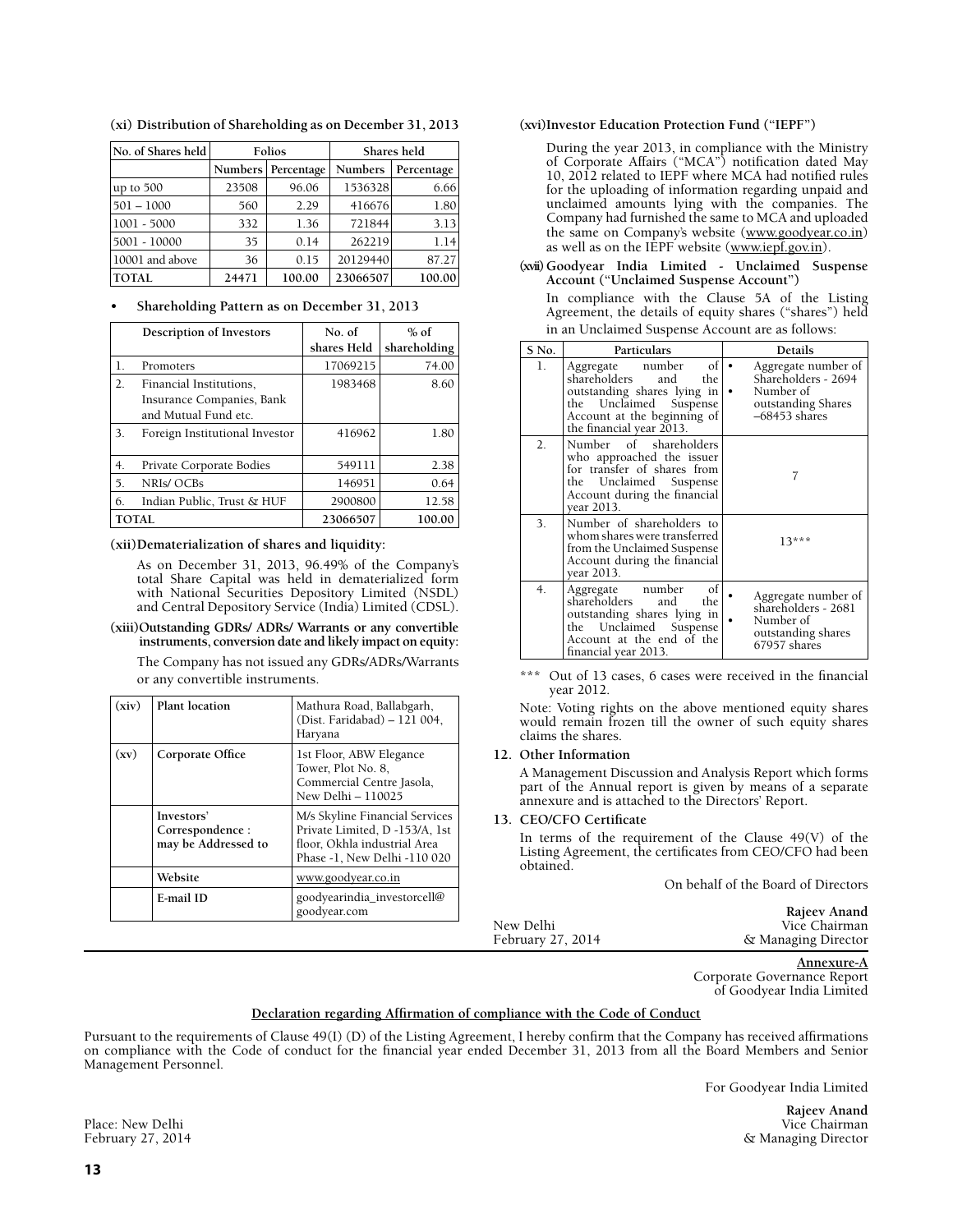| No. of Shares held | Folios  |            |                | Shares held |
|--------------------|---------|------------|----------------|-------------|
|                    | Numbers | Percentage | <b>Numbers</b> | Percentage  |
| up to $500$        | 23508   | 96.06      | 1536328        | 6.66        |
| $501 - 1000$       | 560     | 2.29       | 416676         | 1.80        |
| 1001 - 5000        | 332     | 1.36       | 721844         | 3.13        |
| 5001 - 10000       | 35      | 0.14       | 262219         | 1.14        |
| 10001 and above    | 36      | 0.15       | 20129440       | 87.27       |
| <b>TOTAL</b>       | 24471   | 100.00     | 23066507       | 100.00      |

**(xi) Distribution of Shareholding as on December 31, 2013**

#### Shareholding Pattern as on December 31, 2013

|    | Description of Investors       | No. of      | $%$ of       |
|----|--------------------------------|-------------|--------------|
|    |                                | shares Held | shareholding |
| 1. | Promoters                      | 17069215    | 74.00        |
| 2. | Financial Institutions,        | 1983468     | 8.60         |
|    | Insurance Companies, Bank      |             |              |
|    | and Mutual Fund etc.           |             |              |
| 3. | Foreign Institutional Investor | 416962      | 1.80         |
|    |                                |             |              |
| 4. | Private Corporate Bodies       | 549111      | 2.38         |
| 5. | NRIs/OCBs                      | 146951      | 0.64         |
| 6. | Indian Public, Trust & HUF     | 2900800     | 12.58        |
|    | <b>TOTAL</b>                   | 23066507    | 100.00       |

#### **(xii)Dematerialization of shares and liquidity:**

 As on December 31, 2013, 96.49% of the Company's total Share Capital was held in dematerialized form with National Securities Depository Limited (NSDL) and Central Depository Service (India) Limited (CDSL).

#### **(xiii) Outstanding GDRs/ ADRs/ Warrants or any convertible instruments, conversion date and likely impact on equity:**

 The Company has not issued any GDRs/ADRs/Warrants or any convertible instruments.

| (xiv) | Plant location                                       | Mathura Road, Ballabgarh,<br>(Dist. Faridabad) - 121 004,<br>Haryana                                                             |
|-------|------------------------------------------------------|----------------------------------------------------------------------------------------------------------------------------------|
| (xv)  | Corporate Office                                     | 1st Floor, ABW Elegance<br>Tower, Plot No. 8,<br>Commercial Centre Jasola,<br>New Delhi - 110025                                 |
|       | Investors'<br>Correspondence:<br>may be Addressed to | M/s Skyline Financial Services<br>Private Limited, D -153/A, 1st<br>floor, Okhla industrial Area<br>Phase -1, New Delhi -110 020 |
|       | Website                                              | www.goodyear.co.in                                                                                                               |
|       | E-mail ID                                            | goodyearindia_investorcell@<br>goodyear.com                                                                                      |

#### **(xvi)Investor Education Protection Fund ("IEPF")**

 During the year 2013, in compliance with the Ministry of Corporate Affairs ("MCA") notification dated May 10, 2012 related to IEPF where MCA had notified rules for the uploading of information regarding unpaid and unclaimed amounts lying with the companies. The Company had furnished the same to MCA and uploaded the same on Company's website (www.goodyear.co.in) as well as on the IEPF website (www.iepf.gov.in).

**(xvii) Goodyear India Limited - Unclaimed Suspense Account ("Unclaimed Suspense Account")**

 In compliance with the Clause 5A of the Listing Agreement, the details of equity shares ("shares") held in an Unclaimed Suspense Account are as follows:

| S No. | Particulars                                                                                                                                                              | Details                                                                                          |
|-------|--------------------------------------------------------------------------------------------------------------------------------------------------------------------------|--------------------------------------------------------------------------------------------------|
| 1.    | οf<br>Aggregate number<br>shareholders<br>the<br>and<br>outstanding shares lying in<br>the Unclaimed Suspense<br>Account at the beginning of<br>the financial year 2013. | Aggregate number of<br>Shareholders - 2694<br>Number of<br>outstanding Shares<br>$-68453$ shares |
| 2.    | Number of shareholders<br>who approached the issuer<br>for transfer of shares from<br>the Unclaimed Suspense<br>Account during the financial<br>vear 2013.               |                                                                                                  |
| 3.    | Number of shareholders to<br>whom shares were transferred<br>from the Unclaimed Suspense<br>Account during the financial<br>vear 2013.                                   | $13***$                                                                                          |
| 4.    | οf<br>Aggregate number<br>shareholders<br>the.<br>and<br>outstanding shares lying in<br>the Unclaimed<br>Suspense<br>Account at the end of the<br>financial year 2013.   | Aggregate number of<br>shareholders - 2681<br>Number of<br>outstanding shares<br>67957 shares    |

Out of 13 cases, 6 cases were received in the financial year 2012.

Note: Voting rights on the above mentioned equity shares would remain frozen till the owner of such equity shares claims the shares.

#### **12. Other Information**

A Management Discussion and Analysis Report which forms part of the Annual report is given by means of a separate annexure and is attached to the Directors' Report.

#### **13. CEO/CFO Certificate**

In terms of the requirement of the Clause 49(V) of the Listing Agreement, the certificates from CEO/CFO had been obtained.

On behalf of the Board of Directors

|                   | Rajeev Anand        |
|-------------------|---------------------|
| New Delhi         | Vice Chairman       |
| February 27, 2014 | & Managing Director |

**Annexure-A** Corporate Governance Report of Goodyear India Limited

#### **Declaration regarding Affirmation of compliance with the Code of Conduct**

Pursuant to the requirements of Clause 49(I) (D) of the Listing Agreement, I hereby confirm that the Company has received affirmations on compliance with the Code of conduct for the financial year ended December 31, 2013 from all the Board Members and Senior Management Personnel.

For Goodyear India Limited

**Rajeev Anand**  & Managing Director

Place: New Delhi<br>February 27, 2014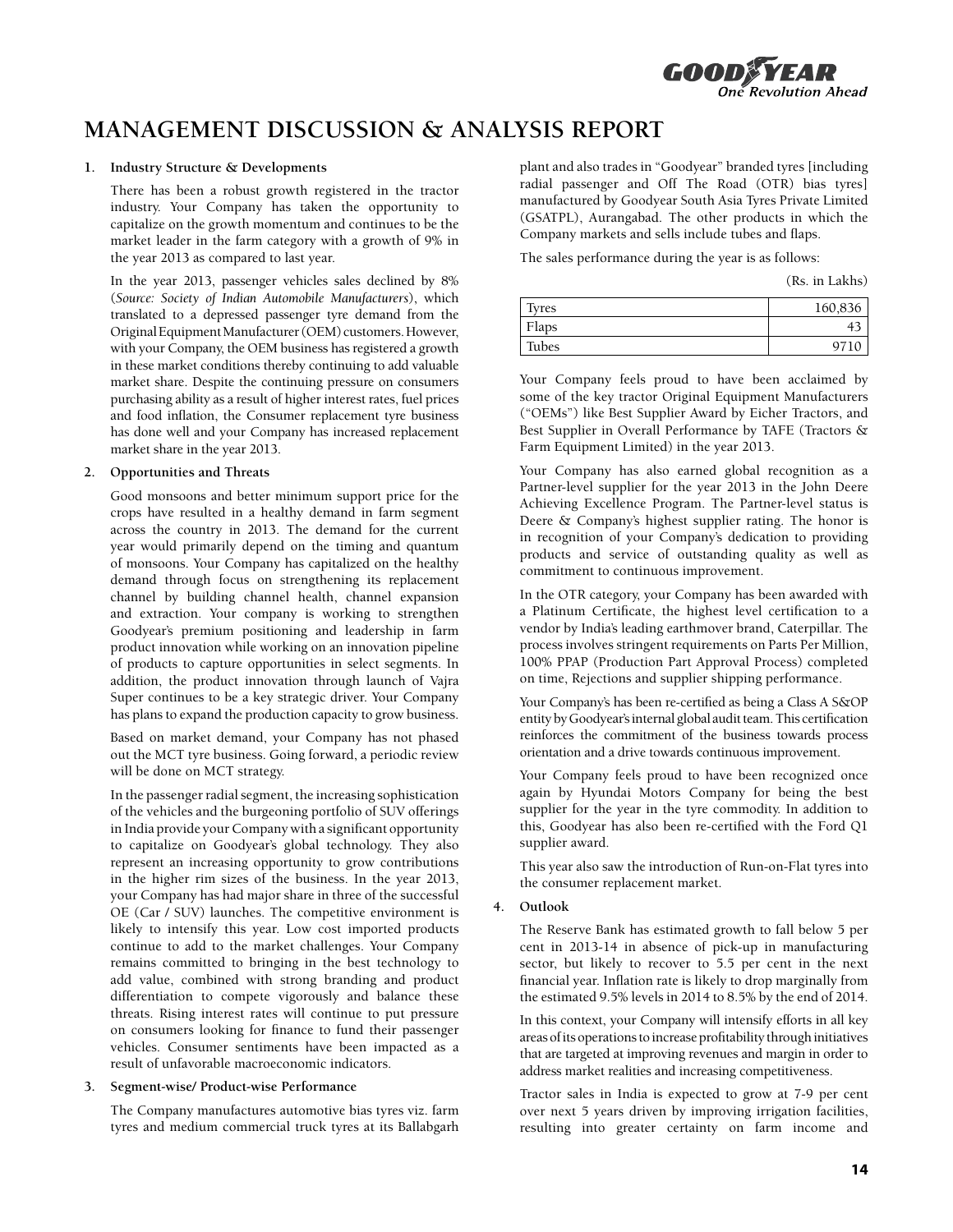

## **Management Discussion & Analysis Report**

#### **1. Industry Structure & Developments**

There has been a robust growth registered in the tractor industry. Your Company has taken the opportunity to capitalize on the growth momentum and continues to be the market leader in the farm category with a growth of 9% in the year 2013 as compared to last year.

In the year 2013, passenger vehicles sales declined by 8% (*Source: Society of Indian Automobile Manufacturers*), which translated to a depressed passenger tyre demand from the Original Equipment Manufacturer (OEM) customers. However, with your Company, the OEM business has registered a growth in these market conditions thereby continuing to add valuable market share. Despite the continuing pressure on consumers purchasing ability as a result of higher interest rates, fuel prices and food inflation, the Consumer replacement tyre business has done well and your Company has increased replacement market share in the year 2013.

#### **2. Opportunities and Threats**

Good monsoons and better minimum support price for the crops have resulted in a healthy demand in farm segment across the country in 2013. The demand for the current year would primarily depend on the timing and quantum of monsoons. Your Company has capitalized on the healthy demand through focus on strengthening its replacement channel by building channel health, channel expansion and extraction. Your company is working to strengthen Goodyear's premium positioning and leadership in farm product innovation while working on an innovation pipeline of products to capture opportunities in select segments. In addition, the product innovation through launch of Vajra Super continues to be a key strategic driver. Your Company has plans to expand the production capacity to grow business.

Based on market demand, your Company has not phased out the MCT tyre business. Going forward, a periodic review will be done on MCT strategy.

In the passenger radial segment, the increasing sophistication of the vehicles and the burgeoning portfolio of SUV offerings in India provide your Company with a significant opportunity to capitalize on Goodyear's global technology. They also represent an increasing opportunity to grow contributions in the higher rim sizes of the business. In the year 2013, your Company has had major share in three of the successful OE (Car / SUV) launches. The competitive environment is likely to intensify this year. Low cost imported products continue to add to the market challenges. Your Company remains committed to bringing in the best technology to add value, combined with strong branding and product differentiation to compete vigorously and balance these threats. Rising interest rates will continue to put pressure on consumers looking for finance to fund their passenger vehicles. Consumer sentiments have been impacted as a result of unfavorable macroeconomic indicators.

#### **3. Segment-wise/ Product-wise Performance**

The Company manufactures automotive bias tyres viz. farm tyres and medium commercial truck tyres at its Ballabgarh

plant and also trades in "Goodyear" branded tyres [including radial passenger and Off The Road (OTR) bias tyres] manufactured by Goodyear South Asia Tyres Private Limited (GSATPL), Aurangabad. The other products in which the Company markets and sells include tubes and flaps.

The sales performance during the year is as follows:

(Rs. in Lakhs)

| Tyres | 160,836 |
|-------|---------|
| Flaps |         |
| Tubes |         |

Your Company feels proud to have been acclaimed by some of the key tractor Original Equipment Manufacturers ("OEMs") like Best Supplier Award by Eicher Tractors, and Best Supplier in Overall Performance by TAFE (Tractors & Farm Equipment Limited) in the year 2013.

Your Company has also earned global recognition as a Partner-level supplier for the year 2013 in the John Deere Achieving Excellence Program. The Partner-level status is Deere & Company's highest supplier rating. The honor is in recognition of your Company's dedication to providing products and service of outstanding quality as well as commitment to continuous improvement.

In the OTR category, your Company has been awarded with a Platinum Certificate, the highest level certification to a vendor by India's leading earthmover brand, Caterpillar. The process involves stringent requirements on Parts Per Million, 100% PPAP (Production Part Approval Process) completed on time, Rejections and supplier shipping performance.

Your Company's has been re-certified as being a Class A S&OP entity by Goodyear's internal global audit team. This certification reinforces the commitment of the business towards process orientation and a drive towards continuous improvement.

Your Company feels proud to have been recognized once again by Hyundai Motors Company for being the best supplier for the year in the tyre commodity. In addition to this, Goodyear has also been re-certified with the Ford Q1 supplier award.

This year also saw the introduction of Run-on-Flat tyres into the consumer replacement market.

#### **4. Outlook**

The Reserve Bank has estimated growth to fall below 5 per cent in 2013-14 in absence of pick-up in manufacturing sector, but likely to recover to 5.5 per cent in the next financial year. Inflation rate is likely to drop marginally from the estimated 9.5% levels in 2014 to 8.5% by the end of 2014.

In this context, your Company will intensify efforts in all key areas of its operations to increase profitability through initiatives that are targeted at improving revenues and margin in order to address market realities and increasing competitiveness.

Tractor sales in India is expected to grow at 7-9 per cent over next 5 years driven by improving irrigation facilities, resulting into greater certainty on farm income and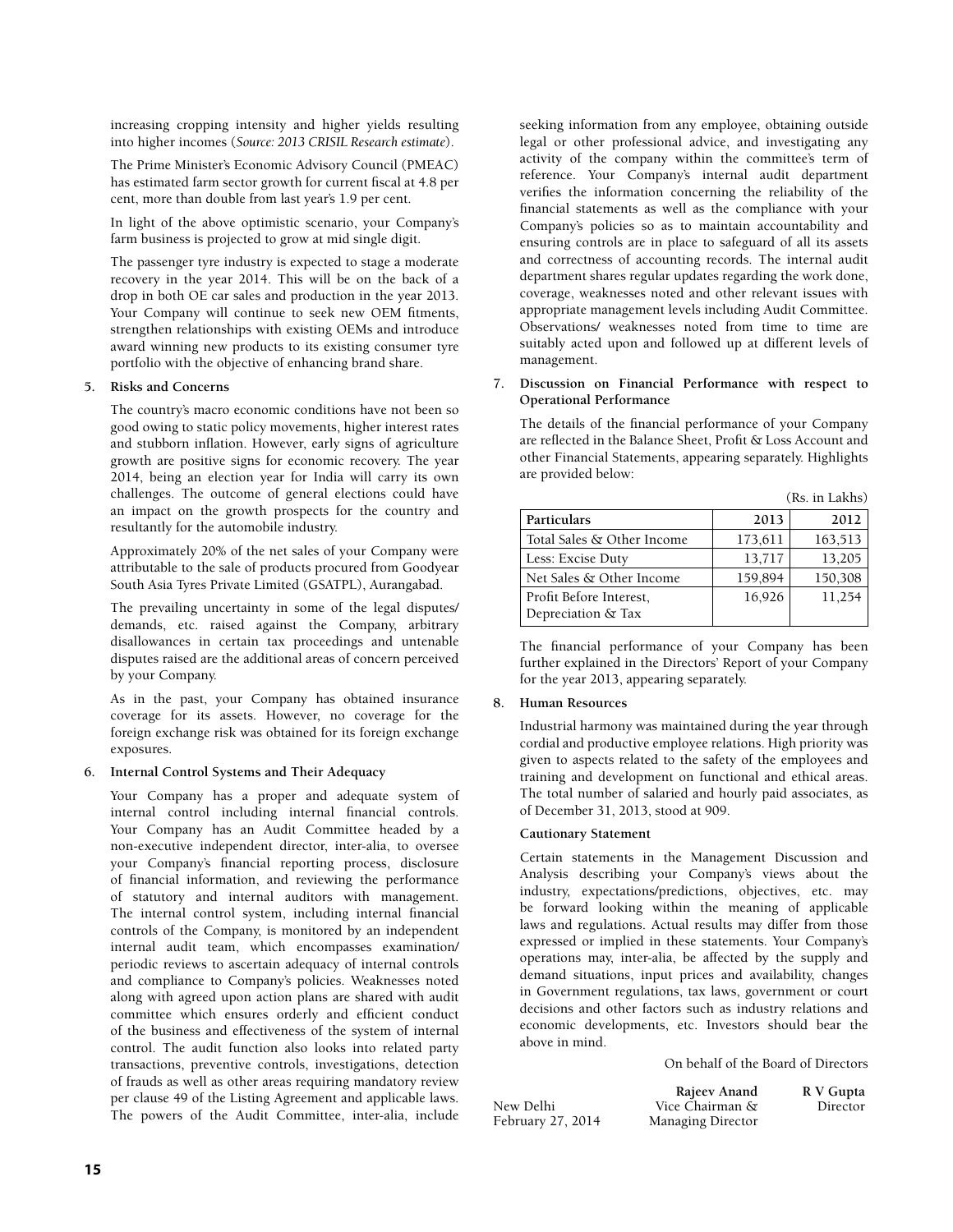increasing cropping intensity and higher yields resulting into higher incomes (*Source: 2013 CRISIL Research estimate*).

The Prime Minister's Economic Advisory Council (PMEAC) has estimated farm sector growth for current fiscal at 4.8 per cent, more than double from last year's 1.9 per cent.

In light of the above optimistic scenario, your Company's farm business is projected to grow at mid single digit.

The passenger tyre industry is expected to stage a moderate recovery in the year 2014. This will be on the back of a drop in both OE car sales and production in the year 2013. Your Company will continue to seek new OEM fitments, strengthen relationships with existing OEMs and introduce award winning new products to its existing consumer tyre portfolio with the objective of enhancing brand share.

#### **5. Risks and Concerns**

The country's macro economic conditions have not been so good owing to static policy movements, higher interest rates and stubborn inflation. However, early signs of agriculture growth are positive signs for economic recovery. The year 2014, being an election year for India will carry its own challenges. The outcome of general elections could have an impact on the growth prospects for the country and resultantly for the automobile industry.

Approximately 20% of the net sales of your Company were attributable to the sale of products procured from Goodyear South Asia Tyres Private Limited (GSATPL), Aurangabad.

The prevailing uncertainty in some of the legal disputes/ demands, etc. raised against the Company, arbitrary disallowances in certain tax proceedings and untenable disputes raised are the additional areas of concern perceived by your Company.

As in the past, your Company has obtained insurance coverage for its assets. However, no coverage for the foreign exchange risk was obtained for its foreign exchange exposures.

#### **6. Internal Control Systems and Their Adequacy**

Your Company has a proper and adequate system of internal control including internal financial controls. Your Company has an Audit Committee headed by a non-executive independent director, inter-alia, to oversee your Company's financial reporting process, disclosure of financial information, and reviewing the performance of statutory and internal auditors with management. The internal control system, including internal financial controls of the Company, is monitored by an independent internal audit team, which encompasses examination/ periodic reviews to ascertain adequacy of internal controls and compliance to Company's policies. Weaknesses noted along with agreed upon action plans are shared with audit committee which ensures orderly and efficient conduct of the business and effectiveness of the system of internal control. The audit function also looks into related party transactions, preventive controls, investigations, detection of frauds as well as other areas requiring mandatory review per clause 49 of the Listing Agreement and applicable laws. The powers of the Audit Committee, inter-alia, include

seeking information from any employee, obtaining outside legal or other professional advice, and investigating any activity of the company within the committee's term of reference. Your Company's internal audit department verifies the information concerning the reliability of the financial statements as well as the compliance with your Company's policies so as to maintain accountability and ensuring controls are in place to safeguard of all its assets and correctness of accounting records. The internal audit department shares regular updates regarding the work done, coverage, weaknesses noted and other relevant issues with appropriate management levels including Audit Committee. Observations/ weaknesses noted from time to time are suitably acted upon and followed up at different levels of management.

#### **7. Discussion on Financial Performance with respect to Operational Performance**

The details of the financial performance of your Company are reflected in the Balance Sheet, Profit & Loss Account and other Financial Statements, appearing separately. Highlights are provided below:

|                            |         | (Rs. in Lakhs) |
|----------------------------|---------|----------------|
| Particulars                | 2013    | 2012           |
| Total Sales & Other Income | 173,611 | 163,513        |
| Less: Excise Duty          | 13,717  | 13,205         |
| Net Sales & Other Income   | 159,894 | 150,308        |
| Profit Before Interest,    | 16,926  | 11,254         |
| Depreciation & Tax         |         |                |

The financial performance of your Company has been further explained in the Directors' Report of your Company for the year 2013, appearing separately.

#### **8. Human Resources**

Industrial harmony was maintained during the year through cordial and productive employee relations. High priority was given to aspects related to the safety of the employees and training and development on functional and ethical areas. The total number of salaried and hourly paid associates, as of December 31, 2013, stood at 909.

#### **Cautionary Statement**

Certain statements in the Management Discussion and Analysis describing your Company's views about the industry, expectations/predictions, objectives, etc. may be forward looking within the meaning of applicable laws and regulations. Actual results may differ from those expressed or implied in these statements. Your Company's operations may, inter-alia, be affected by the supply and demand situations, input prices and availability, changes in Government regulations, tax laws, government or court decisions and other factors such as industry relations and economic developments, etc. Investors should bear the above in mind.

On behalf of the Board of Directors

|                   | Rajeev Anand      | R V Gupta |
|-------------------|-------------------|-----------|
| New Delhi         | Vice Chairman &   | Director  |
| February 27, 2014 | Managing Director |           |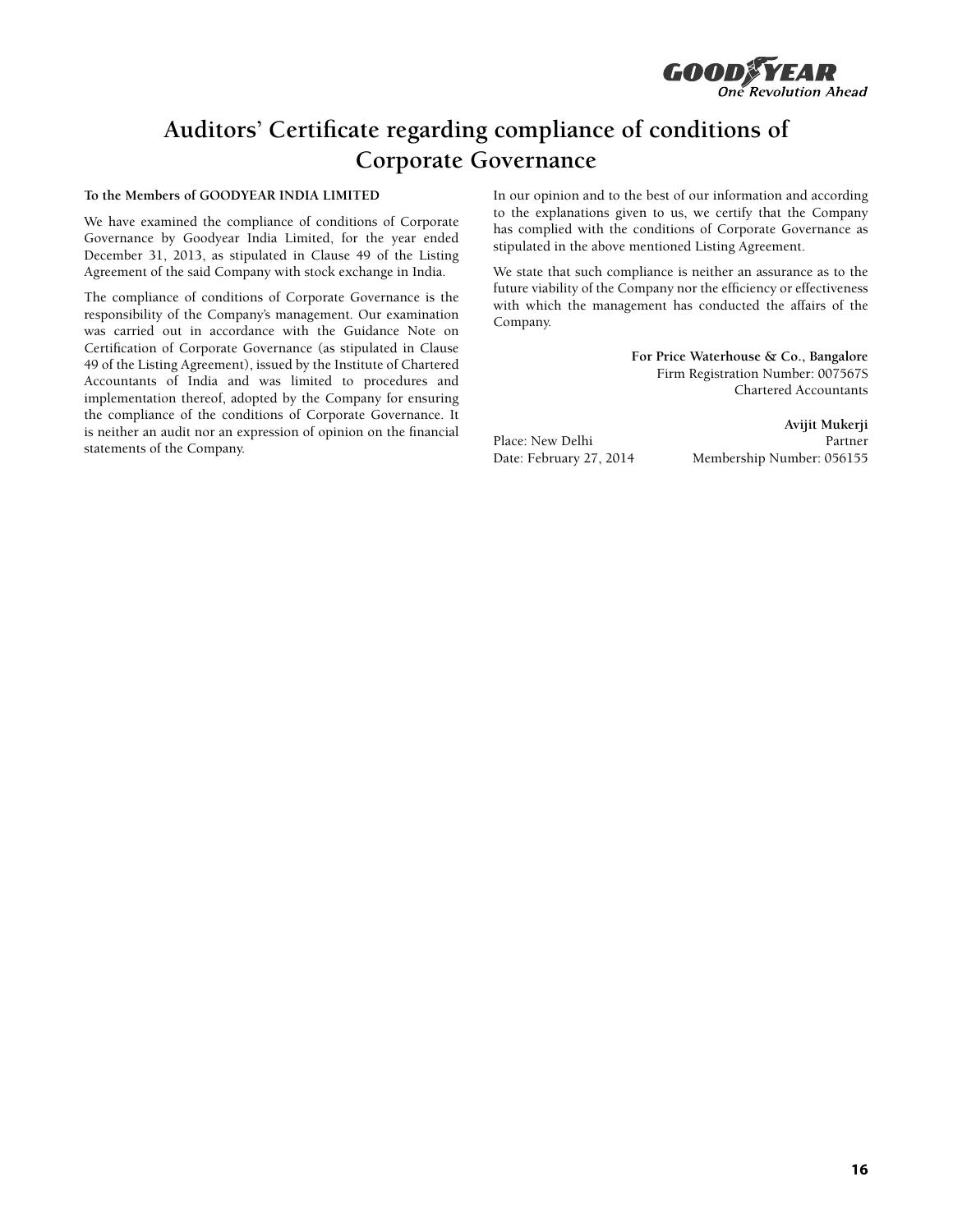

## **Auditors' Certificate regarding compliance of conditions of Corporate Governance**

#### **To the Members of Goodyear India Limited**

We have examined the compliance of conditions of Corporate Governance by Goodyear India Limited, for the year ended December 31, 2013, as stipulated in Clause 49 of the Listing Agreement of the said Company with stock exchange in India.

The compliance of conditions of Corporate Governance is the responsibility of the Company's management. Our examination was carried out in accordance with the Guidance Note on Certification of Corporate Governance (as stipulated in Clause 49 of the Listing Agreement), issued by the Institute of Chartered Accountants of India and was limited to procedures and implementation thereof, adopted by the Company for ensuring the compliance of the conditions of Corporate Governance. It is neither an audit nor an expression of opinion on the financial statements of the Company.

In our opinion and to the best of our information and according to the explanations given to us, we certify that the Company has complied with the conditions of Corporate Governance as stipulated in the above mentioned Listing Agreement.

We state that such compliance is neither an assurance as to the future viability of the Company nor the efficiency or effectiveness with which the management has conducted the affairs of the Company.

> **For Price Waterhouse & Co., Bangalore** Firm Registration Number: 007567S Chartered Accountants

**Avijit Mukerji** Place: New Delhi Partner Date: February 27, 2014 Membership Number: 056155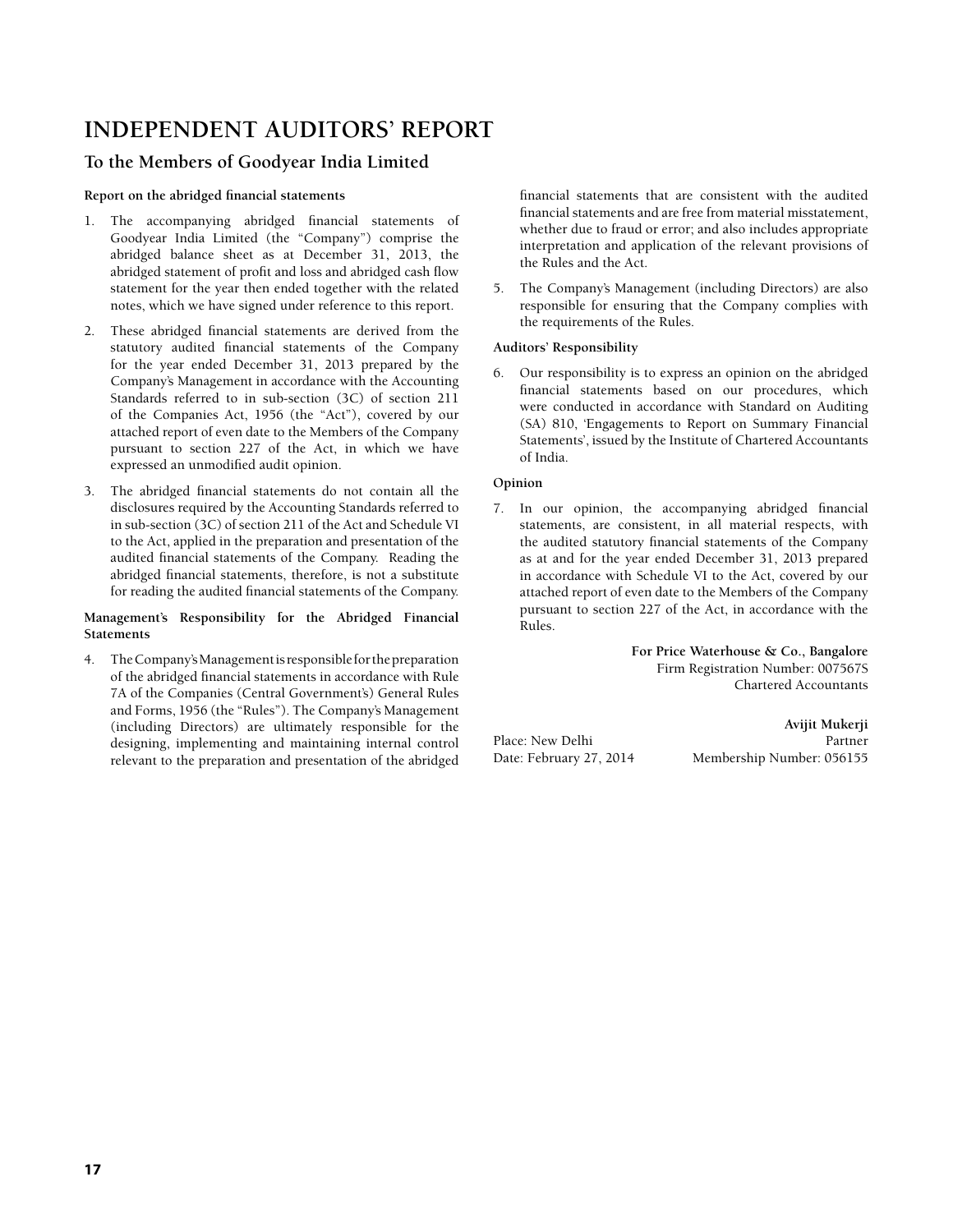## **INDEPENDENT AUDITORS' REPORT**

#### **To the Members of Goodyear India Limited**

#### **Report on the abridged financial statements**

- 1. The accompanying abridged financial statements of Goodyear India Limited (the "Company") comprise the abridged balance sheet as at December 31, 2013, the abridged statement of profit and loss and abridged cash flow statement for the year then ended together with the related notes, which we have signed under reference to this report.
- 2. These abridged financial statements are derived from the statutory audited financial statements of the Company for the year ended December 31, 2013 prepared by the Company's Management in accordance with the Accounting Standards referred to in sub-section (3C) of section 211 of the Companies Act, 1956 (the "Act"), covered by our attached report of even date to the Members of the Company pursuant to section 227 of the Act, in which we have expressed an unmodified audit opinion.
- 3. The abridged financial statements do not contain all the disclosures required by the Accounting Standards referred to in sub-section (3C) of section 211 of the Act and Schedule VI to the Act, applied in the preparation and presentation of the audited financial statements of the Company. Reading the abridged financial statements, therefore, is not a substitute for reading the audited financial statements of the Company.

#### **Management's Responsibility for the Abridged Financial Statements**

4. The Company's Management is responsible for the preparation of the abridged financial statements in accordance with Rule 7A of the Companies (Central Government's) General Rules and Forms, 1956 (the "Rules"). The Company's Management (including Directors) are ultimately responsible for the designing, implementing and maintaining internal control relevant to the preparation and presentation of the abridged

financial statements that are consistent with the audited financial statements and are free from material misstatement, whether due to fraud or error; and also includes appropriate interpretation and application of the relevant provisions of the Rules and the Act.

5. The Company's Management (including Directors) are also responsible for ensuring that the Company complies with the requirements of the Rules.

#### **Auditors' Responsibility**

6. Our responsibility is to express an opinion on the abridged financial statements based on our procedures, which were conducted in accordance with Standard on Auditing (SA) 810, 'Engagements to Report on Summary Financial Statements', issued by the Institute of Chartered Accountants of India.

#### **Opinion**

7. In our opinion, the accompanying abridged financial statements, are consistent, in all material respects, with the audited statutory financial statements of the Company as at and for the year ended December 31, 2013 prepared in accordance with Schedule VI to the Act, covered by our attached report of even date to the Members of the Company pursuant to section 227 of the Act, in accordance with the Rules.

> **For Price Waterhouse & Co., Bangalore** Firm Registration Number: 007567S Chartered Accountants

**Avijit Mukerji** Place: New Delhi Partner<br>
Date: February 27, 2014 Membership Number: 056155 Membership Number: 056155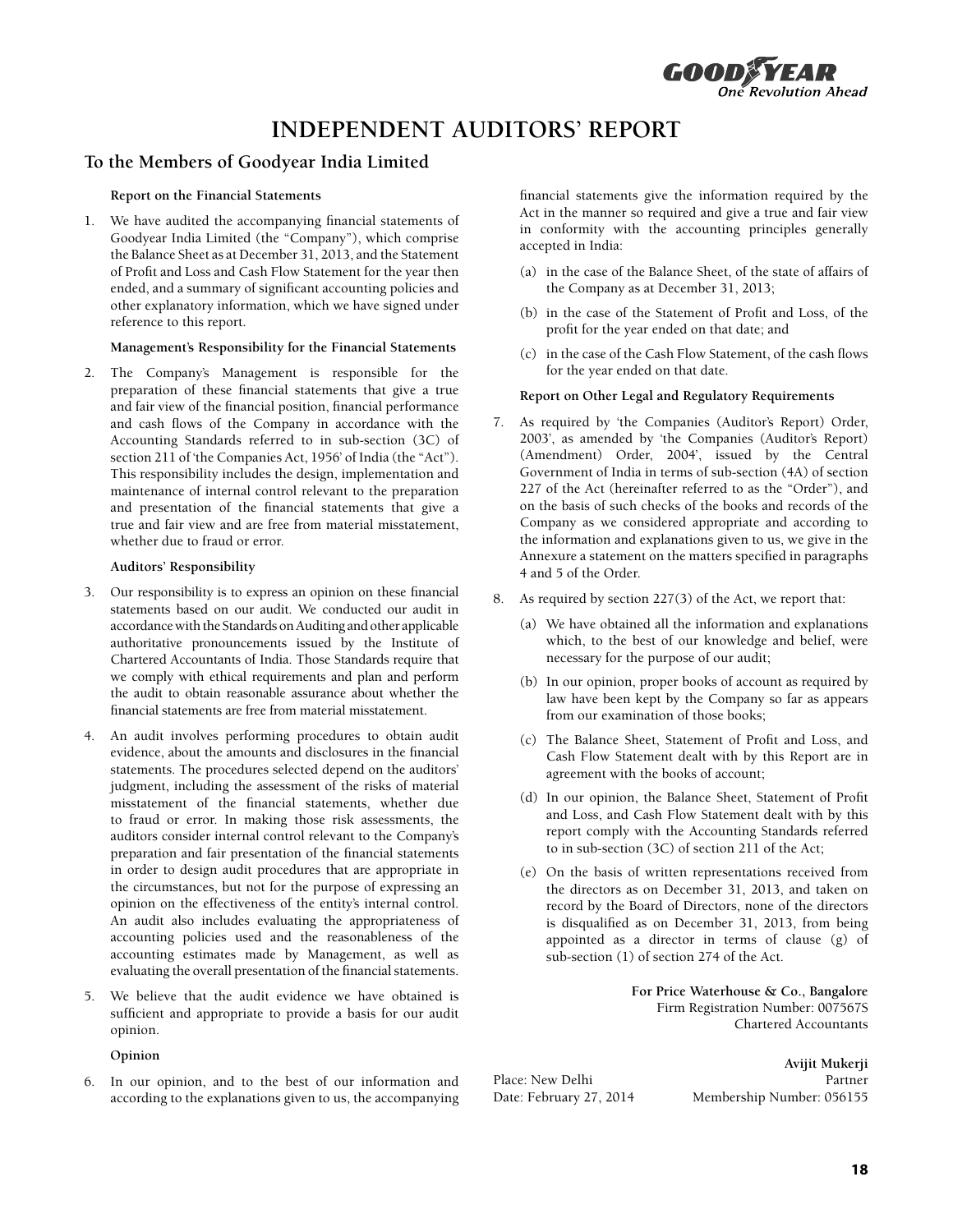

## **INDEPENDENT AUDITORS' REPORT**

#### **To the Members of Goodyear India Limited**

#### **Report on the Financial Statements**

1. We have audited the accompanying financial statements of Goodyear India Limited (the "Company"), which comprise the Balance Sheet as at December 31, 2013, and the Statement of Profit and Loss and Cash Flow Statement for the year then ended, and a summary of significant accounting policies and other explanatory information, which we have signed under reference to this report.

#### **Management's Responsibility for the Financial Statements**

2. The Company's Management is responsible for the preparation of these financial statements that give a true and fair view of the financial position, financial performance and cash flows of the Company in accordance with the Accounting Standards referred to in sub-section (3C) of section 211 of 'the Companies Act, 1956' of India (the "Act"). This responsibility includes the design, implementation and maintenance of internal control relevant to the preparation and presentation of the financial statements that give a true and fair view and are free from material misstatement, whether due to fraud or error.

#### **Auditors' Responsibility**

- 3. Our responsibility is to express an opinion on these financial statements based on our audit. We conducted our audit in accordance with the Standards on Auditing and other applicable authoritative pronouncements issued by the Institute of Chartered Accountants of India. Those Standards require that we comply with ethical requirements and plan and perform the audit to obtain reasonable assurance about whether the financial statements are free from material misstatement.
- 4. An audit involves performing procedures to obtain audit evidence, about the amounts and disclosures in the financial statements. The procedures selected depend on the auditors' judgment, including the assessment of the risks of material misstatement of the financial statements, whether due to fraud or error. In making those risk assessments, the auditors consider internal control relevant to the Company's preparation and fair presentation of the financial statements in order to design audit procedures that are appropriate in the circumstances, but not for the purpose of expressing an opinion on the effectiveness of the entity's internal control. An audit also includes evaluating the appropriateness of accounting policies used and the reasonableness of the accounting estimates made by Management, as well as evaluating the overall presentation of the financial statements.
- 5. We believe that the audit evidence we have obtained is sufficient and appropriate to provide a basis for our audit opinion.

**Opinion**

6. In our opinion, and to the best of our information and according to the explanations given to us, the accompanying financial statements give the information required by the Act in the manner so required and give a true and fair view in conformity with the accounting principles generally accepted in India:

- (a) in the case of the Balance Sheet, of the state of affairs of the Company as at December 31, 2013;
- (b) in the case of the Statement of Profit and Loss, of the profit for the year ended on that date; and
- (c) in the case of the Cash Flow Statement, of the cash flows for the year ended on that date.

#### **Report on Other Legal and Regulatory Requirements**

- 7. As required by 'the Companies (Auditor's Report) Order, 2003', as amended by 'the Companies (Auditor's Report) (Amendment) Order, 2004', issued by the Central Government of India in terms of sub-section (4A) of section 227 of the Act (hereinafter referred to as the "Order"), and on the basis of such checks of the books and records of the Company as we considered appropriate and according to the information and explanations given to us, we give in the Annexure a statement on the matters specified in paragraphs 4 and 5 of the Order.
- 8. As required by section 227(3) of the Act, we report that:
	- (a) We have obtained all the information and explanations which, to the best of our knowledge and belief, were necessary for the purpose of our audit;
	- (b) In our opinion, proper books of account as required by law have been kept by the Company so far as appears from our examination of those books;
	- (c) The Balance Sheet, Statement of Profit and Loss, and Cash Flow Statement dealt with by this Report are in agreement with the books of account;
	- (d) In our opinion, the Balance Sheet, Statement of Profit and Loss, and Cash Flow Statement dealt with by this report comply with the Accounting Standards referred to in sub-section (3C) of section 211 of the Act;
	- (e) On the basis of written representations received from the directors as on December 31, 2013, and taken on record by the Board of Directors, none of the directors is disqualified as on December 31, 2013, from being appointed as a director in terms of clause (g) of sub-section (1) of section 274 of the Act.

**For Price Waterhouse & Co., Bangalore** Firm Registration Number: 007567S Chartered Accountants

**Avijit Mukerji** Place: New Delhi Partner Date: February 27, 2014 Membership Number: 056155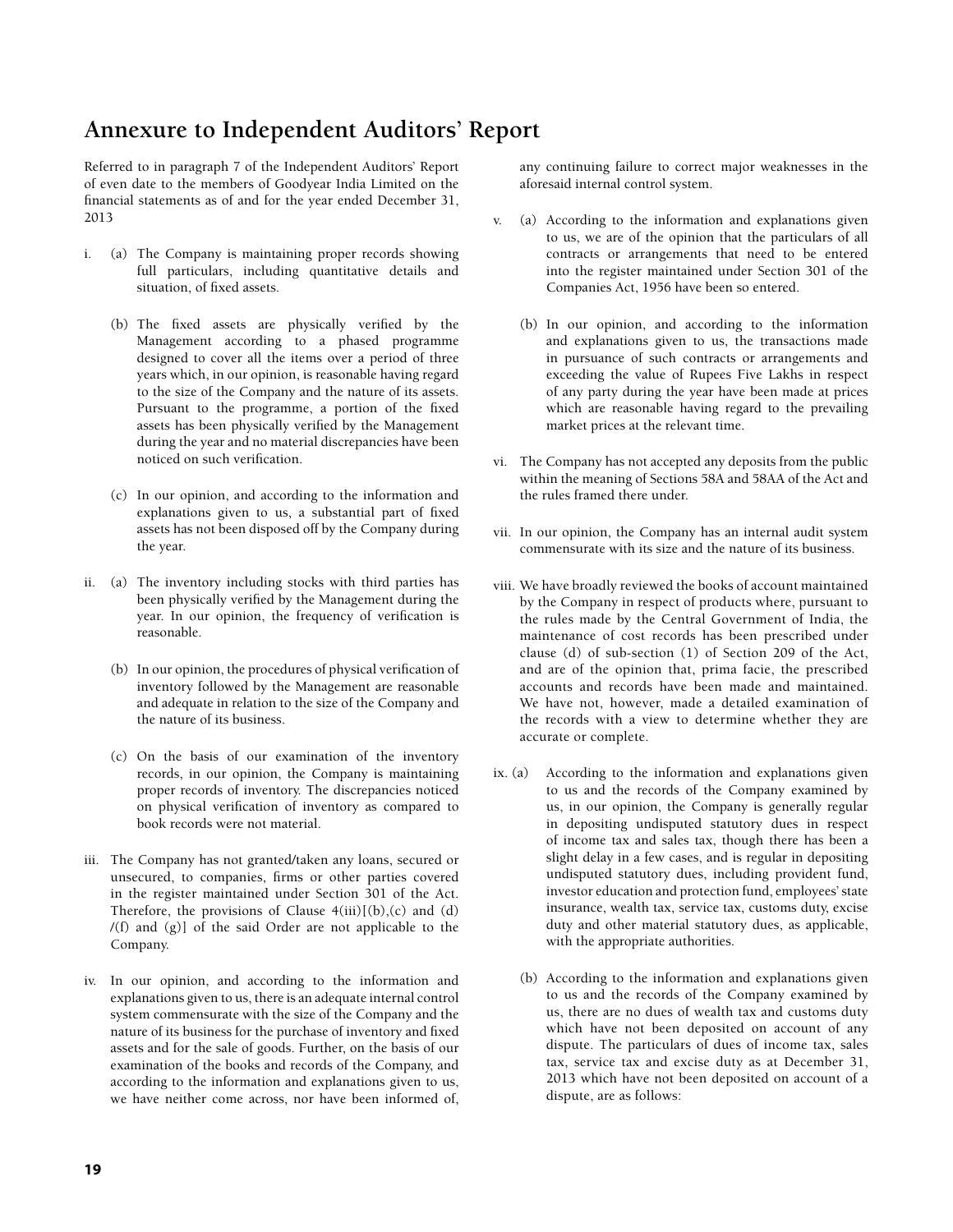## **Annexure to Independent Auditors' Report**

Referred to in paragraph 7 of the Independent Auditors' Report of even date to the members of Goodyear India Limited on the financial statements as of and for the year ended December 31, 2013

- i. (a) The Company is maintaining proper records showing full particulars, including quantitative details and situation, of fixed assets.
	- (b) The fixed assets are physically verified by the Management according to a phased programme designed to cover all the items over a period of three years which, in our opinion, is reasonable having regard to the size of the Company and the nature of its assets. Pursuant to the programme, a portion of the fixed assets has been physically verified by the Management during the year and no material discrepancies have been noticed on such verification.
	- (c) In our opinion, and according to the information and explanations given to us, a substantial part of fixed assets has not been disposed off by the Company during the year.
- ii. (a) The inventory including stocks with third parties has been physically verified by the Management during the year. In our opinion, the frequency of verification is reasonable.
	- (b) In our opinion, the procedures of physical verification of inventory followed by the Management are reasonable and adequate in relation to the size of the Company and the nature of its business.
	- (c) On the basis of our examination of the inventory records, in our opinion, the Company is maintaining proper records of inventory. The discrepancies noticed on physical verification of inventory as compared to book records were not material.
- iii. The Company has not granted/taken any loans, secured or unsecured, to companies, firms or other parties covered in the register maintained under Section 301 of the Act. Therefore, the provisions of Clause  $4(iii)[(b),(c)$  and  $(d)$  $/(f)$  and  $(g)$ ] of the said Order are not applicable to the Company.
- iv. In our opinion, and according to the information and explanations given to us, there is an adequate internal control system commensurate with the size of the Company and the nature of its business for the purchase of inventory and fixed assets and for the sale of goods. Further, on the basis of our examination of the books and records of the Company, and according to the information and explanations given to us, we have neither come across, nor have been informed of,

any continuing failure to correct major weaknesses in the aforesaid internal control system.

- v. (a) According to the information and explanations given to us, we are of the opinion that the particulars of all contracts or arrangements that need to be entered into the register maintained under Section 301 of the Companies Act, 1956 have been so entered.
	- (b) In our opinion, and according to the information and explanations given to us, the transactions made in pursuance of such contracts or arrangements and exceeding the value of Rupees Five Lakhs in respect of any party during the year have been made at prices which are reasonable having regard to the prevailing market prices at the relevant time.
- vi. The Company has not accepted any deposits from the public within the meaning of Sections 58A and 58AA of the Act and the rules framed there under.
- vii. In our opinion, the Company has an internal audit system commensurate with its size and the nature of its business.
- viii. We have broadly reviewed the books of account maintained by the Company in respect of products where, pursuant to the rules made by the Central Government of India, the maintenance of cost records has been prescribed under clause (d) of sub-section (1) of Section 209 of the Act, and are of the opinion that, prima facie, the prescribed accounts and records have been made and maintained. We have not, however, made a detailed examination of the records with a view to determine whether they are accurate or complete.
- ix. (a) According to the information and explanations given to us and the records of the Company examined by us, in our opinion, the Company is generally regular in depositing undisputed statutory dues in respect of income tax and sales tax, though there has been a slight delay in a few cases, and is regular in depositing undisputed statutory dues, including provident fund, investor education and protection fund, employees' state insurance, wealth tax, service tax, customs duty, excise duty and other material statutory dues, as applicable, with the appropriate authorities.
	- (b) According to the information and explanations given to us and the records of the Company examined by us, there are no dues of wealth tax and customs duty which have not been deposited on account of any dispute. The particulars of dues of income tax, sales tax, service tax and excise duty as at December 31, 2013 which have not been deposited on account of a dispute, are as follows: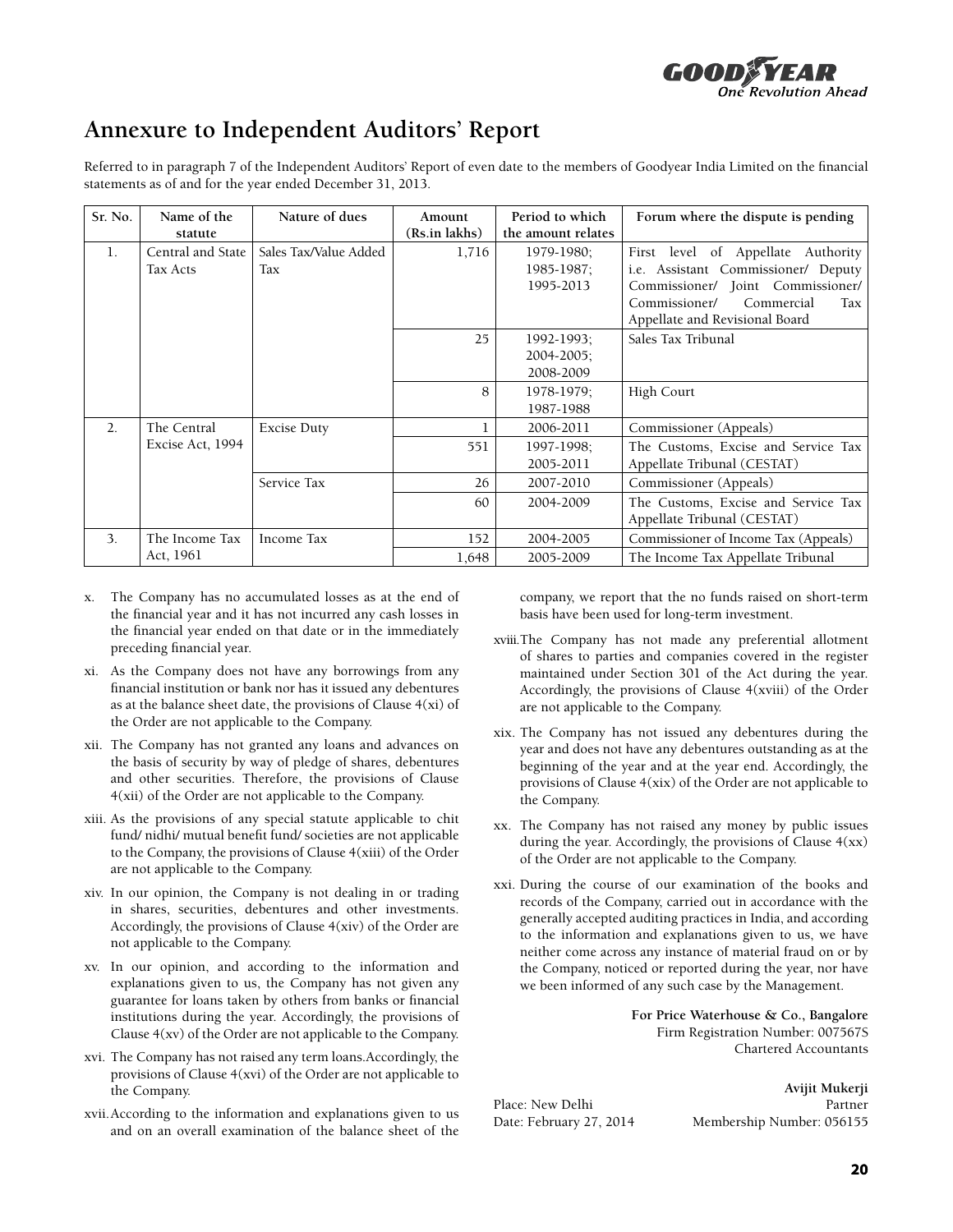GOOD One Revolution Ahead

## **Annexure to Independent Auditors' Report**

Referred to in paragraph 7 of the Independent Auditors' Report of even date to the members of Goodyear India Limited on the financial statements as of and for the year ended December 31, 2013.

| Sr. No.          | Name of the       | Nature of dues        | Amount        | Period to which    | Forum where the dispute is pending                  |
|------------------|-------------------|-----------------------|---------------|--------------------|-----------------------------------------------------|
|                  | statute           |                       | (Rs.in lakhs) | the amount relates |                                                     |
| 1.               | Central and State | Sales Tax/Value Added | 1,716         | 1979-1980;         | First level of Appellate<br>Authority               |
|                  | Tax Acts          | Tax                   |               | 1985-1987;         | i.e. Assistant Commissioner/ Deputy                 |
|                  |                   |                       |               | 1995-2013          | Commissioner/ Joint Commissioner/                   |
|                  |                   |                       |               |                    | Commissioner/<br>Commercial<br>$\operatorname{Tax}$ |
|                  |                   |                       |               |                    | Appellate and Revisional Board                      |
|                  |                   |                       | 25            | 1992-1993:         | Sales Tax Tribunal                                  |
|                  |                   |                       |               | 2004-2005;         |                                                     |
|                  |                   |                       |               | 2008-2009          |                                                     |
|                  |                   |                       | 8             | 1978-1979;         | High Court                                          |
|                  |                   |                       |               | 1987-1988          |                                                     |
| $\overline{2}$ . | The Central       | <b>Excise Duty</b>    | 1             | 2006-2011          | Commissioner (Appeals)                              |
|                  | Excise Act, 1994  |                       | 551           | 1997-1998;         | The Customs, Excise and Service Tax                 |
|                  |                   |                       |               | 2005-2011          | Appellate Tribunal (CESTAT)                         |
|                  |                   | Service Tax           | 26            | 2007-2010          | Commissioner (Appeals)                              |
|                  |                   |                       | 60            | 2004-2009          | The Customs, Excise and Service Tax                 |
|                  |                   |                       |               |                    | Appellate Tribunal (CESTAT)                         |
| $\overline{3}$ . | The Income Tax    | Income Tax            | 152           | 2004-2005          | Commissioner of Income Tax (Appeals)                |
|                  | Act, 1961         |                       | 1,648         | 2005-2009          | The Income Tax Appellate Tribunal                   |

- x. The Company has no accumulated losses as at the end of the financial year and it has not incurred any cash losses in the financial year ended on that date or in the immediately preceding financial year.
- xi. As the Company does not have any borrowings from any financial institution or bank nor has it issued any debentures as at the balance sheet date, the provisions of Clause 4(xi) of the Order are not applicable to the Company.
- xii. The Company has not granted any loans and advances on the basis of security by way of pledge of shares, debentures and other securities. Therefore, the provisions of Clause 4(xii) of the Order are not applicable to the Company.
- xiii. As the provisions of any special statute applicable to chit fund/ nidhi/ mutual benefit fund/ societies are not applicable to the Company, the provisions of Clause 4(xiii) of the Order are not applicable to the Company.
- xiv. In our opinion, the Company is not dealing in or trading in shares, securities, debentures and other investments. Accordingly, the provisions of Clause 4(xiv) of the Order are not applicable to the Company.
- xv. In our opinion, and according to the information and explanations given to us, the Company has not given any guarantee for loans taken by others from banks or financial institutions during the year. Accordingly, the provisions of Clause  $4(xv)$  of the Order are not applicable to the Company.
- xvi. The Company has not raised any term loans.Accordingly, the provisions of Clause 4(xvi) of the Order are not applicable to the Company.
- xvii. According to the information and explanations given to us and on an overall examination of the balance sheet of the

company, we report that the no funds raised on short-term basis have been used for long-term investment.

- xviii. The Company has not made any preferential allotment of shares to parties and companies covered in the register maintained under Section 301 of the Act during the year. Accordingly, the provisions of Clause 4(xviii) of the Order are not applicable to the Company.
- xix. The Company has not issued any debentures during the year and does not have any debentures outstanding as at the beginning of the year and at the year end. Accordingly, the provisions of Clause 4(xix) of the Order are not applicable to the Company.
- xx. The Company has not raised any money by public issues during the year. Accordingly, the provisions of Clause  $4(xx)$ of the Order are not applicable to the Company.
- xxi. During the course of our examination of the books and records of the Company, carried out in accordance with the generally accepted auditing practices in India, and according to the information and explanations given to us, we have neither come across any instance of material fraud on or by the Company, noticed or reported during the year, nor have we been informed of any such case by the Management.

**For Price Waterhouse & Co., Bangalore** Firm Registration Number: 007567S Chartered Accountants

**Avijit Mukerji** Place: New Delhi Partner Date: February 27, 2014 Membership Number: 056155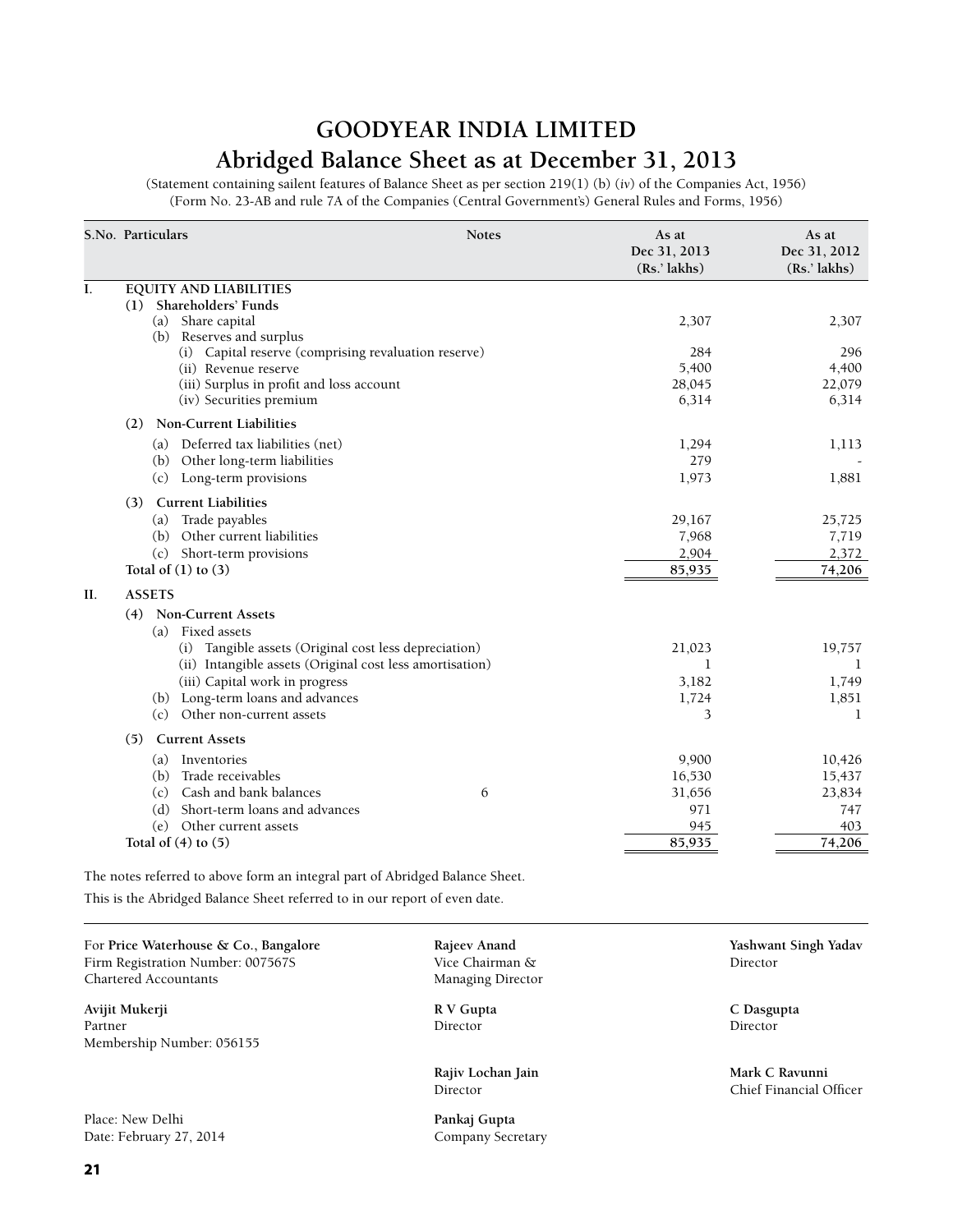## **GOODYEAR INDIA LIMITED Abridged Balance Sheet as at December 31, 2013**

(Statement containing sailent features of Balance Sheet as per section 219(1) (b) (*iv*) of the Companies Act, 1956) (Form No. 23-AB and rule 7A of the Companies (Central Government's) General Rules and Forms, 1956)

|     | S.No. Particulars                                                   | <b>Notes</b> | As at<br>Dec 31, 2013<br>(Rs.' lakhs) | As at<br>Dec 31, 2012<br>(Rs.' lakhs) |
|-----|---------------------------------------------------------------------|--------------|---------------------------------------|---------------------------------------|
| I.  | <b>EQUITY AND LIABILITIES</b>                                       |              |                                       |                                       |
|     | <b>Shareholders' Funds</b><br>(1)                                   |              |                                       |                                       |
|     | Share capital<br>(a)                                                |              | 2,307                                 | 2,307                                 |
|     | (b) Reserves and surplus                                            |              |                                       |                                       |
|     | (i) Capital reserve (comprising revaluation reserve)                |              | 284                                   | 296                                   |
|     | (ii) Revenue reserve                                                |              | 5,400                                 | 4,400                                 |
|     | (iii) Surplus in profit and loss account<br>(iv) Securities premium |              | 28,045<br>6,314                       | 22,079<br>6,314                       |
|     |                                                                     |              |                                       |                                       |
|     | Non-Current Liabilities<br>(2)                                      |              |                                       |                                       |
|     | (a) Deferred tax liabilities (net)                                  |              | 1,294                                 | 1,113                                 |
|     | Other long-term liabilities<br>(b)                                  |              | 279                                   |                                       |
|     | Long-term provisions<br>(c)                                         |              | 1,973                                 | 1,881                                 |
|     | <b>Current Liabilities</b><br>(3)                                   |              |                                       |                                       |
|     | Trade payables<br>(a)                                               |              | 29,167                                | 25,725                                |
|     | Other current liabilities<br>(b)                                    |              | 7,968                                 | 7,719                                 |
|     | Short-term provisions<br>(c)                                        |              | 2,904                                 | 2,372                                 |
|     | Total of $(1)$ to $(3)$                                             |              | 85,935                                | 74,206                                |
|     |                                                                     |              |                                       |                                       |
| II. | <b>ASSETS</b>                                                       |              |                                       |                                       |
|     | (4) Non-Current Assets                                              |              |                                       |                                       |
|     | (a) Fixed assets                                                    |              |                                       |                                       |
|     | Tangible assets (Original cost less depreciation)<br>(i)            |              | 21,023                                | 19,757                                |
|     | (ii) Intangible assets (Original cost less amortisation)            |              | 1                                     | 1                                     |
|     | (iii) Capital work in progress                                      |              | 3,182                                 | 1,749                                 |
|     | (b) Long-term loans and advances                                    |              | 1,724                                 | 1,851                                 |
|     | (c)<br>Other non-current assets                                     |              | 3                                     | 1                                     |
|     | <b>Current Assets</b><br>(5)                                        |              |                                       |                                       |
|     | (a) Inventories                                                     |              | 9,900                                 | 10,426                                |
|     | (b) Trade receivables                                               |              | 16,530                                | 15,437                                |
|     | Cash and bank balances<br>(c)                                       | 6            | 31,656                                | 23,834                                |
|     | (d)<br>Short-term loans and advances                                |              | 971                                   | 747                                   |
|     | (e)<br>Other current assets                                         |              | 945                                   | 403                                   |
|     | Total of $(4)$ to $(5)$                                             |              | 85,935                                | 74,206                                |

The notes referred to above form an integral part of Abridged Balance Sheet.

This is the Abridged Balance Sheet referred to in our report of even date.

For **Price Waterhouse & Co., Bangalore Rajeev Anand Yashwant Singh Yadav** Firm Registration Number: 007567S Vice Chairman & Director Chartered Accountants and a metal managing Director

**Avijit Mukerji R V Gupta C Dasgupta** Partner Director Director Director Director Director Director Director Director Director Director Director Director  $\sim$ Membership Number: 056155

Place: New Delhi **Pankaj Gupta** Date: February 27, 2014 Company Secretary

**Rajiv Lochan Jain Mark C Ravunni**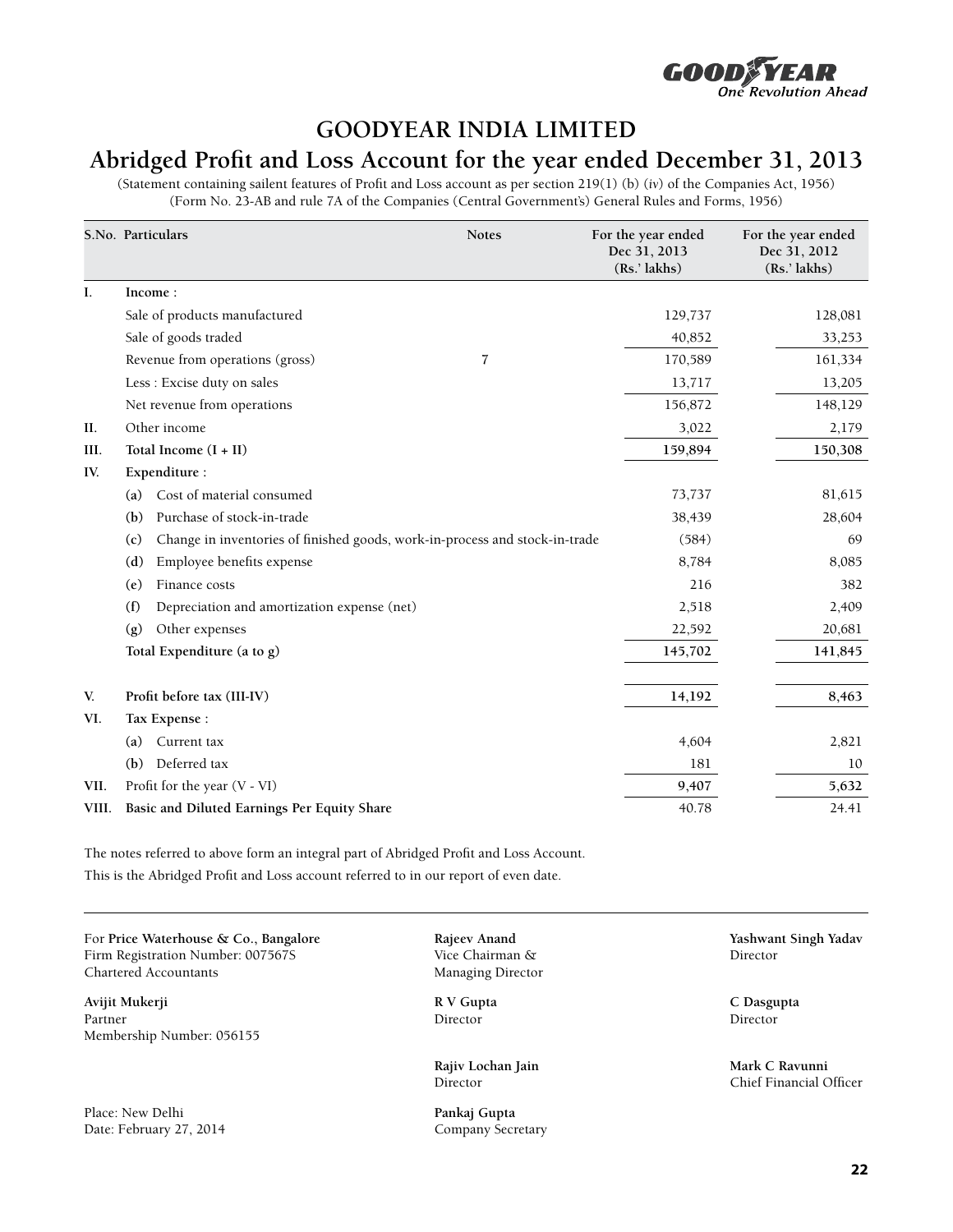GOOD **DEAR**<br>One Revolution Ahead

## **Abridged Profit and Loss Account for the year ended December 31, 2013**

(Statement containing sailent features of Profit and Loss account as per section 219(1) (b) (*iv*) of the Companies Act, 1956) (Form No. 23-AB and rule 7A of the Companies (Central Government's) General Rules and Forms, 1956)

|       |     | S.No. Particulars                                                           | <b>Notes</b> | For the year ended<br>Dec 31, 2013<br>(Rs.' lakhs) | For the year ended<br>Dec 31, 2012<br>(Rs.' lakhs) |
|-------|-----|-----------------------------------------------------------------------------|--------------|----------------------------------------------------|----------------------------------------------------|
| I.    |     | Income:                                                                     |              |                                                    |                                                    |
|       |     | Sale of products manufactured                                               |              | 129,737                                            | 128,081                                            |
|       |     | Sale of goods traded                                                        |              | 40,852                                             | 33,253                                             |
|       |     | Revenue from operations (gross)                                             | 7            | 170,589                                            | 161,334                                            |
|       |     | Less : Excise duty on sales                                                 |              | 13,717                                             | 13,205                                             |
|       |     | Net revenue from operations                                                 |              | 156,872                                            | 148,129                                            |
| II.   |     | Other income                                                                |              | 3,022                                              | 2,179                                              |
| III.  |     | Total Income $(I + II)$                                                     |              | 159,894                                            | 150,308                                            |
| IV.   |     | Expenditure:                                                                |              |                                                    |                                                    |
|       | (a) | Cost of material consumed                                                   |              | 73,737                                             | 81,615                                             |
|       | (b) | Purchase of stock-in-trade                                                  |              | 38,439                                             | 28,604                                             |
|       | (c) | Change in inventories of finished goods, work-in-process and stock-in-trade |              | (584)                                              | 69                                                 |
|       | (d) | Employee benefits expense                                                   |              | 8,784                                              | 8,085                                              |
|       | (e) | Finance costs                                                               |              | 216                                                | 382                                                |
|       | (f) | Depreciation and amortization expense (net)                                 |              | 2,518                                              | 2,409                                              |
|       | (g) | Other expenses                                                              |              | 22,592                                             | 20,681                                             |
|       |     | Total Expenditure (a to g)                                                  |              | 145,702                                            | 141,845                                            |
| V.    |     | Profit before tax (III-IV)                                                  |              | 14,192                                             | 8,463                                              |
| VI.   |     | Tax Expense :                                                               |              |                                                    |                                                    |
|       | (a) | Current tax                                                                 |              | 4,604                                              | 2,821                                              |
|       | (b) | Deferred tax                                                                |              | 181                                                | 10                                                 |
| VII.  |     | Profit for the year (V - VI)                                                |              | 9,407                                              | 5,632                                              |
| VIII. |     | Basic and Diluted Earnings Per Equity Share                                 |              | 40.78                                              | 24.41                                              |

The notes referred to above form an integral part of Abridged Profit and Loss Account. This is the Abridged Profit and Loss account referred to in our report of even date.

For **Price Waterhouse & Co., Bangalore Rajeev Anand Yashwant Singh Yadav** Firm Registration Number: 007567S Vice Chairman & Director Chartered Accountants Managing Director

**Avijit Mukerji R V Gupta C Dasgupta** Partner Director Director Director Director Director Director Director Director Director Director Director Director  $\sim$ Membership Number: 056155

Place: New Delhi **Pankaj Gupta** Date: February 27, 2014 Company Secretary

**Rajiv Lochan Jain Mark C Ravunni**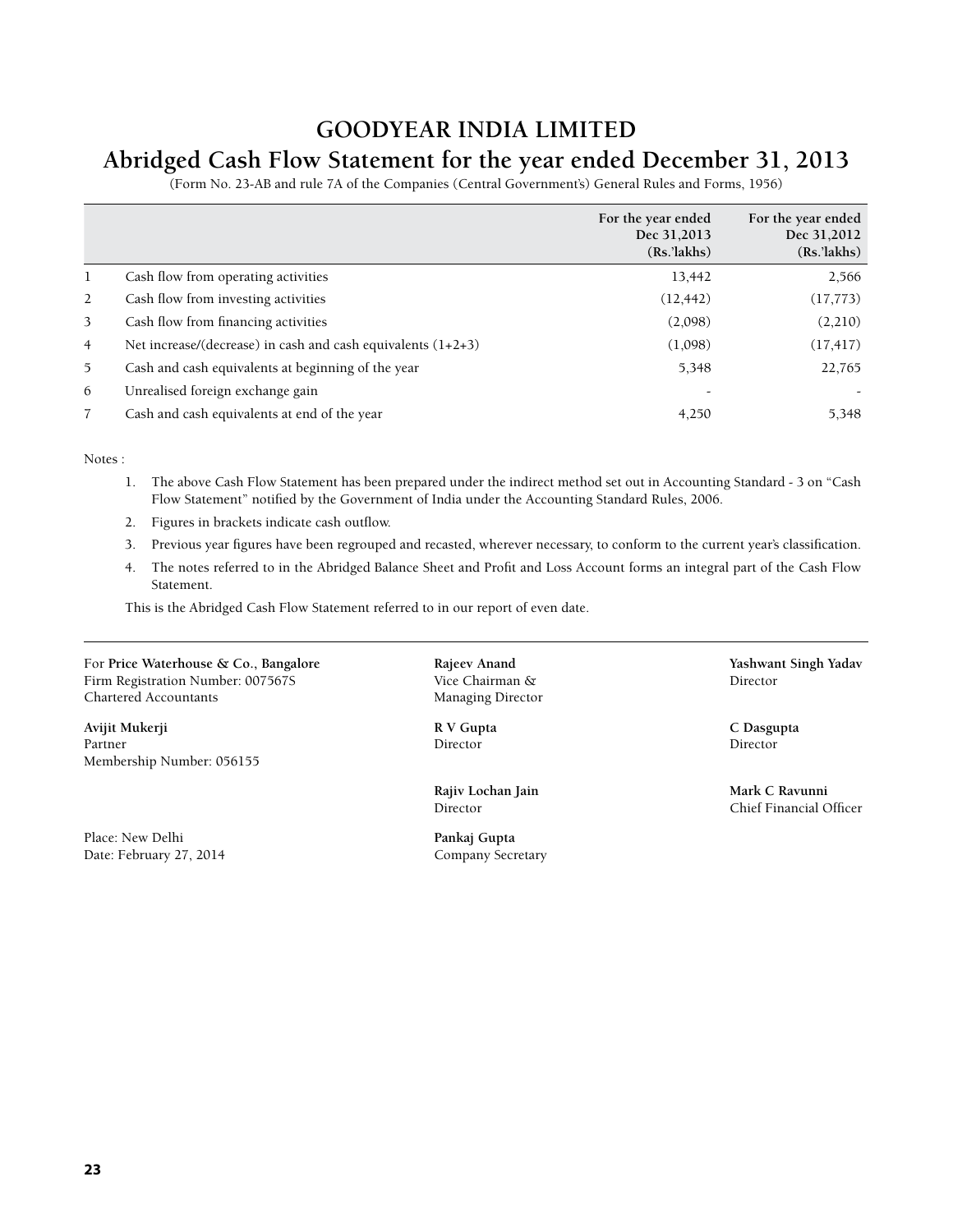## **GOODYEAR INDIA LIMITED Abridged Cash Flow Statement for the year ended December 31, 2013**

(Form No. 23-AB and rule 7A of the Companies (Central Government's) General Rules and Forms, 1956)

|                |                                                                | For the year ended<br>Dec 31,2013<br>$(Rs$ 'lakhs) | For the year ended<br>Dec 31,2012<br>$(Rs$ 'lakhs) |
|----------------|----------------------------------------------------------------|----------------------------------------------------|----------------------------------------------------|
| -1             | Cash flow from operating activities                            | 13,442                                             | 2,566                                              |
| 2              | Cash flow from investing activities                            | (12, 442)                                          | (17, 773)                                          |
| 3              | Cash flow from financing activities                            | (2,098)                                            | (2,210)                                            |
| $\overline{4}$ | Net increase/(decrease) in cash and cash equivalents $(1+2+3)$ | (1,098)                                            | (17, 417)                                          |
| 5              | Cash and cash equivalents at beginning of the year             | 5,348                                              | 22,765                                             |
| 6              | Unrealised foreign exchange gain                               |                                                    |                                                    |
|                | Cash and cash equivalents at end of the year                   | 4,250                                              | 5,348                                              |

Notes :

- 1. The above Cash Flow Statement has been prepared under the indirect method set out in Accounting Standard 3 on "Cash Flow Statement" notified by the Government of India under the Accounting Standard Rules, 2006.
- 2. Figures in brackets indicate cash outflow.
- 3. Previous year figures have been regrouped and recasted, wherever necessary, to conform to the current year's classification.
- 4. The notes referred to in the Abridged Balance Sheet and Profit and Loss Account forms an integral part of the Cash Flow Statement.

This is the Abridged Cash Flow Statement referred to in our report of even date.

For **Price Waterhouse & Co., Bangalore Rajeev Anand Yashwant Singh Yadav** Firm Registration Number: 007567S Vice Chairman & Director Chartered Accountants Managing Director

**Avijit Mukerji R V Gupta C Dasgupta** Partner Director Director Director Director Director Director Director Director Director Membership Number: 056155

Place: New Delhi **Pankaj Gupta** Date: February 27, 2014 Company Secretary

**Rajiv Lochan Jain Mark C Ravunni**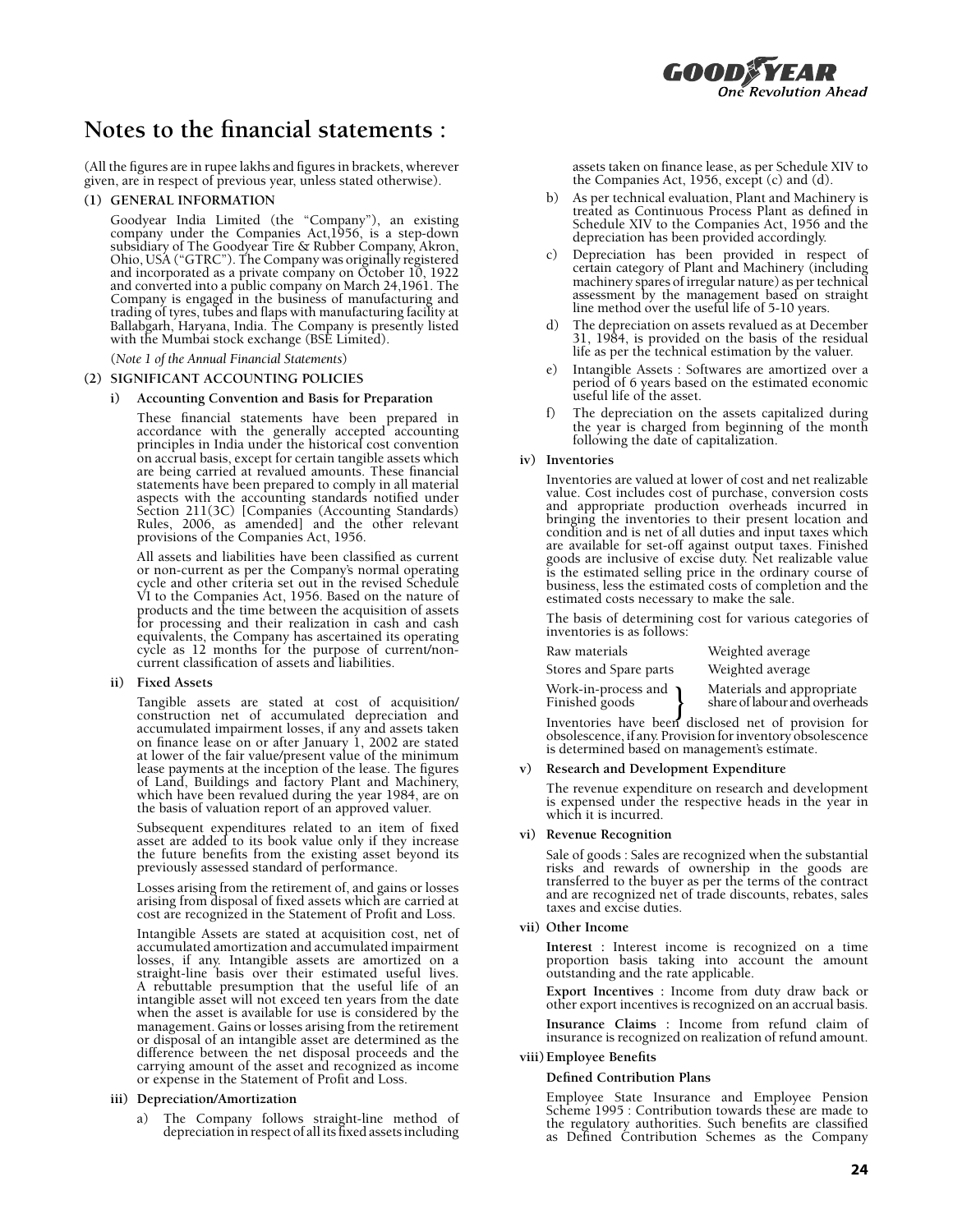## **Notes to the financial statements :**

(All the figures are in rupee lakhs and figures in brackets, wherever given, are in respect of previous year, unless stated otherwise).

#### **(1) GENERAL INFORMATION**

Goodyear India Limited (the "Company"), an existing company under the Companies Act,1956, is a step-down subsidiary of The Goodyear Tire & Rubber Company, Akron, Ohio, USA ("GTRC"). The Company was originally registered and incorporated as a private company on October 10, 1922 and converted into a public company on March 24,1961. The Company is engaged in the business of manufacturing and trading of tyres, tubes and flaps with manufacturing facility at Ballabgarh, Haryana, India. The Company is presently listed with the Mumbai stock exchange (BSE Limited).

(*Note 1 of the Annual Financial Statements*)

#### **(2) SIGNIFICANT ACCOUNTING POLICIES**

#### **i) Accounting Convention and Basis for Preparation**

 These financial statements have been prepared in accordance with the generally accepted accounting principles in India under the historical cost convention on accrual basis, except for certain tangible assets which are being carried at revalued amounts. These financial statements have been prepared to comply in all material aspects with the accounting standards notified under Section 211(3C) [Companies (Accounting Standards) Rules, 2006, as amended] and the other relevant provisions of the Companies Act, 1956.

 All assets and liabilities have been classified as current or non-current as per the Company's normal operating cycle and other criteria set out in the revised Schedule VI to the Companies Act, 1956. Based on the nature of products and the time between the acquisition of assets for processing and their realization in cash and cash equivalents, the Company has ascertained its operating cycle as 12 months for the purpose of current/noncurrent classification of assets and liabilities.

#### **ii) Fixed Assets**

 Tangible assets are stated at cost of acquisition/ construction net of accumulated depreciation and accumulated impairment losses, if any and assets taken on finance lease on or after January 1, 2002 are stated at lower of the fair value/present value of the minimum lease payments at the inception of the lease. The figures of Land, Buildings and factory Plant and Machinery, which have been revalued during the year 1984, are on the basis of valuation report of an approved valuer.

 Subsequent expenditures related to an item of fixed asset are added to its book value only if they increase the future benefits from the existing asset beyond its previously assessed standard of performance.

 Losses arising from the retirement of, and gains or losses arising from disposal of fixed assets which are carried at cost are recognized in the Statement of Profit and Loss.

 Intangible Assets are stated at acquisition cost, net of accumulated amortization and accumulated impairment losses, if any. Intangible assets are amortized on a straight-line basis over their estimated useful lives. A rebuttable presumption that the useful life of an intangible asset will not exceed ten years from the date when the asset is available for use is considered by the management. Gains or losses arising from the retirement or disposal of an intangible asset are determined as the difference between the net disposal proceeds and the carrying amount of the asset and recognized as income or expense in the Statement of Profit and Loss.

#### **iii) Depreciation/Amortization**

a) The Company follows straight-line method of depreciation in respect of all its fixed assets including

assets taken on finance lease, as per Schedule XIV to the Companies Act, 1956, except (c) and (d).

b) As per technical evaluation, Plant and Machinery is treated as Continuous Process Plant as defined in Schedule XIV to the Companies Act, 1956 and the depreciation has been provided accordingly.

GOOD

One Revolution Ahead

- c) Depreciation has been provided in respect of certain category of Plant and Machinery (including machinery spares of irregular nature) as per technical assessment by the management based on straight line method over the useful life of 5-10 years.
- d) The depreciation on assets revalued as at December 31, 1984, is provided on the basis of the residual life as per the technical estimation by the valuer.
- e) Intangible Assets : Softwares are amortized over a period of 6 years based on the estimated economic useful life of the asset.
- f) The depreciation on the assets capitalized during the year is charged from beginning of the month following the date of capitalization.
- **iv) Inventories**

 Inventories are valued at lower of cost and net realizable value. Cost includes cost of purchase, conversion costs and appropriate production overheads incurred in bringing the inventories to their present location and condition and is net of all duties and input taxes which are available for set-off against output taxes. Finished goods are inclusive of excise duty. Net realizable value is the estimated selling price in the ordinary course of business, less the estimated costs of completion and the estimated costs necessary to make the sale.

 The basis of determining cost for various categories of inventories is as follows:

Raw materials **Weighted average** Stores and Spare parts Weighted average

Work-in-process and } Materials and appropriate Finished goods share of labour and overheads Inventories have been disclosed net of provision for

obsolescence, if any. Provision for inventory obsolescence is determined based on management's estimate.

#### **v) Research and Development Expenditure**

 The revenue expenditure on research and development is expensed under the respective heads in the year in which it is incurred.

#### **vi) Revenue Recognition**

 Sale of goods : Sales are recognized when the substantial risks and rewards of ownership in the goods are transferred to the buyer as per the terms of the contract and are recognized net of trade discounts, rebates, sales taxes and excise duties.

#### **vii) Other Income**

**Interest :** Interest income is recognized on a time proportion basis taking into account the amount outstanding and the rate applicable.

**Export Incentives :** Income from duty draw back or other export incentives is recognized on an accrual basis.

 **Insurance Claims :** Income from refund claim of insurance is recognized on realization of refund amount.

#### **viii) Employee Benefits**

#### **Defined Contribution Plans**

 Employee State Insurance and Employee Pension Scheme 1995 : Contribution towards these are made to the regulatory authorities. Such benefits are classified as Defined Contribution Schemes as the Company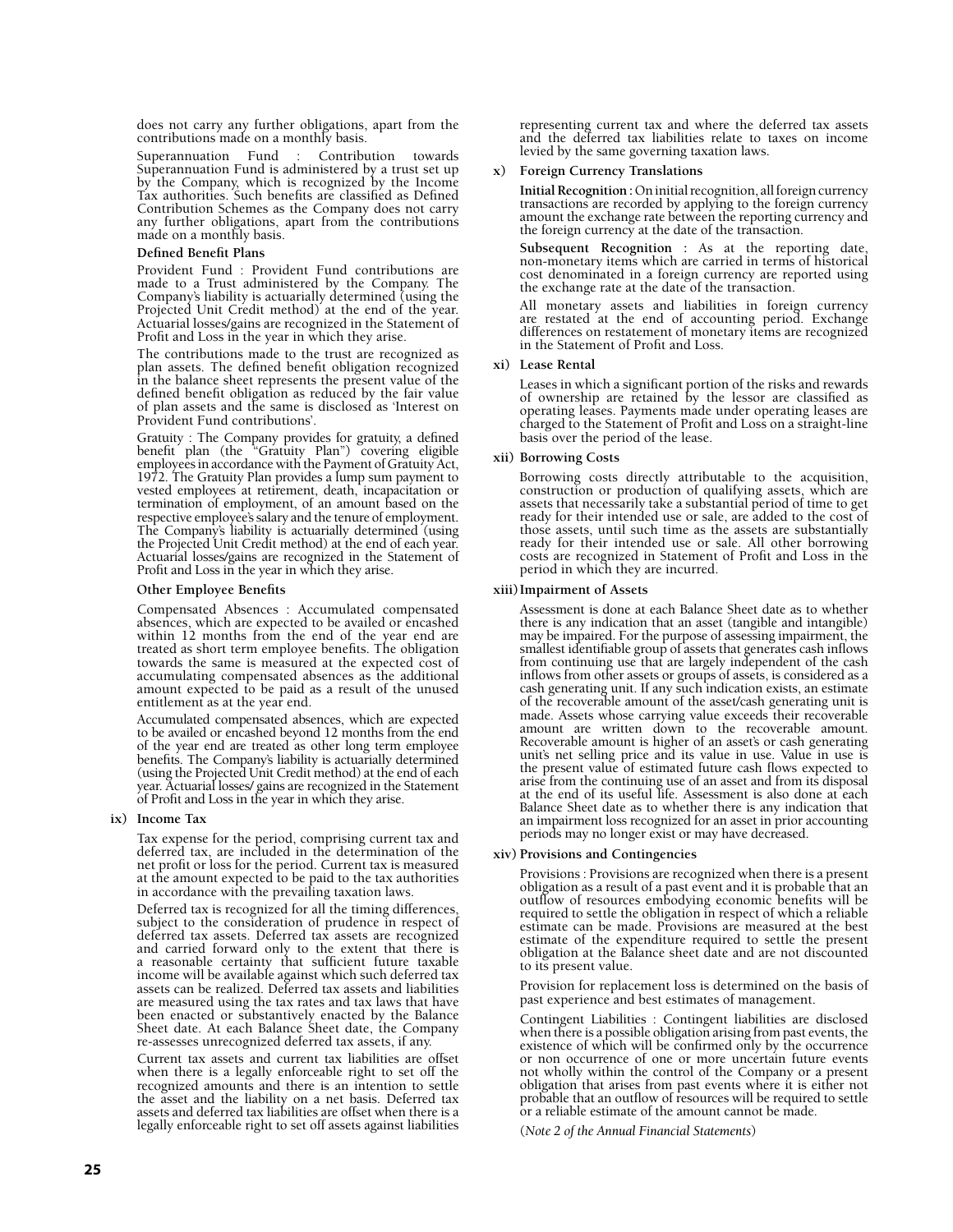does not carry any further obligations, apart from the contributions made on a monthly basis.

 Superannuation Fund : Contribution towards Superannuation Fund is administered by a trust set up by the Company, which is recognized by the Income Tax authorities. Such benefits are classified as Defined Contribution Schemes as the Company does not carry any further obligations, apart from the contributions made on a monthly basis.

#### **Defined Benefit Plans**

 Provident Fund : Provident Fund contributions are made to a Trust administered by the Company. The Company's liability is actuarially determined (using the Projected Unit Credit method) at the end of the year. Actuarial losses/gains are recognized in the Statement of Profit and Loss in the year in which they arise.

 The contributions made to the trust are recognized as plan assets. The defined benefit obligation recognized in the balance sheet represents the present value of the defined benefit obligation as reduced by the fair value of plan assets and the same is disclosed as 'Interest on Provident Fund contributions'.

 Gratuity : The Company provides for gratuity, a defined benefit plan (the "Gratuity Plan") covering eligible employees in accordance with the Payment of Gratuity Act, 1972. The Gratuity Plan provides a lump sum payment to vested employees at retirement, death, incapacitation or termination of employment, of an amount based on the respective employee's salary and the tenure of employment. The Company's liability is actuarially determined (using the Projected Unit Credit method) at the end of each year. Actuarial losses/gains are recognized in the Statement of Profit and Loss in the year in which they arise.

#### **Other Employee Benefits**

 Compensated Absences : Accumulated compensated absences, which are expected to be availed or encashed within 12 months from the end of the year end are treated as short term employee benefits. The obligation towards the same is measured at the expected cost of accumulating compensated absences as the additional amount expected to be paid as a result of the unused entitlement as at the year end.

 Accumulated compensated absences, which are expected to be availed or encashed beyond 12 months from the end of the year end are treated as other long term employee benefits. The Company's liability is actuarially determined (using the Projected Unit Credit method) at the end of each year. Actuarial losses/ gains are recognized in the Statement of Profit and Loss in the year in which they arise.

#### **ix) Income Tax**

 Tax expense for the period, comprising current tax and deferred tax, are included in the determination of the net profit or loss for the period. Current tax is measured at the amount expected to be paid to the tax authorities in accordance with the prevailing taxation laws.

 Deferred tax is recognized for all the timing differences, subject to the consideration of prudence in respect of deferred tax assets. Deferred tax assets are recognized and carried forward only to the extent that there is a reasonable certainty that sufficient future taxable income will be available against which such deferred tax assets can be realized. Deferred tax assets and liabilities are measured using the tax rates and tax laws that have been enacted or substantively enacted by the Balance Sheet date. At each Balance Sheet date, the Company re-assesses unrecognized deferred tax assets, if any.

 Current tax assets and current tax liabilities are offset when there is a legally enforceable right to set off the recognized amounts and there is an intention to settle the asset and the liability on a net basis. Deferred tax assets and deferred tax liabilities are offset when there is a legally enforceable right to set off assets against liabilities  representing current tax and where the deferred tax assets and the deferred tax liabilities relate to taxes on income levied by the same governing taxation laws.

#### **x) Foreign Currency Translations**

**Initial Recognition :** On initial recognition, all foreign currency transactions are recorded by applying to the foreign currency amount the exchange rate between the reporting currency and the foreign currency at the date of the transaction.

 **Subsequent Recognition :** As at the reporting date, non-monetary items which are carried in terms of historical cost denominated in a foreign currency are reported using the exchange rate at the date of the transaction.

 All monetary assets and liabilities in foreign currency are restated at the end of accounting period. Exchange differences on restatement of monetary items are recognized in the Statement of Profit and Loss.

#### **xi) Lease Rental**

 Leases in which a significant portion of the risks and rewards of ownership are retained by the lessor are classified as operating leases. Payments made under operating leases are charged to the Statement of Profit and Loss on a straight-line basis over the period of the lease.

#### **xii) Borrowing Costs**

 Borrowing costs directly attributable to the acquisition, construction or production of qualifying assets, which are assets that necessarily take a substantial period of time to get ready for their intended use or sale, are added to the cost of those assets, until such time as the assets are substantially ready for their intended use or sale. All other borrowing costs are recognized in Statement of Profit and Loss in the period in which they are incurred.

#### **xiii)Impairment of Assets**

 Assessment is done at each Balance Sheet date as to whether there is any indication that an asset (tangible and intangible) may be impaired. For the purpose of assessing impairment, the smallest identifiable group of assets that generates cash inflows from continuing use that are largely independent of the cash inflows from other assets or groups of assets, is considered as a cash generating unit. If any such indication exists, an estimate of the recoverable amount of the asset/cash generating unit is made. Assets whose carrying value exceeds their recoverable amount are written down to the recoverable amount. Recoverable amount is higher of an asset's or cash generating unit's net selling price and its value in use. Value in use is the present value of estimated future cash flows expected to arise from the continuing use of an asset and from its disposal at the end of its useful life. Assessment is also done at each Balance Sheet date as to whether there is any indication that an impairment loss recognized for an asset in prior accounting periods may no longer exist or may have decreased.

#### **xiv) Provisions and Contingencies**

 Provisions : Provisions are recognized when there is a present obligation as a result of a past event and it is probable that an outflow of resources embodying economic benefits will be required to settle the obligation in respect of which a reliable estimate can be made. Provisions are measured at the best estimate of the expenditure required to settle the present obligation at the Balance sheet date and are not discounted to its present value.

 Provision for replacement loss is determined on the basis of past experience and best estimates of management.

 Contingent Liabilities : Contingent liabilities are disclosed when there is a possible obligation arising from past events, the existence of which will be confirmed only by the occurrence or non occurrence of one or more uncertain future events not wholly within the control of the Company or a present obligation that arises from past events where it is either not probable that an outflow of resources will be required to settle or a reliable estimate of the amount cannot be made.

(*Note 2 of the Annual Financial Statements*)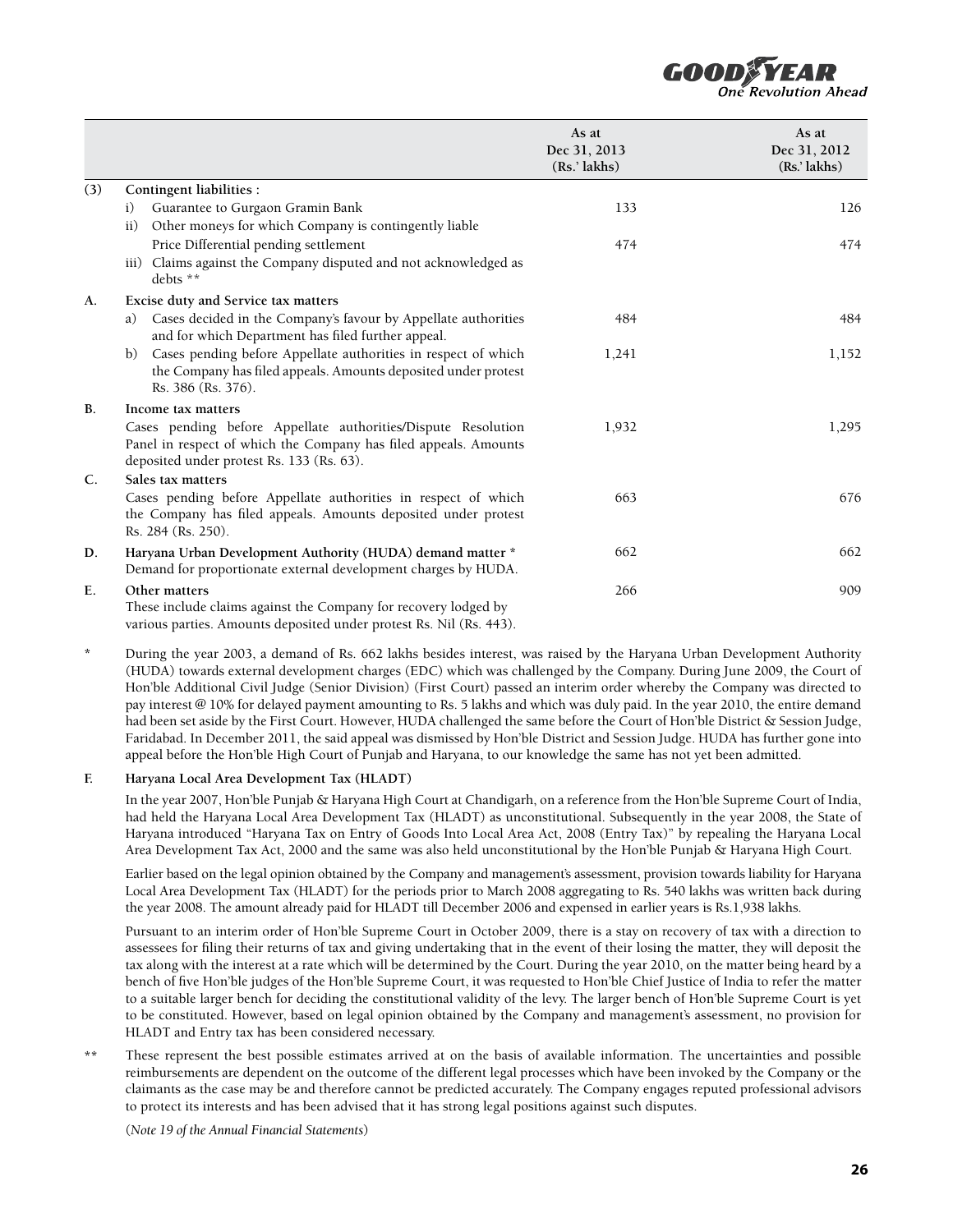

**As at Dec 31, 2013 (Rs.' lakhs) As at Dec 31, 2012 (Rs.' lakhs) (3) Contingent liabilities :** i) Guarantee to Gurgaon Gramin Bank 133 126 ii) Other moneys for which Company is contingently liable Price Differential pending settlement 474 474 iii) Claims against the Company disputed and not acknowledged as debts \*\* **A. Excise duty and Service tax matters** a) Cases decided in the Company's favour by Appellate authorities and for which Department has filed further appeal. 484 484 b) Cases pending before Appellate authorities in respect of which the Company has filed appeals. Amounts deposited under protest Rs. 386 (Rs. 376). 1,241 1,152 **B. Income tax matters** Cases pending before Appellate authorities/Dispute Resolution Panel in respect of which the Company has filed appeals. Amounts deposited under protest Rs. 133 (Rs. 63). 1,932 1,295 **C. Sales tax matters** Cases pending before Appellate authorities in respect of which the Company has filed appeals. Amounts deposited under protest Rs. 284 (Rs. 250). 663 676 **D. Haryana Urban Development Authority (HUDA) demand matter \*** Demand for proportionate external development charges by HUDA. 662 662 **E. Other matters**  These include claims against the Company for recovery lodged by various parties. Amounts deposited under protest Rs. Nil (Rs. 443). 266 909

**\*** During the year 2003, a demand of Rs. 662 lakhs besides interest, was raised by the Haryana Urban Development Authority (HUDA) towards external development charges (EDC) which was challenged by the Company. During June 2009, the Court of Hon'ble Additional Civil Judge (Senior Division) (First Court) passed an interim order whereby the Company was directed to pay interest @ 10% for delayed payment amounting to Rs. 5 lakhs and which was duly paid. In the year 2010, the entire demand had been set aside by the First Court. However, HUDA challenged the same before the Court of Hon'ble District & Session Judge, Faridabad. In December 2011, the said appeal was dismissed by Hon'ble District and Session Judge. HUDA has further gone into appeal before the Hon'ble High Court of Punjab and Haryana, to our knowledge the same has not yet been admitted.

#### **F. Haryana Local Area Development Tax (HLADT)**

In the year 2007, Hon'ble Punjab & Haryana High Court at Chandigarh, on a reference from the Hon'ble Supreme Court of India, had held the Haryana Local Area Development Tax (HLADT) as unconstitutional. Subsequently in the year 2008, the State of Haryana introduced "Haryana Tax on Entry of Goods Into Local Area Act, 2008 (Entry Tax)" by repealing the Haryana Local Area Development Tax Act, 2000 and the same was also held unconstitutional by the Hon'ble Punjab & Haryana High Court.

Earlier based on the legal opinion obtained by the Company and management's assessment, provision towards liability for Haryana Local Area Development Tax (HLADT) for the periods prior to March 2008 aggregating to Rs. 540 lakhs was written back during the year 2008. The amount already paid for HLADT till December 2006 and expensed in earlier years is Rs.1,938 lakhs.

Pursuant to an interim order of Hon'ble Supreme Court in October 2009, there is a stay on recovery of tax with a direction to assessees for filing their returns of tax and giving undertaking that in the event of their losing the matter, they will deposit the tax along with the interest at a rate which will be determined by the Court. During the year 2010, on the matter being heard by a bench of five Hon'ble judges of the Hon'ble Supreme Court, it was requested to Hon'ble Chief Justice of India to refer the matter to a suitable larger bench for deciding the constitutional validity of the levy. The larger bench of Hon'ble Supreme Court is yet to be constituted. However, based on legal opinion obtained by the Company and management's assessment, no provision for HLADT and Entry tax has been considered necessary.

**\*\*** These represent the best possible estimates arrived at on the basis of available information. The uncertainties and possible reimbursements are dependent on the outcome of the different legal processes which have been invoked by the Company or the claimants as the case may be and therefore cannot be predicted accurately. The Company engages reputed professional advisors to protect its interests and has been advised that it has strong legal positions against such disputes.

(*Note 19 of the Annual Financial Statements*)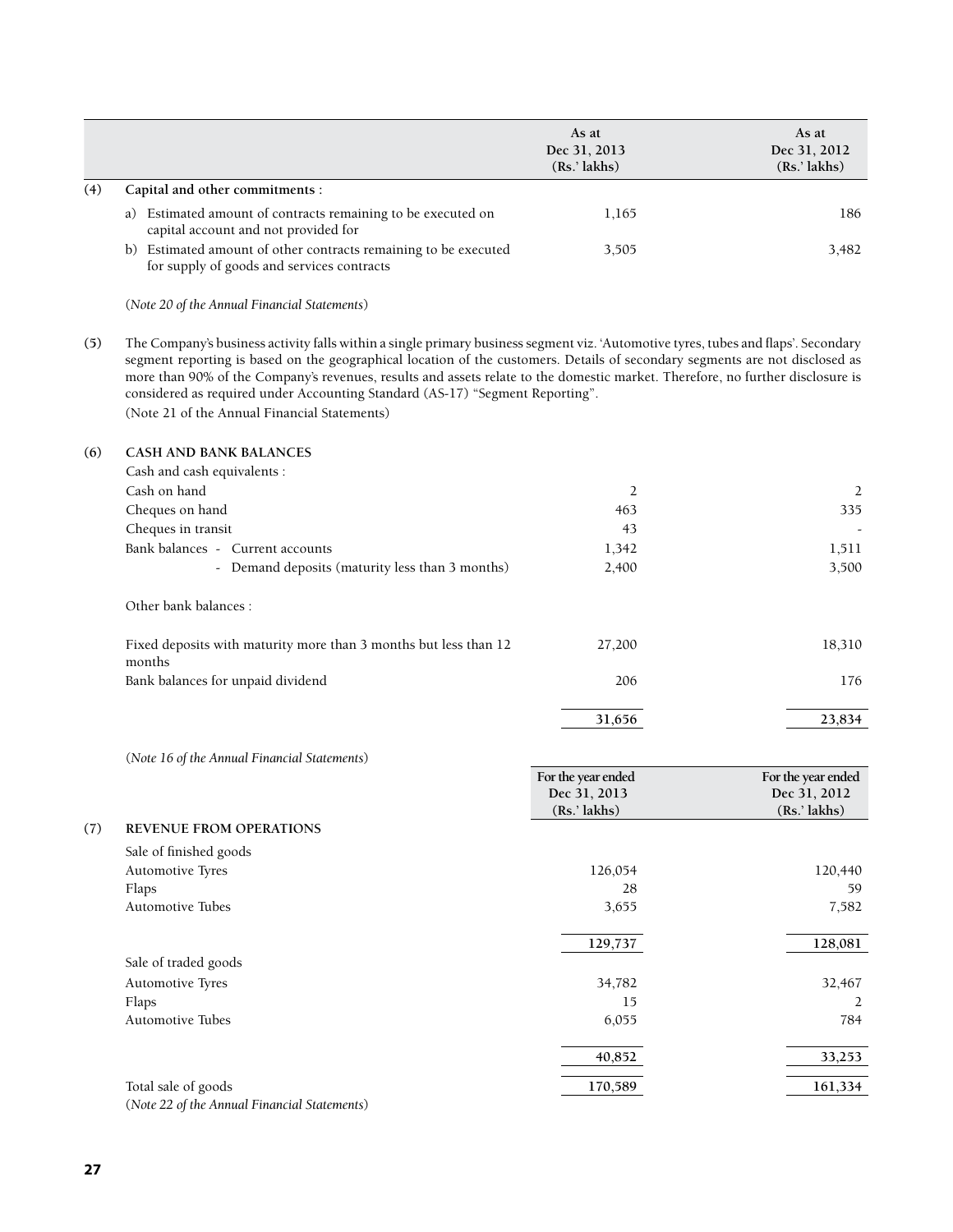|     |                                                                                                                                                                                                                                                                                                                                                                                                                                                                                                                                       | As at<br>Dec 31, 2013<br>(Rs.' lakhs) | As at<br>Dec 31, 2012<br>(Rs.' lakhs) |
|-----|---------------------------------------------------------------------------------------------------------------------------------------------------------------------------------------------------------------------------------------------------------------------------------------------------------------------------------------------------------------------------------------------------------------------------------------------------------------------------------------------------------------------------------------|---------------------------------------|---------------------------------------|
| (4) | Capital and other commitments :                                                                                                                                                                                                                                                                                                                                                                                                                                                                                                       |                                       |                                       |
|     | a) Estimated amount of contracts remaining to be executed on<br>capital account and not provided for                                                                                                                                                                                                                                                                                                                                                                                                                                  | 1,165                                 | 186                                   |
|     | b) Estimated amount of other contracts remaining to be executed<br>for supply of goods and services contracts                                                                                                                                                                                                                                                                                                                                                                                                                         | 3,505                                 | 3,482                                 |
|     | (Note 20 of the Annual Financial Statements)                                                                                                                                                                                                                                                                                                                                                                                                                                                                                          |                                       |                                       |
| (5) | The Company's business activity falls within a single primary business segment viz. 'Automotive tyres, tubes and flaps'. Secondary<br>segment reporting is based on the geographical location of the customers. Details of secondary segments are not disclosed as<br>more than 90% of the Company's revenues, results and assets relate to the domestic market. Therefore, no further disclosure is<br>considered as required under Accounting Standard (AS-17) "Segment Reporting".<br>(Note 21 of the Annual Financial Statements) |                                       |                                       |
| (6) | <b>CASH AND BANK BALANCES</b>                                                                                                                                                                                                                                                                                                                                                                                                                                                                                                         |                                       |                                       |
|     | Cash and cash equivalents :                                                                                                                                                                                                                                                                                                                                                                                                                                                                                                           |                                       |                                       |
|     | Cash on hand                                                                                                                                                                                                                                                                                                                                                                                                                                                                                                                          | 2                                     | 2                                     |
|     | Cheques on hand                                                                                                                                                                                                                                                                                                                                                                                                                                                                                                                       | 463                                   | 335                                   |
|     | Cheques in transit                                                                                                                                                                                                                                                                                                                                                                                                                                                                                                                    | 43                                    |                                       |
|     | Bank balances - Current accounts                                                                                                                                                                                                                                                                                                                                                                                                                                                                                                      | 1,342                                 | 1,511                                 |
|     | - Demand deposits (maturity less than 3 months)                                                                                                                                                                                                                                                                                                                                                                                                                                                                                       | 2,400                                 | 3,500                                 |
|     | Other bank balances :                                                                                                                                                                                                                                                                                                                                                                                                                                                                                                                 |                                       |                                       |
|     | Fixed deposits with maturity more than 3 months but less than 12<br>months                                                                                                                                                                                                                                                                                                                                                                                                                                                            | 27,200                                | 18,310                                |
|     | Bank balances for unpaid dividend                                                                                                                                                                                                                                                                                                                                                                                                                                                                                                     | 206                                   | 176                                   |
|     |                                                                                                                                                                                                                                                                                                                                                                                                                                                                                                                                       | 31,656                                | 23,834                                |
|     | (Note 16 of the Annual Financial Statements)                                                                                                                                                                                                                                                                                                                                                                                                                                                                                          |                                       |                                       |
|     |                                                                                                                                                                                                                                                                                                                                                                                                                                                                                                                                       | For the year ended                    | For the year ended                    |
|     |                                                                                                                                                                                                                                                                                                                                                                                                                                                                                                                                       | Dec 31, 2013                          | Dec 31, 2012                          |
|     |                                                                                                                                                                                                                                                                                                                                                                                                                                                                                                                                       | (Rs.' lakhs)                          | (Rs.' lakhs)                          |
| (7) | REVENUE FROM OPERATIONS                                                                                                                                                                                                                                                                                                                                                                                                                                                                                                               |                                       |                                       |
|     | Sale of finished goods                                                                                                                                                                                                                                                                                                                                                                                                                                                                                                                |                                       |                                       |
|     | Automotive Tyres                                                                                                                                                                                                                                                                                                                                                                                                                                                                                                                      | 126,054                               | 120,440                               |
|     | Flaps                                                                                                                                                                                                                                                                                                                                                                                                                                                                                                                                 | 28                                    | 59                                    |
|     | Automotive Tubes                                                                                                                                                                                                                                                                                                                                                                                                                                                                                                                      | 3,655                                 | 7,582                                 |
|     |                                                                                                                                                                                                                                                                                                                                                                                                                                                                                                                                       | 129,737                               | 128,081                               |
|     | Sale of traded goods                                                                                                                                                                                                                                                                                                                                                                                                                                                                                                                  |                                       |                                       |
|     | Automotive Tyres                                                                                                                                                                                                                                                                                                                                                                                                                                                                                                                      | 34,782                                | 32,467                                |
|     | Flaps                                                                                                                                                                                                                                                                                                                                                                                                                                                                                                                                 | 15                                    | 2                                     |
|     | Automotive Tubes                                                                                                                                                                                                                                                                                                                                                                                                                                                                                                                      | 6,055                                 | 784                                   |
|     |                                                                                                                                                                                                                                                                                                                                                                                                                                                                                                                                       | 40,852                                | 33,253                                |
|     | Total sale of goods                                                                                                                                                                                                                                                                                                                                                                                                                                                                                                                   | 170,589                               | 161,334                               |

(*Note 22 of the Annual Financial Statements*)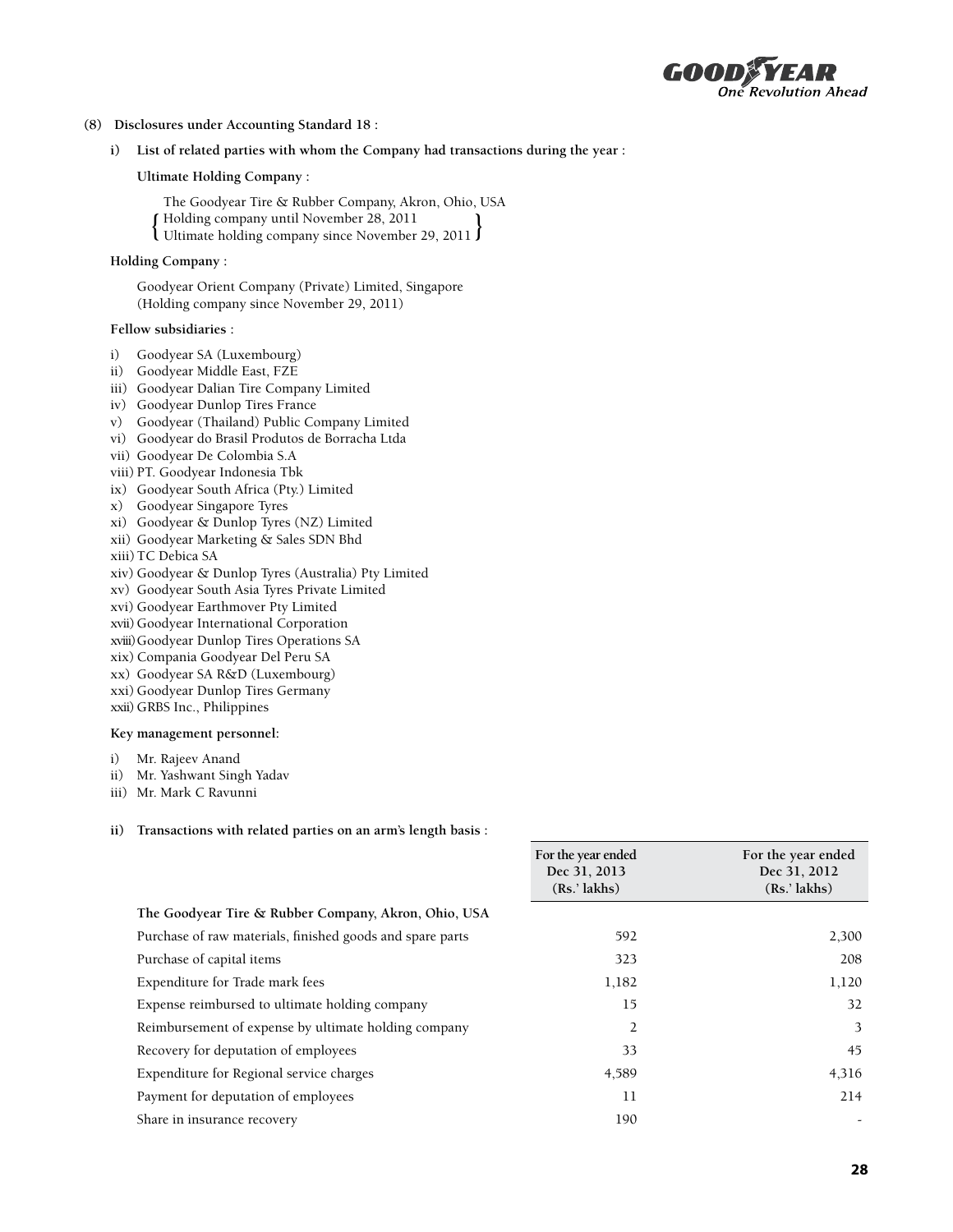

- **(8) Disclosures under Accounting Standard 18 :**
	- **i) List of related parties with whom the Company had transactions during the year :**

**Ultimate Holding Company :**

The Goodyear Tire & Rubber Company, Akron, Ohio, USA

- {Holding company until November 28, 2011 Ultimate holding company since November 29, 2011}
	-

#### **Holding Company :**

 Goodyear Orient Company (Private) Limited, Singapore (Holding company since November 29, 2011)

#### **Fellow subsidiaries :**

- i) Goodyear SA (Luxembourg)
- ii) Goodyear Middle East, FZE
- iii) Goodyear Dalian Tire Company Limited
- iv) Goodyear Dunlop Tires France
- v) Goodyear (Thailand) Public Company Limited
- vi) Goodyear do Brasil Produtos de Borracha Ltda
- vii) Goodyear De Colombia S.A
- viii) PT. Goodyear Indonesia Tbk
- ix) Goodyear South Africa (Pty.) Limited
- x) Goodyear Singapore Tyres
- xi) Goodyear & Dunlop Tyres (NZ) Limited
- xii) Goodyear Marketing & Sales SDN Bhd
- xiii) TC Debica SA
- xiv) Goodyear & Dunlop Tyres (Australia) Pty Limited
- xv) Goodyear South Asia Tyres Private Limited
- xvi) Goodyear Earthmover Pty Limited
- xvii) Goodyear International Corporation
- xviii)Goodyear Dunlop Tires Operations SA
- xix) Compania Goodyear Del Peru SA
- xx) Goodyear SA R&D (Luxembourg)
- xxi) Goodyear Dunlop Tires Germany
- xxii) GRBS Inc., Philippines

#### **Key management personnel:**

- i) Mr. Rajeev Anand
- ii) Mr. Yashwant Singh Yadav
- iii) Mr. Mark C Ravunni

#### **ii) Transactions with related parties on an arm's length basis :**

|                                                           | Dec 31, 2013<br>$(Rs.'$ lakhs) | Dec 31, 2012<br>$(Rs.'$ lakhs) |
|-----------------------------------------------------------|--------------------------------|--------------------------------|
| The Goodyear Tire & Rubber Company, Akron, Ohio, USA      |                                |                                |
| Purchase of raw materials, finished goods and spare parts | 592                            | 2,300                          |
| Purchase of capital items                                 | 323                            | 208                            |
| Expenditure for Trade mark fees                           | 1,182                          | 1,120                          |
| Expense reimbursed to ultimate holding company            | 15                             | 32                             |
| Reimbursement of expense by ultimate holding company      | 2                              | 3                              |
| Recovery for deputation of employees                      | 33                             | 45                             |
| Expenditure for Regional service charges                  | 4,589                          | 4,316                          |
| Payment for deputation of employees                       | 11                             | 214                            |
| Share in insurance recovery                               | 190                            |                                |
|                                                           |                                |                                |

**For the year ended** 

**For the year ended**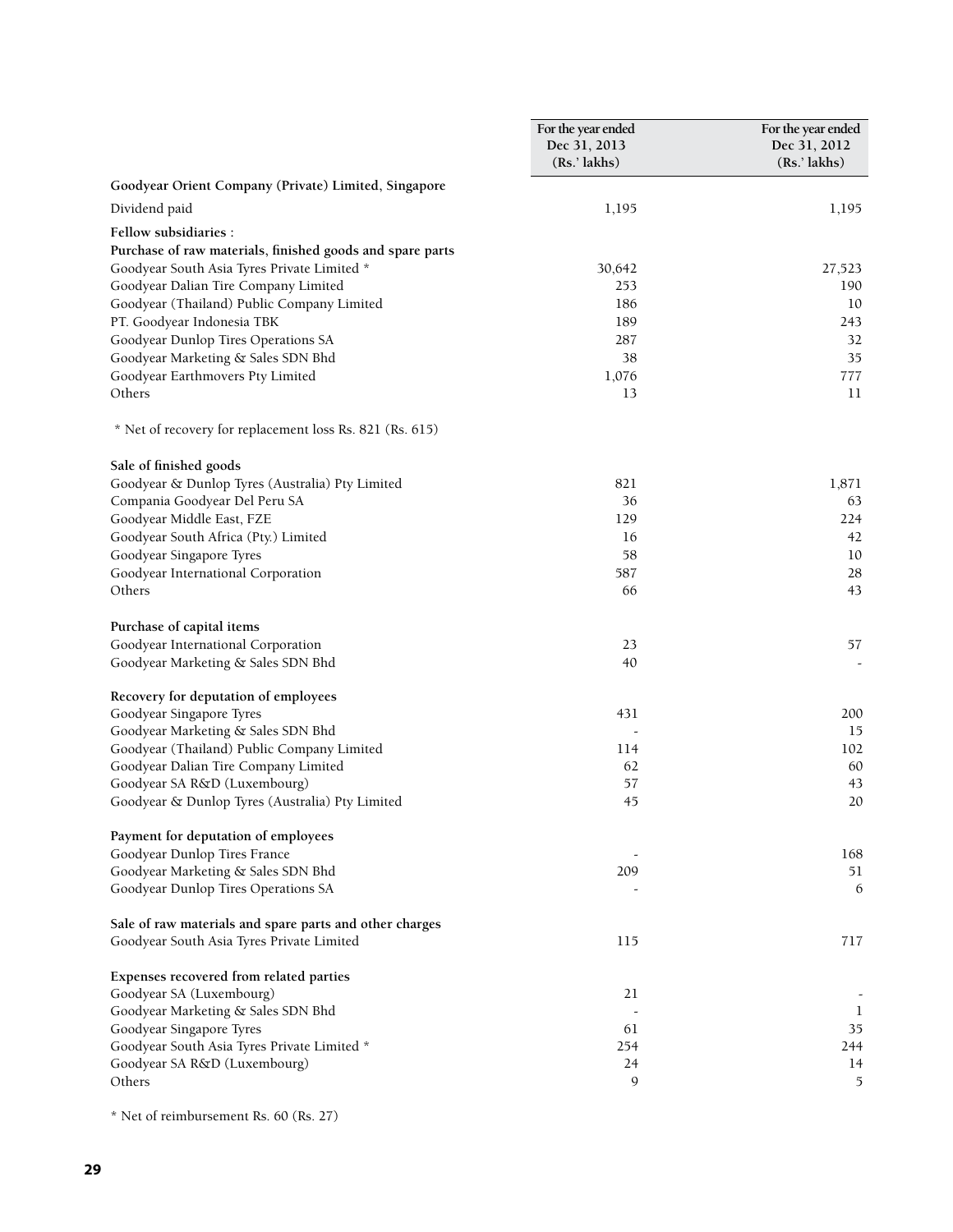|                                                                           | For the year ended<br>Dec 31, 2013<br>(Rs.' lakhs) | For the year ended<br>Dec 31, 2012<br>$(Rs.'$ lakhs) |
|---------------------------------------------------------------------------|----------------------------------------------------|------------------------------------------------------|
| Goodyear Orient Company (Private) Limited, Singapore                      |                                                    |                                                      |
| Dividend paid                                                             | 1,195                                              | 1,195                                                |
| Fellow subsidiaries :                                                     |                                                    |                                                      |
| Purchase of raw materials, finished goods and spare parts                 |                                                    |                                                      |
| Goodyear South Asia Tyres Private Limited *                               | 30,642                                             | 27,523                                               |
| Goodyear Dalian Tire Company Limited                                      | 253                                                | 190                                                  |
| Goodyear (Thailand) Public Company Limited                                | 186                                                | 10                                                   |
| PT. Goodyear Indonesia TBK                                                | 189                                                | 243                                                  |
| Goodyear Dunlop Tires Operations SA                                       | 287                                                | 32                                                   |
| Goodyear Marketing & Sales SDN Bhd                                        | 38                                                 | 35                                                   |
| Goodyear Earthmovers Pty Limited                                          | 1,076                                              | 777                                                  |
| Others                                                                    | 13                                                 | 11                                                   |
| * Net of recovery for replacement loss Rs. 821 (Rs. 615)                  |                                                    |                                                      |
| Sale of finished goods                                                    |                                                    |                                                      |
| Goodyear & Dunlop Tyres (Australia) Pty Limited                           | 821                                                | 1,871                                                |
| Compania Goodyear Del Peru SA                                             | 36                                                 | 63                                                   |
| Goodyear Middle East, FZE                                                 | 129                                                | 224                                                  |
| Goodyear South Africa (Pty.) Limited                                      | 16                                                 | 42                                                   |
| Goodyear Singapore Tyres                                                  | 58                                                 | 10                                                   |
| Goodyear International Corporation                                        | 587                                                | 28                                                   |
| Others                                                                    | 66                                                 | 43                                                   |
| Purchase of capital items                                                 |                                                    |                                                      |
| Goodyear International Corporation                                        | 23                                                 | 57                                                   |
| Goodyear Marketing & Sales SDN Bhd                                        | 40                                                 |                                                      |
| Recovery for deputation of employees                                      |                                                    |                                                      |
| Goodyear Singapore Tyres                                                  | 431                                                | 200                                                  |
| Goodyear Marketing & Sales SDN Bhd                                        |                                                    | 15                                                   |
| Goodyear (Thailand) Public Company Limited                                | 114                                                | 102                                                  |
| Goodyear Dalian Tire Company Limited                                      | 62                                                 | 60                                                   |
| Goodyear SA R&D (Luxembourg)                                              | 57                                                 | 43                                                   |
| Goodyear & Dunlop Tyres (Australia) Pty Limited                           | 45                                                 | 20                                                   |
| Payment for deputation of employees                                       |                                                    |                                                      |
| Goodyear Dunlop Tires France                                              |                                                    | 168                                                  |
| Goodyear Marketing & Sales SDN Bhd<br>Goodyear Dunlop Tires Operations SA | 209                                                | 51<br>6                                              |
|                                                                           |                                                    |                                                      |
| Sale of raw materials and spare parts and other charges                   |                                                    |                                                      |
| Goodyear South Asia Tyres Private Limited                                 | 115                                                | 717                                                  |
| Expenses recovered from related parties                                   |                                                    |                                                      |
| Goodyear SA (Luxembourg)                                                  | 21                                                 |                                                      |
| Goodyear Marketing & Sales SDN Bhd                                        |                                                    | 1                                                    |
| Goodyear Singapore Tyres                                                  | 61                                                 | 35                                                   |
| Goodyear South Asia Tyres Private Limited *                               | 254                                                | 244                                                  |
| Goodyear SA R&D (Luxembourg)                                              | 24                                                 | 14                                                   |
| Others                                                                    | 9                                                  | 5                                                    |

\* Net of reimbursement Rs. 60 (Rs. 27)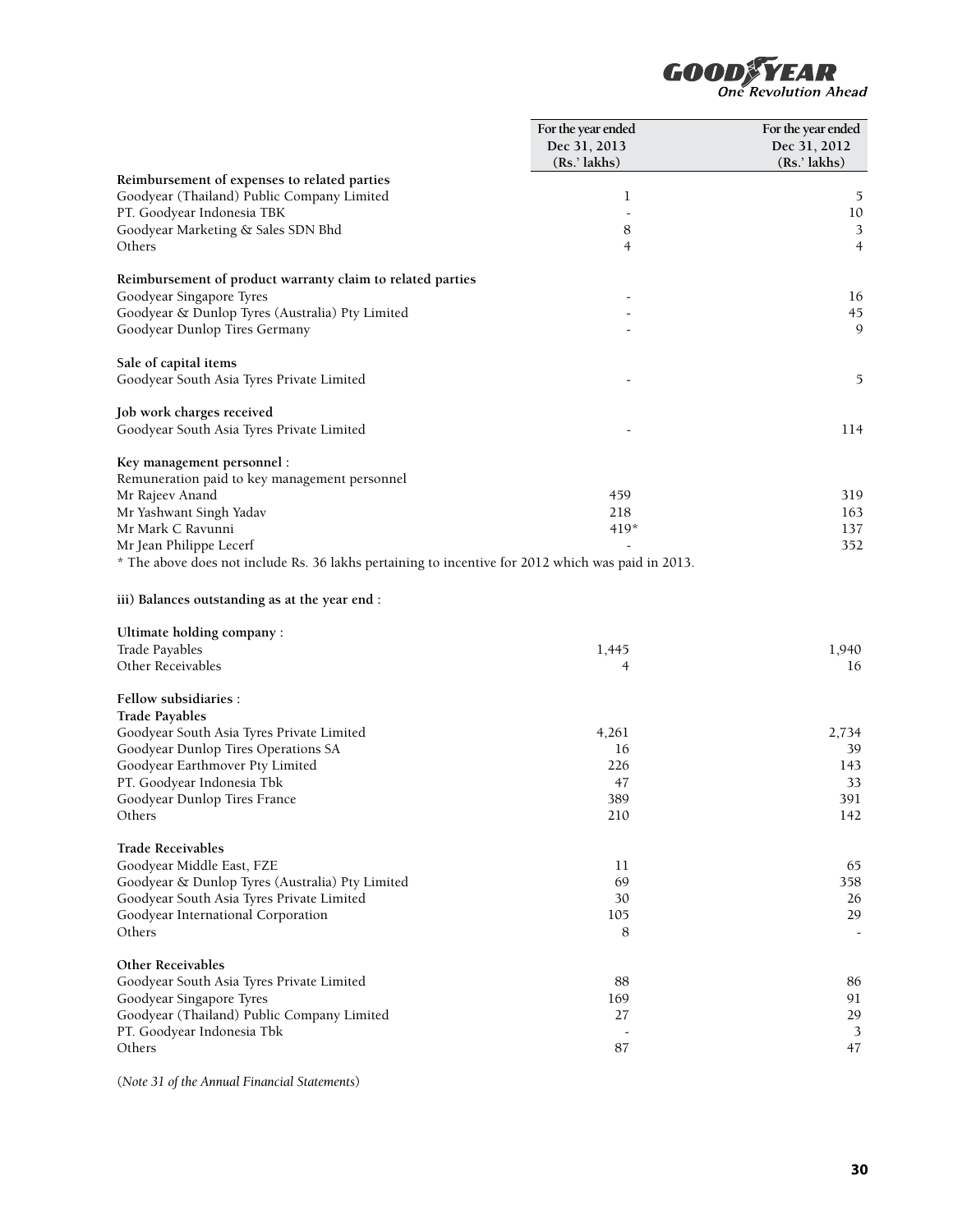

|                                                                                                    | For the year ended | For the year ended |
|----------------------------------------------------------------------------------------------------|--------------------|--------------------|
|                                                                                                    | Dec 31, 2013       | Dec 31, 2012       |
|                                                                                                    | (Rs.' lakhs)       | (Rs.' lakhs)       |
| Reimbursement of expenses to related parties                                                       |                    |                    |
| Goodyear (Thailand) Public Company Limited                                                         | 1                  | 5                  |
| PT. Goodyear Indonesia TBK                                                                         |                    | 10                 |
| Goodyear Marketing & Sales SDN Bhd                                                                 | 8                  | 3                  |
| Others                                                                                             | $\overline{4}$     | $\overline{4}$     |
|                                                                                                    |                    |                    |
| Reimbursement of product warranty claim to related parties                                         |                    |                    |
| Goodyear Singapore Tyres                                                                           |                    | 16                 |
| Goodyear & Dunlop Tyres (Australia) Pty Limited                                                    |                    | 45                 |
| Goodyear Dunlop Tires Germany                                                                      |                    | 9                  |
|                                                                                                    |                    |                    |
| Sale of capital items                                                                              |                    |                    |
|                                                                                                    |                    |                    |
| Goodyear South Asia Tyres Private Limited                                                          |                    | 5                  |
|                                                                                                    |                    |                    |
| Job work charges received                                                                          |                    |                    |
| Goodyear South Asia Tyres Private Limited                                                          |                    | 114                |
|                                                                                                    |                    |                    |
| Key management personnel :                                                                         |                    |                    |
| Remuneration paid to key management personnel                                                      |                    |                    |
| Mr Rajeev Anand                                                                                    | 459                | 319                |
| Mr Yashwant Singh Yadav                                                                            | 218                | 163                |
| Mr Mark C Ravunni                                                                                  | $419*$             | 137                |
| Mr Jean Philippe Lecerf                                                                            |                    | 352                |
| * The above does not include Rs. 36 lakhs pertaining to incentive for 2012 which was paid in 2013. |                    |                    |
|                                                                                                    |                    |                    |
| iii) Balances outstanding as at the year end :                                                     |                    |                    |
|                                                                                                    |                    |                    |
| Ultimate holding company:                                                                          |                    |                    |
| Trade Payables                                                                                     | 1,445              | 1,940              |
| Other Receivables                                                                                  | 4                  | 16                 |
|                                                                                                    |                    |                    |
| Fellow subsidiaries :                                                                              |                    |                    |
| <b>Trade Payables</b>                                                                              |                    |                    |
| Goodyear South Asia Tyres Private Limited                                                          | 4,261              | 2,734              |
| Goodyear Dunlop Tires Operations SA                                                                | 16                 | 39                 |
| Goodyear Earthmover Pty Limited                                                                    | 226                | 143                |
| PT. Goodyear Indonesia Tbk                                                                         | 47                 | 33                 |
| Goodyear Dunlop Tires France                                                                       | 389                | 391                |
| Others                                                                                             | 210                | 142                |
|                                                                                                    |                    |                    |
| <b>Trade Receivables</b>                                                                           |                    |                    |
| Goodyear Middle East, FZE                                                                          | 11                 | 65                 |
| Goodyear & Dunlop Tyres (Australia) Pty Limited                                                    | 69                 | 358                |
| Goodyear South Asia Tyres Private Limited                                                          | 30                 | 26                 |
| Goodyear International Corporation                                                                 | 105                | 29                 |
| Others                                                                                             | 8                  |                    |
|                                                                                                    |                    |                    |
| Other Receivables                                                                                  |                    |                    |
| Goodyear South Asia Tyres Private Limited                                                          | 88                 | 86                 |
| Goodyear Singapore Tyres                                                                           | 169                | 91                 |
| Goodyear (Thailand) Public Company Limited                                                         | 27                 | 29                 |
| PT. Goodyear Indonesia Tbk                                                                         |                    | 3                  |
| Others                                                                                             | 87                 | 47                 |
|                                                                                                    |                    |                    |

(*Note 31 of the Annual Financial Statements*)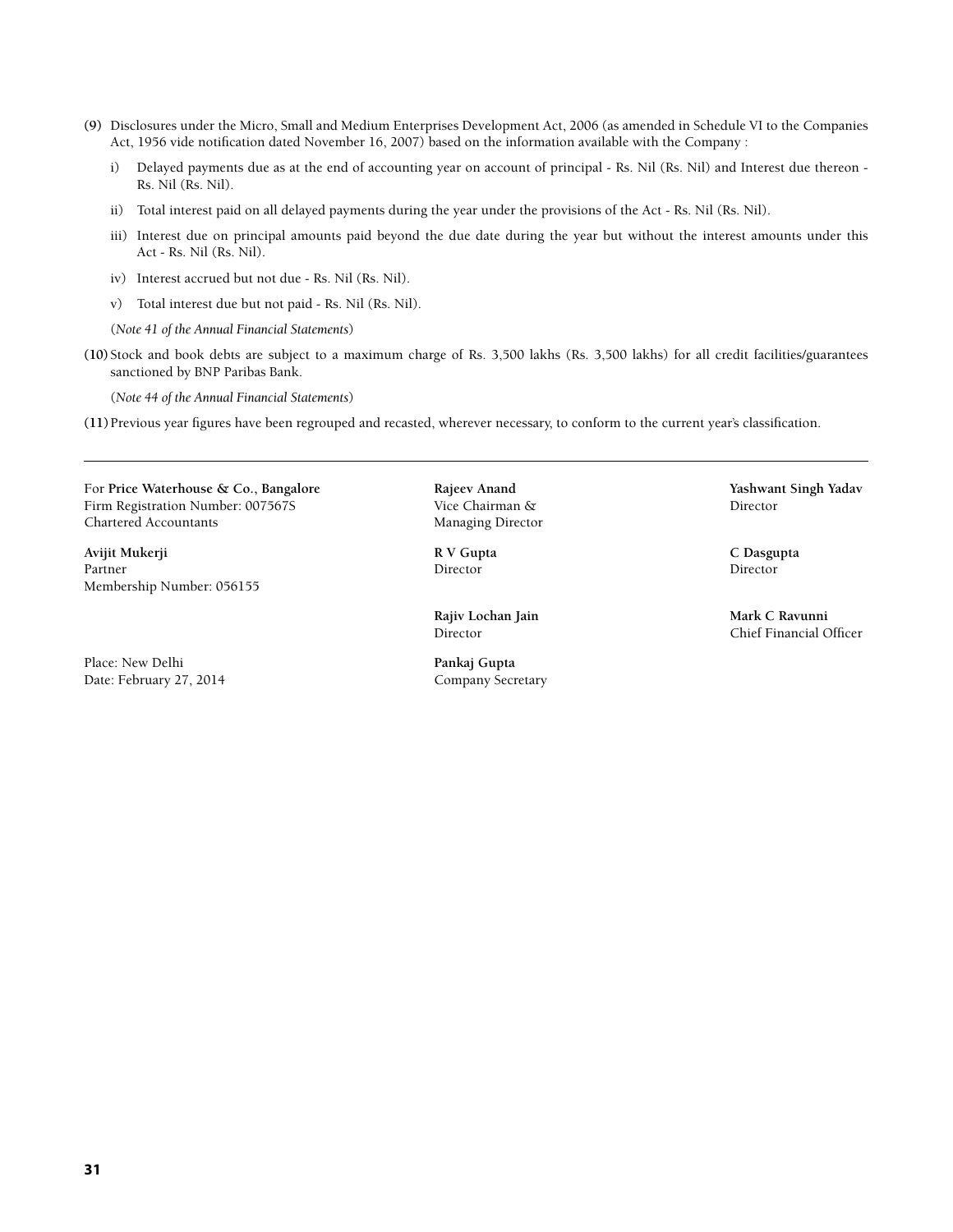- **(9)** Disclosures under the Micro, Small and Medium Enterprises Development Act, 2006 (as amended in Schedule VI to the Companies Act, 1956 vide notification dated November 16, 2007) based on the information available with the Company :
	- i) Delayed payments due as at the end of accounting year on account of principal Rs. Nil (Rs. Nil) and Interest due thereon Rs. Nil (Rs. Nil).
	- ii) Total interest paid on all delayed payments during the year under the provisions of the Act Rs. Nil (Rs. Nil).
	- iii) Interest due on principal amounts paid beyond the due date during the year but without the interest amounts under this Act - Rs. Nil (Rs. Nil).
	- iv) Interest accrued but not due Rs. Nil (Rs. Nil).
	- v) Total interest due but not paid Rs. Nil (Rs. Nil).
	- (*Note 41 of the Annual Financial Statements*)
- **(10)** Stock and book debts are subject to a maximum charge of Rs. 3,500 lakhs (Rs. 3,500 lakhs) for all credit facilities/guarantees sanctioned by BNP Paribas Bank.

(*Note 44 of the Annual Financial Statements*)

**(11)**Previous year figures have been regrouped and recasted, wherever necessary, to conform to the current year's classification.

For **Price Waterhouse & Co., Bangalore Rajeev Anand Yashwant Singh Yadav** Firm Registration Number: 007567S Vice Chairman & Director Chartered Accountants Managing Director

**Avijit Mukerji R V Gupta C Dasgupta** Partner **Director** Director **Director** Director **Director** Director **Director** Membership Number: 056155

Place: New Delhi **Pankaj Gupta** Date: February 27, 2014 Company Secretary

**Rajiv Lochan Jain Mark C Ravunni**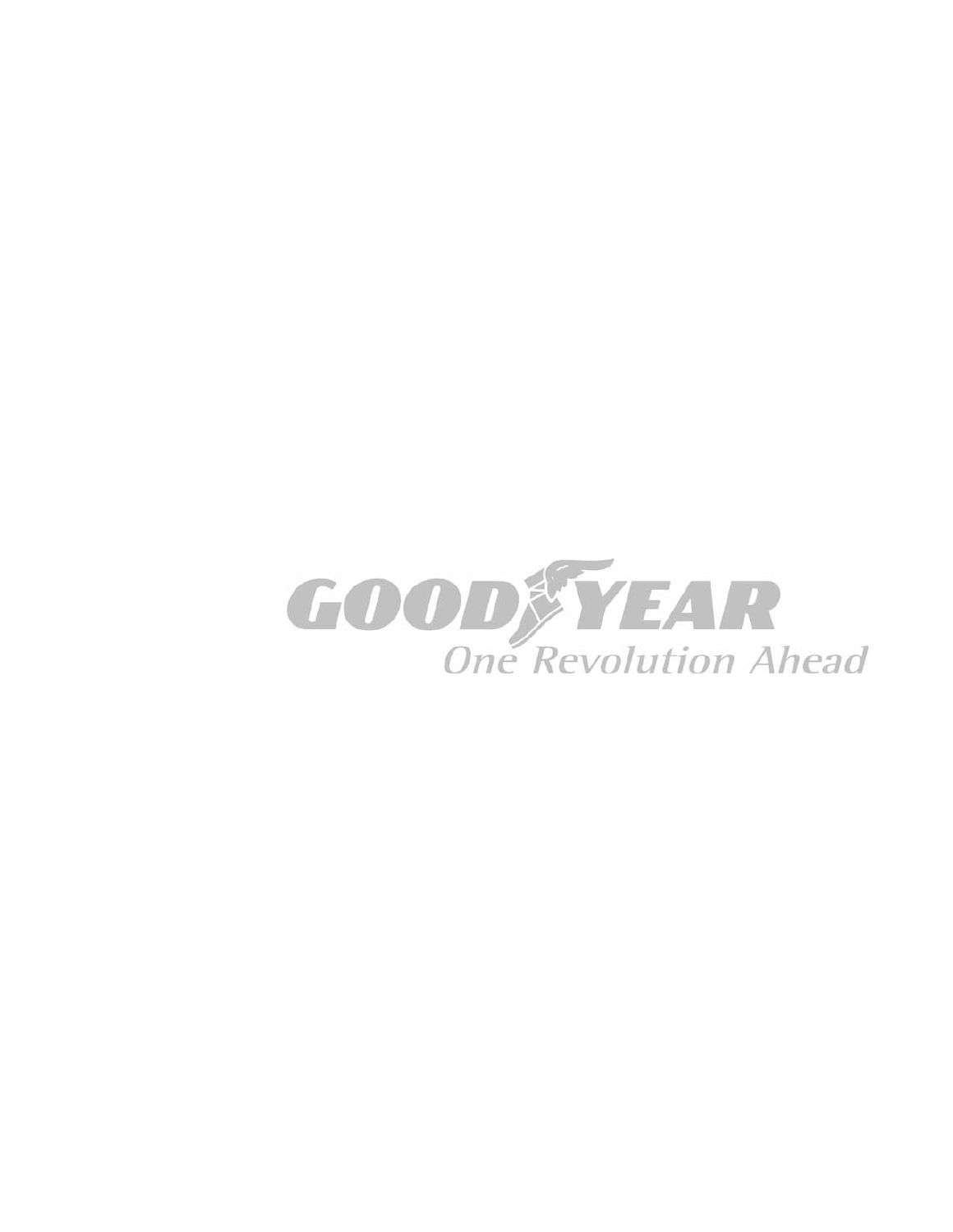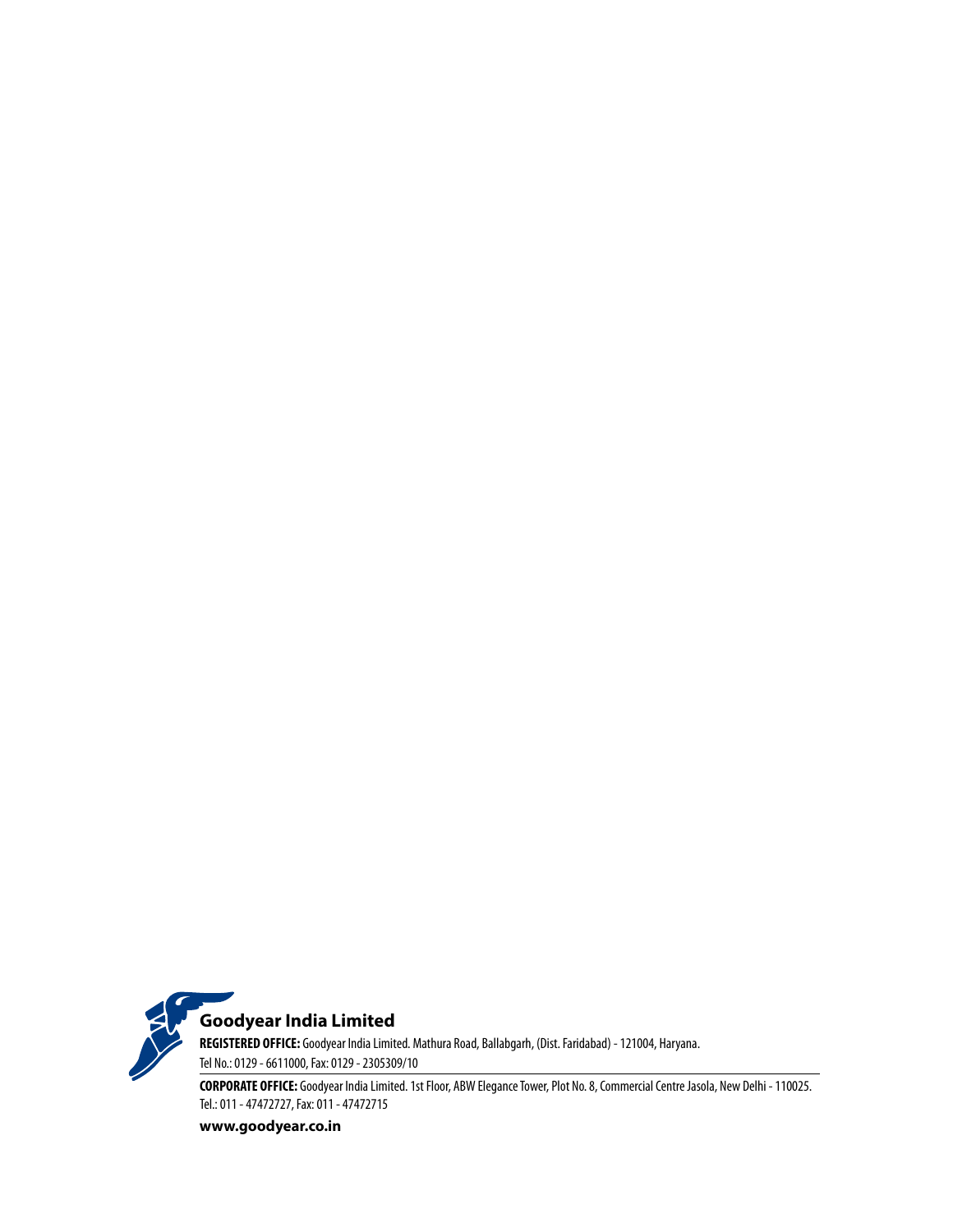

## **Goodyear India Limited REGISTERED OFFICE:** Goodyear India Limited. Mathura Road, Ballabgarh, (Dist. Faridabad) - 121004, Haryana. Tel No.: 0129 - 6611000, Fax: 0129 - 2305309/10

**CORPORATE OFFICE:** Goodyear India Limited. 1st Floor, ABW Elegance Tower, Plot No. 8, Commercial Centre Jasola, New Delhi - 110025. Tel.: 011 - 47472727, Fax: 011 - 47472715

**www.goodyear.co.in**